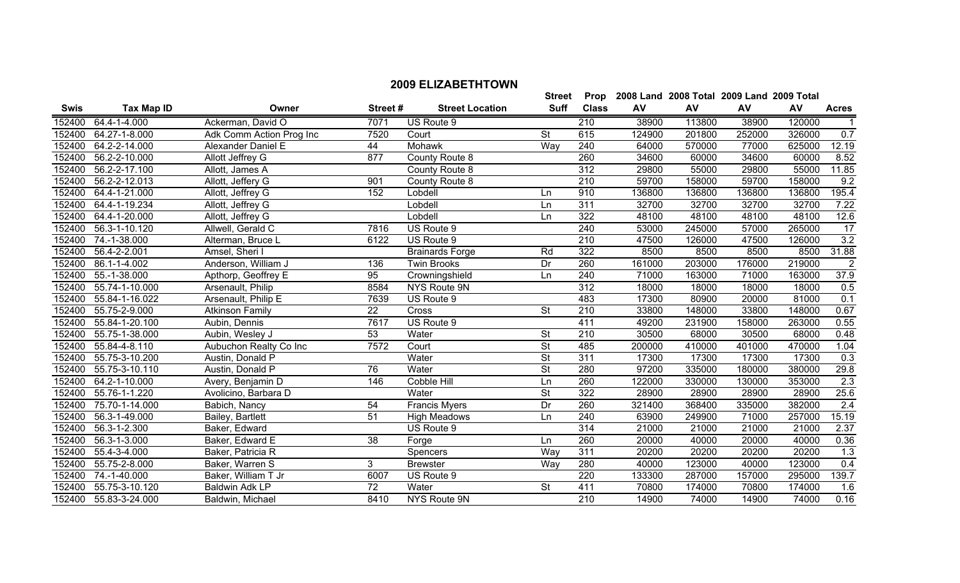|             |                   |                          |                 |                        | <b>Street</b>            | Prop             |        | 2008 Land 2008 Total 2009 Land 2009 Total |        |        |                |
|-------------|-------------------|--------------------------|-----------------|------------------------|--------------------------|------------------|--------|-------------------------------------------|--------|--------|----------------|
| <b>Swis</b> | <b>Tax Map ID</b> | Owner                    | Street#         | <b>Street Location</b> | <b>Suff</b>              | <b>Class</b>     | AV     | AV                                        | AV     | AV     | <b>Acres</b>   |
| 152400      | 64.4-1-4.000      | Ackerman, David O        | 7071            | US Route 9             |                          | 210              | 38900  | 113800                                    | 38900  | 120000 |                |
| 152400      | 64.27-1-8.000     | Adk Comm Action Prog Inc | 7520            | Court                  | <b>St</b>                | 615              | 124900 | 201800                                    | 252000 | 326000 | 0.7            |
| 152400      | 64.2-2-14.000     | Alexander Daniel E       | 44              | Mohawk                 | Way                      | 240              | 64000  | 570000                                    | 77000  | 625000 | 12.19          |
| 152400      | 56.2-2-10.000     | Allott Jeffrey G         | 877             | County Route 8         |                          | 260              | 34600  | 60000                                     | 34600  | 60000  | 8.52           |
| 152400      | 56.2-2-17.100     | Allott, James A          |                 | County Route 8         |                          | 312              | 29800  | 55000                                     | 29800  | 55000  | 11.85          |
| 152400      | 56.2-2-12.013     | Allott, Jeffery G        | 901             | County Route 8         |                          | 210              | 59700  | 158000                                    | 59700  | 158000 | 9.2            |
| 152400      | 64.4-1-21.000     | Allott, Jeffrey G        | 152             | Lobdell                | Ln                       | 910              | 136800 | 136800                                    | 136800 | 136800 | 195.4          |
| 152400      | 64.4-1-19.234     | Allott, Jeffrey G        |                 | Lobdell                | Ln                       | 311              | 32700  | 32700                                     | 32700  | 32700  | 7.22           |
| 152400      | 64.4-1-20.000     | Allott, Jeffrey G        |                 | Lobdell                | Ln                       | 322              | 48100  | 48100                                     | 48100  | 48100  | 12.6           |
| 152400      | 56.3-1-10.120     | Allwell, Gerald C        | 7816            | US Route 9             |                          | 240              | 53000  | 245000                                    | 57000  | 265000 | 17             |
| 152400      | 74.-1-38.000      | Alterman, Bruce L        | 6122            | US Route 9             |                          | $\overline{210}$ | 47500  | 126000                                    | 47500  | 126000 | 3.2            |
| 152400      | 56.4-2-2.001      | Amsel, Sheri I           |                 | <b>Brainards Forge</b> | Rd                       | 322              | 8500   | 8500                                      | 8500   | 8500   | 31.88          |
| 152400      | 86.1-1-4.002      | Anderson, William J      | 136             | <b>Twin Brooks</b>     | Dr                       | 260              | 161000 | 203000                                    | 176000 | 219000 | $\overline{2}$ |
| 152400      | 55.-1-38.000      | Apthorp, Geoffrey E      | 95              | Crowningshield         | Ln                       | 240              | 71000  | 163000                                    | 71000  | 163000 | 37.9           |
| 152400      | 55.74-1-10.000    | Arsenault, Philip        | 8584            | NYS Route 9N           |                          | 312              | 18000  | 18000                                     | 18000  | 18000  | 0.5            |
| 152400      | 55.84-1-16.022    | Arsenault, Philip E      | 7639            | US Route 9             |                          | 483              | 17300  | 80900                                     | 20000  | 81000  | 0.1            |
| 152400      | 55.75-2-9.000     | <b>Atkinson Family</b>   | 22              | Cross                  | <b>St</b>                | 210              | 33800  | 148000                                    | 33800  | 148000 | 0.67           |
| 152400      | 55.84-1-20.100    | Aubin, Dennis            | 7617            | US Route 9             |                          | 411              | 49200  | 231900                                    | 158000 | 263000 | 0.55           |
| 152400      | 55.75-1-38.000    | Aubin, Wesley J          | 53              | Water                  | <b>St</b>                | $\overline{210}$ | 30500  | 68000                                     | 30500  | 68000  | 0.48           |
| 152400      | 55.84-4-8.110     | Aubuchon Realty Co Inc   | 7572            | Court                  | <b>St</b>                | 485              | 200000 | 410000                                    | 401000 | 470000 | 1.04           |
| 152400      | 55.75-3-10.200    | Austin, Donald P         |                 | Water                  | <b>St</b>                | 311              | 17300  | 17300                                     | 17300  | 17300  | 0.3            |
| 152400      | 55.75-3-10.110    | Austin, Donald P         | 76              | Water                  | <b>St</b>                | 280              | 97200  | 335000                                    | 180000 | 380000 | 29.8           |
| 152400      | 64.2-1-10.000     | Avery, Benjamin D        | 146             | Cobble Hill            | Ln                       | 260              | 122000 | 330000                                    | 130000 | 353000 | 2.3            |
| 152400      | 55.76-1-1.220     | Avolicino, Barbara D     |                 | Water                  | $\overline{\mathsf{St}}$ | 322              | 28900  | 28900                                     | 28900  | 28900  | 25.6           |
| 152400      | 75.70-1-14.000    | Babich, Nancy            | 54              | <b>Francis Myers</b>   | $\overline{Dr}$          | 260              | 321400 | 368400                                    | 335000 | 382000 | 2.4            |
| 152400      | 56.3-1-49.000     | Bailey, Bartlett         | 51              | <b>High Meadows</b>    | Ln                       | 240              | 63900  | 249900                                    | 71000  | 257000 | 15.19          |
| 152400      | 56.3-1-2.300      | Baker, Edward            |                 | US Route 9             |                          | 314              | 21000  | 21000                                     | 21000  | 21000  | 2.37           |
| 152400      | 56.3-1-3.000      | Baker, Edward E          | $\overline{38}$ | Forge                  | Ln                       | 260              | 20000  | 40000                                     | 20000  | 40000  | 0.36           |
| 152400      | 55.4-3-4.000      | Baker, Patricia R        |                 | Spencers               | Way                      | 311              | 20200  | 20200                                     | 20200  | 20200  | 1.3            |
| 152400      | 55.75-2-8.000     | Baker, Warren S          | 3               | <b>Brewster</b>        | Way                      | 280              | 40000  | 123000                                    | 40000  | 123000 | 0.4            |
| 152400      | 74.-1-40.000      | Baker, William T Jr      | 6007            | US Route 9             |                          | 220              | 133300 | 287000                                    | 157000 | 295000 | 139.7          |
| 152400      | 55.75-3-10.120    | <b>Baldwin Adk LP</b>    | $\overline{72}$ | Water                  | <b>St</b>                | 411              | 70800  | 174000                                    | 70800  | 174000 | 1.6            |
| 152400      | 55.83-3-24.000    | Baldwin, Michael         | 8410            | NYS Route 9N           |                          | 210              | 14900  | 74000                                     | 14900  | 74000  | 0.16           |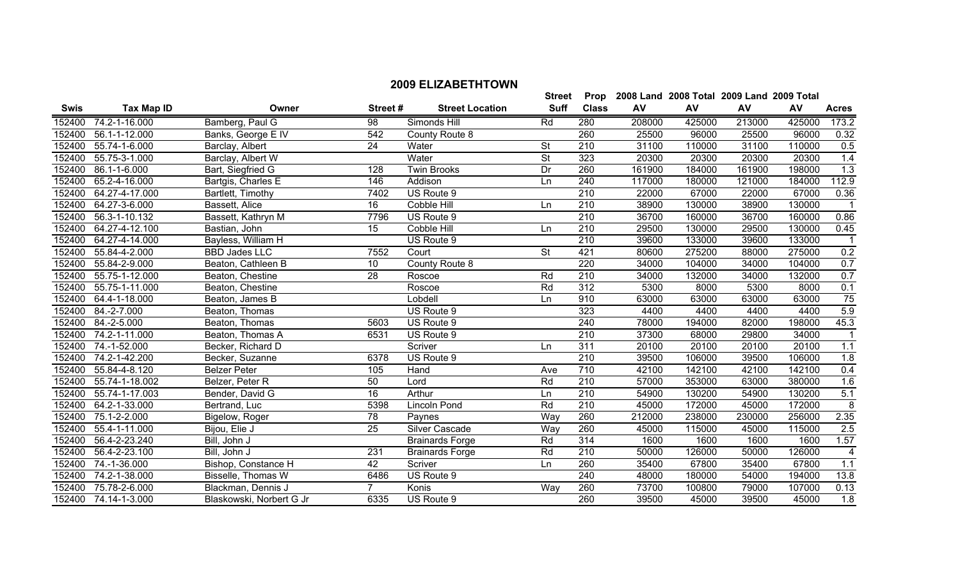|             |                       |                      |                 |                        | <b>Street</b>            | Prop             |        | 2008 Land 2008 Total 2009 Land 2009 Total |        |        |                  |
|-------------|-----------------------|----------------------|-----------------|------------------------|--------------------------|------------------|--------|-------------------------------------------|--------|--------|------------------|
| <b>Swis</b> | <b>Tax Map ID</b>     | Owner                | Street#         | <b>Street Location</b> | <b>Suff</b>              | <b>Class</b>     | AV     | AV                                        | AV     | AV     | <b>Acres</b>     |
| 152400      | 74.2-1-16.000         | Bamberg, Paul G      | 98              | Simonds Hill           | Rd                       | 280              | 208000 | 425000                                    | 213000 | 425000 | 173.2            |
| 152400      | 56.1-1-12.000         | Banks, George E IV   | 542             | County Route 8         |                          | 260              | 25500  | 96000                                     | 25500  | 96000  | 0.32             |
| 152400      | 55.74-1-6.000         | Barclay, Albert      | $\overline{24}$ | Water                  | $\overline{\mathsf{St}}$ | 210              | 31100  | 110000                                    | 31100  | 110000 | 0.5              |
| 152400      | 55.75-3-1.000         | Barclay, Albert W    |                 | Water                  | <b>St</b>                | 323              | 20300  | 20300                                     | 20300  | 20300  | 1.4              |
| 152400      | 86.1-1-6.000          | Bart, Siegfried G    | 128             | <b>Twin Brooks</b>     | Dr                       | 260              | 161900 | 184000                                    | 161900 | 198000 | $\overline{1.3}$ |
| 152400      | 65.2-4-16.000         | Bartgis, Charles E   | 146             | Addison                | Ln                       | 240              | 117000 | 180000                                    | 121000 | 184000 | 112.9            |
| 152400      | 64.27-4-17.000        | Bartlett, Timothy    | 7402            | US Route 9             |                          | 210              | 22000  | 67000                                     | 22000  | 67000  | 0.36             |
| 152400      | 64.27-3-6.000         | Bassett, Alice       | 16              | Cobble Hill            | Ln                       | 210              | 38900  | 130000                                    | 38900  | 130000 |                  |
| 152400      | 56.3-1-10.132         | Bassett, Kathryn M   | 7796            | US Route 9             |                          | 210              | 36700  | 160000                                    | 36700  | 160000 | 0.86             |
| 152400      | 64.27-4-12.100        | Bastian, John        | 15              | Cobble Hill            | Ln                       | 210              | 29500  | 130000                                    | 29500  | 130000 | 0.45             |
| 152400      | 64.27-4-14.000        | Bayless, William H   |                 | US Route 9             |                          | 210              | 39600  | 133000                                    | 39600  | 133000 |                  |
| 152400      | 55.84-4-2.000         | <b>BBD Jades LLC</b> | 7552            | Court                  | $\overline{\mathsf{St}}$ | 421              | 80600  | 275200                                    | 88000  | 275000 | $\overline{0.2}$ |
| 152400      | 55.84-2-9.000         | Beaton, Cathleen B   | $\overline{10}$ | County Route 8         |                          | $\overline{220}$ | 34000  | 104000                                    | 34000  | 104000 | 0.7              |
| 152400      | 55.75-1-12.000        | Beaton, Chestine     | $\overline{28}$ | Roscoe                 | Rd                       | 210              | 34000  | 132000                                    | 34000  | 132000 | 0.7              |
|             | 152400 55.75-1-11.000 | Beaton, Chestine     |                 | Roscoe                 | Rd                       | 312              | 5300   | 8000                                      | 5300   | 8000   | 0.1              |
| 152400      | 64.4-1-18.000         | Beaton, James B      |                 | Lobdell                | Ln                       | 910              | 63000  | 63000                                     | 63000  | 63000  | 75               |
| 152400      | $84.-2-7.000$         | Beaton, Thomas       |                 | US Route 9             |                          | 323              | 4400   | 4400                                      | 4400   | 4400   | 5.9              |
| 152400      | 84.-2-5.000           | Beaton, Thomas       | 5603            | US Route 9             |                          | 240              | 78000  | 194000                                    | 82000  | 198000 | 45.3             |
| 152400      | 74.2-1-11.000         | Beaton, Thomas A     | 6531            | US Route 9             |                          | 210              | 37300  | 68000                                     | 29800  | 34000  |                  |
| 152400      | 74.-1-52.000          | Becker, Richard D    |                 | Scriver                | Ln                       | 311              | 20100  | 20100                                     | 20100  | 20100  | 1.1              |
| 152400      | 74.2-1-42.200         | Becker, Suzanne      | 6378            | US Route 9             |                          | 210              | 39500  | 106000                                    | 39500  | 106000 | 1.8              |
| 152400      | 55.84-4-8.120         | <b>Belzer Peter</b>  | 105             | Hand                   | Ave                      | 710              | 42100  | 142100                                    | 42100  | 142100 | 0.4              |
| 152400      | 55.74-1-18.002        | Belzer, Peter R      | 50              | Lord                   | Rd                       | 210              | 57000  | 353000                                    | 63000  | 380000 | 1.6              |
| 152400      | 55.74-1-17.003        | Bender, David G      | $\overline{16}$ | Arthur                 | Ln                       | 210              | 54900  | 130200                                    | 54900  | 130200 | 5.1              |
| 152400      | 64.2-1-33.000         | Bertrand, Luc        | 5398            | Lincoln Pond           | Rd                       | 210              | 45000  | 172000                                    | 45000  | 172000 | $\overline{8}$   |
| 152400      | 75.1-2-2.000          | Bigelow, Roger       | 78              | Paynes                 | Wav                      | 260              | 212000 | 238000                                    | 230000 | 256000 | 2.35             |
| 152400      | 55.4-1-11.000         | Bijou, Elie J        | 25              | Silver Cascade         | Way                      | 260              | 45000  | 115000                                    | 45000  | 115000 | 2.5              |
| 152400      | 56.4-2-23.240         | Bill, John J         |                 | <b>Brainards Forge</b> | Rd                       | 314              | 1600   | 1600                                      | 1600   | 1600   | 1.57             |
|             | 152400 56.4-2-23.100  | Bill, John J         | 231             | <b>Brainards Forge</b> | Rd                       | 210              | 50000  | 126000                                    | 50000  | 126000 | 4                |

1999 152400 11-1-36.000 11-10 Bishop, Constance H 12 Scriver 1980 120 Ln 260 35400 67800 35400 67800 1.1<br>1991 162400 174.2-1-38.000 Bisselle, Thomas W 6486 US Route 9 1240 48000 180000 54000 194000 13.8

 75.78-2-6.000 Blackman, Dennis J 7 Konis Way 260 73700 100800 79000 107000 0.13 74.14-1-3.000 Blaskowski, Norbert G Jr 6335 US Route 9 260 39500 45000 39500 45000 1.8

152400 74.2-1-38.000 Bisselle, Thomas W 6486 US Route 9 240 48000 180000 54000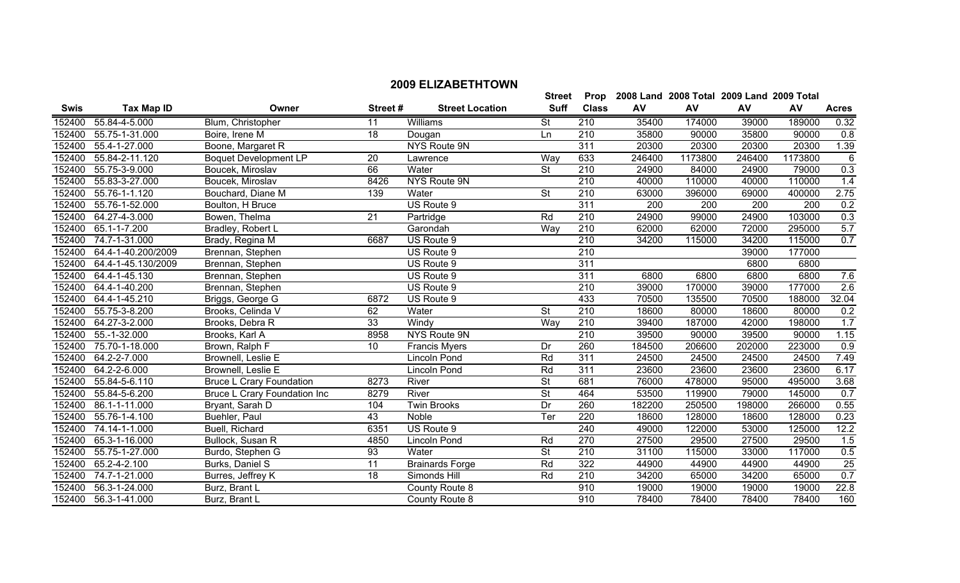|             |                       |                                     |                 |                        | <b>Street</b>            |                  |        | Prop 2008 Land 2008 Total 2009 Land 2009 Total |        |         |                  |
|-------------|-----------------------|-------------------------------------|-----------------|------------------------|--------------------------|------------------|--------|------------------------------------------------|--------|---------|------------------|
| <b>Swis</b> | <b>Tax Map ID</b>     | Owner                               | Street#         | <b>Street Location</b> | <b>Suff</b>              | <b>Class</b>     | AV     | AV                                             | AV     | AV      | <b>Acres</b>     |
| 152400      | 55.84-4-5.000         | Blum, Christopher                   | 11              | Williams               | <b>St</b>                | 210              | 35400  | 174000                                         | 39000  | 189000  | 0.32             |
| 152400      | 55.75-1-31.000        | Boire, Irene M                      | $\overline{18}$ | Dougan                 | Ln                       | 210              | 35800  | 90000                                          | 35800  | 90000   | 0.8              |
| 152400      | 55.4-1-27.000         | Boone, Margaret R                   |                 | NYS Route 9N           |                          | 311              | 20300  | 20300                                          | 20300  | 20300   | 1.39             |
| 152400      | 55.84-2-11.120        | <b>Boquet Development LP</b>        | 20              | Lawrence               | Way                      | 633              | 246400 | 1173800                                        | 246400 | 1173800 | $\overline{6}$   |
|             | 152400 55.75-3-9.000  | Boucek, Miroslav                    | 66              | Water                  | <b>St</b>                | 210              | 24900  | 84000                                          | 24900  | 79000   | $\overline{0.3}$ |
| 152400      | 55.83-3-27.000        | Boucek, Miroslav                    | 8426            | NYS Route 9N           |                          | 210              | 40000  | 110000                                         | 40000  | 110000  | 1.4              |
| 152400      | 55.76-1-1.120         | Bouchard, Diane M                   | 139             | Water                  | <b>St</b>                | 210              | 63000  | 396000                                         | 69000  | 400000  | 2.75             |
| 152400      | 55.76-1-52.000        | Boulton, H Bruce                    |                 | US Route 9             |                          | 311              | 200    | 200                                            | 200    | 200     | 0.2              |
| 152400      | 64.27-4-3.000         | Bowen, Thelma                       | 21              | Partridge              | Rd                       | 210              | 24900  | 99000                                          | 24900  | 103000  | 0.3              |
|             | 152400 65.1-1-7.200   | Bradley, Robert L                   |                 | Garondah               | Way                      | 210              | 62000  | 62000                                          | 72000  | 295000  | 5.7              |
| 152400      | 74.7-1-31.000         | Brady, Regina M                     | 6687            | US Route 9             |                          | 210              | 34200  | 115000                                         | 34200  | 115000  | 0.7              |
| 152400      | 64.4-1-40.200/2009    | Brennan, Stephen                    |                 | US Route 9             |                          | 210              |        |                                                | 39000  | 177000  |                  |
| 152400      | 64.4-1-45.130/2009    | Brennan, Stephen                    |                 | US Route 9             |                          | 311              |        |                                                | 6800   | 6800    |                  |
| 152400      | 64.4-1-45.130         | Brennan, Stephen                    |                 | US Route 9             |                          | 311              | 6800   | 6800                                           | 6800   | 6800    | 7.6              |
|             | 152400 64.4-1-40.200  | Brennan, Stephen                    |                 | US Route 9             |                          | 210              | 39000  | 170000                                         | 39000  | 177000  | 2.6              |
| 152400      | 64.4-1-45.210         | Briggs, George G                    | 6872            | US Route 9             |                          | 433              | 70500  | 135500                                         | 70500  | 188000  | 32.04            |
| 152400      | 55.75-3-8.200         | Brooks, Celinda V                   | 62              | Water                  | $\overline{\mathsf{St}}$ | $\overline{210}$ | 18600  | 80000                                          | 18600  | 80000   | 0.2              |
| 152400      | 64.27-3-2.000         | Brooks, Debra R                     | $\overline{33}$ | Windy                  | Way                      | 210              | 39400  | 187000                                         | 42000  | 198000  | 1.7              |
| 152400      | 55.-1-32.000          | Brooks, Karl A                      | 8958            | NYS Route 9N           |                          | 210              | 39500  | 90000                                          | 39500  | 90000   | 1.15             |
| 152400      | 75.70-1-18.000        | Brown, Ralph F                      | 10              | <b>Francis Myers</b>   | Dr                       | 260              | 184500 | 206600                                         | 202000 | 223000  | 0.9              |
| 152400      | 64.2-2-7.000          | Brownell, Leslie E                  |                 | Lincoln Pond           | Rd                       | 311              | 24500  | 24500                                          | 24500  | 24500   | 7.49             |
| 152400      | 64.2-2-6.000          | Brownell, Leslie E                  |                 | Lincoln Pond           | Rd                       | 311              | 23600  | 23600                                          | 23600  | 23600   | 6.17             |
| 152400      | 55.84-5-6.110         | <b>Bruce L Crary Foundation</b>     | 8273            | River                  | <b>St</b>                | 681              | 76000  | 478000                                         | 95000  | 495000  | 3.68             |
| 152400      | 55.84-5-6.200         | <b>Bruce L Crary Foundation Inc</b> | 8279            | River                  | $\overline{\mathsf{St}}$ | 464              | 53500  | 119900                                         | 79000  | 145000  | 0.7              |
| 152400      | 86.1-1-11.000         | Bryant, Sarah D                     | 104             | Twin Brooks            | Dr                       | 260              | 182200 | 250500                                         | 198000 | 266000  | 0.55             |
| 152400      | 55.76-1-4.100         | Buehler, Paul                       | 43              | Noble                  | Ter                      | 220              | 18600  | 128000                                         | 18600  | 128000  | 0.23             |
| 152400      | 74.14-1-1.000         | Buell, Richard                      | 6351            | US Route 9             |                          | 240              | 49000  | 122000                                         | 53000  | 125000  | 12.2             |
|             | 152400 65.3-1-16.000  | Bullock, Susan R                    | 4850            | <b>Lincoln Pond</b>    | Rd                       | 270              | 27500  | 29500                                          | 27500  | 29500   | 1.5              |
|             | 152400 55.75-1-27.000 | Burdo, Stephen G                    | 93              | Water                  | $\overline{\mathsf{St}}$ | 210              | 31100  | 115000                                         | 33000  | 117000  | 0.5              |

152400 65.2-4-2.100 Burks, Daniel S 11 Brainards Forge Rd 322 44900 44900 44900 44900 25 152400 74.7-1-21.000 Burres, Jeffrey K 18 Simonds Hill Rd 210 34200 65000 34200 65000 0.7 56.3-1-24.000 Burz, Brant L County Route 8 910 19000 19000 19000 19000 22.8 56.3-1-41.000 Burz, Brant L County Route 8 910 78400 78400 78400 78400 160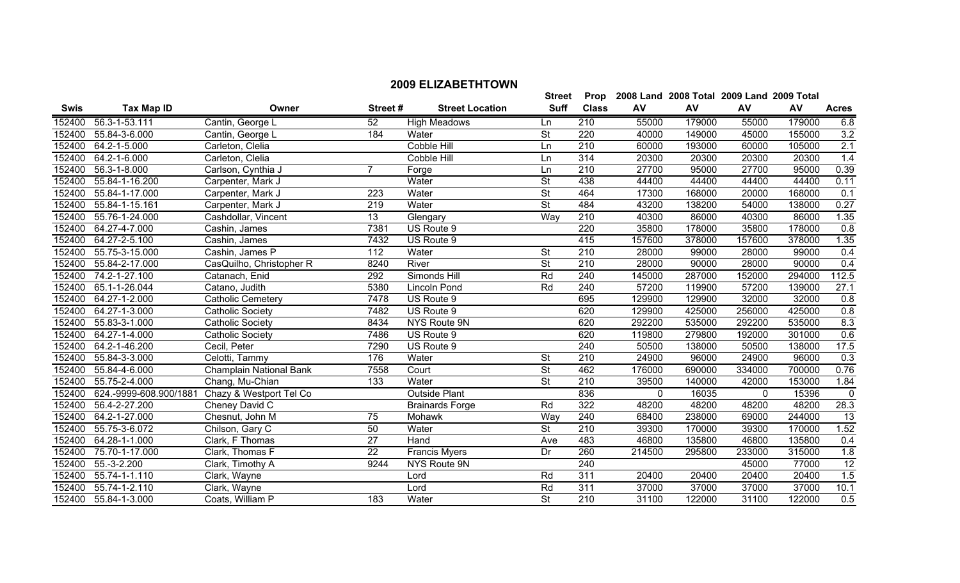| 152400<br>56.3-1-53.111<br>52<br>55000<br>179000<br>179000<br>6.8<br>Cantin, George L<br>210<br>55000<br><b>High Meadows</b><br>Ln<br>55.84-3-6.000<br>St<br>220<br>3.2<br>Cantin, George L<br>184<br>40000<br>149000<br>45000<br>152400<br>Water<br>155000<br>2.1<br>$\overline{210}$<br>152400<br>64.2-1-5.000<br>Carleton, Clelia<br>60000<br>60000<br>105000<br>Cobble Hill<br>193000<br>Ln<br>314<br>1.4<br>152400<br>64.2-1-6.000<br>20300<br>20300<br>20300<br>20300<br>Carleton, Clelia<br>Cobble Hill<br>Ln<br>0.39<br>152400<br>56.3-1-8.000<br>210<br>27700<br>95000<br>27700<br>95000<br>Carlson, Cynthia J<br>$\overline{7}$<br>Forge<br>Ln<br>$\overline{\mathsf{St}}$<br>152400<br>55.84-1-16.200<br>Water<br>438<br>44400<br>44400<br>44400<br>0.11<br>Carpenter, Mark J<br>44400<br>$\overline{\mathsf{St}}$<br>17300<br>0.1<br>152400<br>55.84-1-17.000<br>223<br>Water<br>464<br>168000<br>20000<br>168000<br>Carpenter, Mark J<br>55.84-1-15.161<br>Water<br>St<br>484<br>152400<br>219<br>43200<br>138200<br>54000<br>138000<br>0.27<br>Carpenter, Mark J<br>$\overline{13}$<br>Way<br>$\overline{210}$<br>1.35<br>152400<br>55.76-1-24.000<br>40300<br>86000<br>40300<br>86000<br>Cashdollar, Vincent<br>Glengary<br>7381<br>0.8<br>152400<br>64.27-4-7.000<br>US Route 9<br>220<br>35800<br>178000<br>35800<br>178000<br>Cashin, James<br>152400<br>1.35<br>64.27-2-5.100<br>7432<br>US Route 9<br>415<br>157600<br>378000<br>157600<br>378000<br>Cashin, James<br>152400<br>55.75-3-15.000<br>Cashin, James P<br>112<br><b>St</b><br>0.4<br>Water<br>210<br>28000<br>99000<br>28000<br>99000<br>$\overline{\mathsf{St}}$<br>152400<br>55.84-2-17.000<br>8240<br>River<br>$\overline{210}$<br>28000<br>90000<br>28000<br>90000<br>0.4<br>CasQuilho, Christopher R<br>112.5<br>74.2-1-27.100<br>Rd<br>240<br>145000<br>294000<br>152400<br>Catanach, Enid<br>292<br>Simonds Hill<br>287000<br>152000<br>27.1<br>152400<br>65.1-1-26.044<br>5380<br>Rd<br>240<br>57200<br>57200<br>Lincoln Pond<br>119900<br>139000<br>Catano, Judith<br>152400<br>695<br>32000<br>32000<br>0.8<br>64.27-1-2.000<br><b>Catholic Cemetery</b><br>7478<br>129900<br>129900<br>US Route 9<br>0.8<br>152400<br>64.27-1-3.000<br>US Route 9<br>620<br>129900<br>425000<br>425000<br><b>Catholic Society</b><br>7482<br>256000<br>8.3<br>152400<br>55.83-3-1.000<br>620<br>292200<br>535000<br><b>Catholic Society</b><br>8434<br>NYS Route 9N<br>535000<br>292200<br>0.6<br>64.27-1-4.000<br>7486<br>620<br>301000<br>152400<br><b>Catholic Society</b><br>US Route 9<br>119800<br>279800<br>192000<br>17.5<br>64.2-1-46.200<br>7290<br>US Route 9<br>240<br>50500<br>50500<br>138000<br>152400<br>Cecil, Peter<br>138000<br>0.3<br>152400<br>55.84-3-3.000<br>176<br><b>St</b><br>210<br>24900<br>96000<br>24900<br>96000<br>Celotti, Tammy<br>Water<br>$\overline{\mathsf{St}}$<br>0.76<br>152400<br><b>Champlain National Bank</b><br>7558<br>462<br>690000<br>700000<br>55.84-4-6.000<br>Court<br>176000<br>334000<br>$\overline{\mathsf{St}}$<br>152400<br>55.75-2-4.000<br>Chang, Mu-Chian<br>133<br>Water<br>210<br>39500<br>140000<br>42000<br>153000<br>1.84<br>152400<br>624.-9999-608.900/1881<br><b>Outside Plant</b><br>836<br>15396<br>Chazy & Westport Tel Co<br>$\mathbf{0}$<br>16035<br>0<br>$\mathbf{0}$<br>28.3<br>322<br>152400<br>56.4-2-27.200<br>Cheney David C<br>Rd<br>48200<br>48200<br>48200<br>48200<br><b>Brainards Forge</b><br>$\overline{13}$<br>152400<br>64.2-1-27.000<br>75<br>Way<br>240<br>68400<br>238000<br>244000<br>Chesnut, John M<br>Mohawk<br>69000<br>$\overline{50}$<br>$\overline{\mathsf{St}}$<br>$\overline{210}$<br>1.52<br>152400<br>55.75-3-6.072<br>Water<br>39300<br>170000<br>39300<br>170000<br>Chilson, Gary C<br>$\overline{27}$<br>0.4<br>152400<br>64.28-1-1.000<br>Clark, F Thomas<br>483<br>46800<br>135800<br>46800<br>135800<br>Hand<br>Ave<br>$\overline{22}$<br>1.8<br>75.70-1-17.000<br>Dr<br>214500<br>152400<br>Clark, Thomas F<br><b>Francis Myers</b><br>260<br>295800<br>233000<br>315000<br>12<br>152400<br>$55.-3-2.200$<br>9244<br>240<br>77000<br>NYS Route 9N<br>45000<br>Clark, Timothy A<br>1.5<br>311<br>152400<br>55.74-1-1.110<br>Rd<br>20400<br>20400<br>20400<br>20400<br>Lord<br>Clark, Wayne<br>Rd<br>311<br>37000<br>10.1<br>152400<br>55.74-1-2.110<br>37000<br>37000<br>37000<br>Clark, Wayne<br>Lord<br>$\overline{\mathsf{St}}$<br>0.5<br>152400<br>55.84-1-3.000<br>183<br>Water<br>210<br>31100<br>Coats, William P<br>31100<br>122000<br>122000 | <b>Swis</b> | <b>Tax Map ID</b> | Owner | Street# | <b>Street Location</b> | <b>Suff</b> | <b>Class</b> | AV | AV | AV | AV | <b>Acres</b> |
|-----------------------------------------------------------------------------------------------------------------------------------------------------------------------------------------------------------------------------------------------------------------------------------------------------------------------------------------------------------------------------------------------------------------------------------------------------------------------------------------------------------------------------------------------------------------------------------------------------------------------------------------------------------------------------------------------------------------------------------------------------------------------------------------------------------------------------------------------------------------------------------------------------------------------------------------------------------------------------------------------------------------------------------------------------------------------------------------------------------------------------------------------------------------------------------------------------------------------------------------------------------------------------------------------------------------------------------------------------------------------------------------------------------------------------------------------------------------------------------------------------------------------------------------------------------------------------------------------------------------------------------------------------------------------------------------------------------------------------------------------------------------------------------------------------------------------------------------------------------------------------------------------------------------------------------------------------------------------------------------------------------------------------------------------------------------------------------------------------------------------------------------------------------------------------------------------------------------------------------------------------------------------------------------------------------------------------------------------------------------------------------------------------------------------------------------------------------------------------------------------------------------------------------------------------------------------------------------------------------------------------------------------------------------------------------------------------------------------------------------------------------------------------------------------------------------------------------------------------------------------------------------------------------------------------------------------------------------------------------------------------------------------------------------------------------------------------------------------------------------------------------------------------------------------------------------------------------------------------------------------------------------------------------------------------------------------------------------------------------------------------------------------------------------------------------------------------------------------------------------------------------------------------------------------------------------------------------------------------------------------------------------------------------------------------------------------------------------------------------------------------------------------------------------------------------------------------------------------------------------------------------------------------------------------------------------------------------------------------------------------------------------------------------------------------------------------------------------------------------------------------------------------------------------------------------------------------------------------------------------------------------------------------------------------------------------------------------------------------------------------------------------------------------------------------------------------------------------------------------------------------------------------------------------------|-------------|-------------------|-------|---------|------------------------|-------------|--------------|----|----|----|----|--------------|
|                                                                                                                                                                                                                                                                                                                                                                                                                                                                                                                                                                                                                                                                                                                                                                                                                                                                                                                                                                                                                                                                                                                                                                                                                                                                                                                                                                                                                                                                                                                                                                                                                                                                                                                                                                                                                                                                                                                                                                                                                                                                                                                                                                                                                                                                                                                                                                                                                                                                                                                                                                                                                                                                                                                                                                                                                                                                                                                                                                                                                                                                                                                                                                                                                                                                                                                                                                                                                                                                                                                                                                                                                                                                                                                                                                                                                                                                                                                                                                                                                                                                                                                                                                                                                                                                                                                                                                                                                                                                                                                                               |             |                   |       |         |                        |             |              |    |    |    |    |              |
|                                                                                                                                                                                                                                                                                                                                                                                                                                                                                                                                                                                                                                                                                                                                                                                                                                                                                                                                                                                                                                                                                                                                                                                                                                                                                                                                                                                                                                                                                                                                                                                                                                                                                                                                                                                                                                                                                                                                                                                                                                                                                                                                                                                                                                                                                                                                                                                                                                                                                                                                                                                                                                                                                                                                                                                                                                                                                                                                                                                                                                                                                                                                                                                                                                                                                                                                                                                                                                                                                                                                                                                                                                                                                                                                                                                                                                                                                                                                                                                                                                                                                                                                                                                                                                                                                                                                                                                                                                                                                                                                               |             |                   |       |         |                        |             |              |    |    |    |    |              |
|                                                                                                                                                                                                                                                                                                                                                                                                                                                                                                                                                                                                                                                                                                                                                                                                                                                                                                                                                                                                                                                                                                                                                                                                                                                                                                                                                                                                                                                                                                                                                                                                                                                                                                                                                                                                                                                                                                                                                                                                                                                                                                                                                                                                                                                                                                                                                                                                                                                                                                                                                                                                                                                                                                                                                                                                                                                                                                                                                                                                                                                                                                                                                                                                                                                                                                                                                                                                                                                                                                                                                                                                                                                                                                                                                                                                                                                                                                                                                                                                                                                                                                                                                                                                                                                                                                                                                                                                                                                                                                                                               |             |                   |       |         |                        |             |              |    |    |    |    |              |
|                                                                                                                                                                                                                                                                                                                                                                                                                                                                                                                                                                                                                                                                                                                                                                                                                                                                                                                                                                                                                                                                                                                                                                                                                                                                                                                                                                                                                                                                                                                                                                                                                                                                                                                                                                                                                                                                                                                                                                                                                                                                                                                                                                                                                                                                                                                                                                                                                                                                                                                                                                                                                                                                                                                                                                                                                                                                                                                                                                                                                                                                                                                                                                                                                                                                                                                                                                                                                                                                                                                                                                                                                                                                                                                                                                                                                                                                                                                                                                                                                                                                                                                                                                                                                                                                                                                                                                                                                                                                                                                                               |             |                   |       |         |                        |             |              |    |    |    |    |              |
|                                                                                                                                                                                                                                                                                                                                                                                                                                                                                                                                                                                                                                                                                                                                                                                                                                                                                                                                                                                                                                                                                                                                                                                                                                                                                                                                                                                                                                                                                                                                                                                                                                                                                                                                                                                                                                                                                                                                                                                                                                                                                                                                                                                                                                                                                                                                                                                                                                                                                                                                                                                                                                                                                                                                                                                                                                                                                                                                                                                                                                                                                                                                                                                                                                                                                                                                                                                                                                                                                                                                                                                                                                                                                                                                                                                                                                                                                                                                                                                                                                                                                                                                                                                                                                                                                                                                                                                                                                                                                                                                               |             |                   |       |         |                        |             |              |    |    |    |    |              |
|                                                                                                                                                                                                                                                                                                                                                                                                                                                                                                                                                                                                                                                                                                                                                                                                                                                                                                                                                                                                                                                                                                                                                                                                                                                                                                                                                                                                                                                                                                                                                                                                                                                                                                                                                                                                                                                                                                                                                                                                                                                                                                                                                                                                                                                                                                                                                                                                                                                                                                                                                                                                                                                                                                                                                                                                                                                                                                                                                                                                                                                                                                                                                                                                                                                                                                                                                                                                                                                                                                                                                                                                                                                                                                                                                                                                                                                                                                                                                                                                                                                                                                                                                                                                                                                                                                                                                                                                                                                                                                                                               |             |                   |       |         |                        |             |              |    |    |    |    |              |
|                                                                                                                                                                                                                                                                                                                                                                                                                                                                                                                                                                                                                                                                                                                                                                                                                                                                                                                                                                                                                                                                                                                                                                                                                                                                                                                                                                                                                                                                                                                                                                                                                                                                                                                                                                                                                                                                                                                                                                                                                                                                                                                                                                                                                                                                                                                                                                                                                                                                                                                                                                                                                                                                                                                                                                                                                                                                                                                                                                                                                                                                                                                                                                                                                                                                                                                                                                                                                                                                                                                                                                                                                                                                                                                                                                                                                                                                                                                                                                                                                                                                                                                                                                                                                                                                                                                                                                                                                                                                                                                                               |             |                   |       |         |                        |             |              |    |    |    |    |              |
|                                                                                                                                                                                                                                                                                                                                                                                                                                                                                                                                                                                                                                                                                                                                                                                                                                                                                                                                                                                                                                                                                                                                                                                                                                                                                                                                                                                                                                                                                                                                                                                                                                                                                                                                                                                                                                                                                                                                                                                                                                                                                                                                                                                                                                                                                                                                                                                                                                                                                                                                                                                                                                                                                                                                                                                                                                                                                                                                                                                                                                                                                                                                                                                                                                                                                                                                                                                                                                                                                                                                                                                                                                                                                                                                                                                                                                                                                                                                                                                                                                                                                                                                                                                                                                                                                                                                                                                                                                                                                                                                               |             |                   |       |         |                        |             |              |    |    |    |    |              |
|                                                                                                                                                                                                                                                                                                                                                                                                                                                                                                                                                                                                                                                                                                                                                                                                                                                                                                                                                                                                                                                                                                                                                                                                                                                                                                                                                                                                                                                                                                                                                                                                                                                                                                                                                                                                                                                                                                                                                                                                                                                                                                                                                                                                                                                                                                                                                                                                                                                                                                                                                                                                                                                                                                                                                                                                                                                                                                                                                                                                                                                                                                                                                                                                                                                                                                                                                                                                                                                                                                                                                                                                                                                                                                                                                                                                                                                                                                                                                                                                                                                                                                                                                                                                                                                                                                                                                                                                                                                                                                                                               |             |                   |       |         |                        |             |              |    |    |    |    |              |
|                                                                                                                                                                                                                                                                                                                                                                                                                                                                                                                                                                                                                                                                                                                                                                                                                                                                                                                                                                                                                                                                                                                                                                                                                                                                                                                                                                                                                                                                                                                                                                                                                                                                                                                                                                                                                                                                                                                                                                                                                                                                                                                                                                                                                                                                                                                                                                                                                                                                                                                                                                                                                                                                                                                                                                                                                                                                                                                                                                                                                                                                                                                                                                                                                                                                                                                                                                                                                                                                                                                                                                                                                                                                                                                                                                                                                                                                                                                                                                                                                                                                                                                                                                                                                                                                                                                                                                                                                                                                                                                                               |             |                   |       |         |                        |             |              |    |    |    |    |              |
|                                                                                                                                                                                                                                                                                                                                                                                                                                                                                                                                                                                                                                                                                                                                                                                                                                                                                                                                                                                                                                                                                                                                                                                                                                                                                                                                                                                                                                                                                                                                                                                                                                                                                                                                                                                                                                                                                                                                                                                                                                                                                                                                                                                                                                                                                                                                                                                                                                                                                                                                                                                                                                                                                                                                                                                                                                                                                                                                                                                                                                                                                                                                                                                                                                                                                                                                                                                                                                                                                                                                                                                                                                                                                                                                                                                                                                                                                                                                                                                                                                                                                                                                                                                                                                                                                                                                                                                                                                                                                                                                               |             |                   |       |         |                        |             |              |    |    |    |    |              |
|                                                                                                                                                                                                                                                                                                                                                                                                                                                                                                                                                                                                                                                                                                                                                                                                                                                                                                                                                                                                                                                                                                                                                                                                                                                                                                                                                                                                                                                                                                                                                                                                                                                                                                                                                                                                                                                                                                                                                                                                                                                                                                                                                                                                                                                                                                                                                                                                                                                                                                                                                                                                                                                                                                                                                                                                                                                                                                                                                                                                                                                                                                                                                                                                                                                                                                                                                                                                                                                                                                                                                                                                                                                                                                                                                                                                                                                                                                                                                                                                                                                                                                                                                                                                                                                                                                                                                                                                                                                                                                                                               |             |                   |       |         |                        |             |              |    |    |    |    |              |
|                                                                                                                                                                                                                                                                                                                                                                                                                                                                                                                                                                                                                                                                                                                                                                                                                                                                                                                                                                                                                                                                                                                                                                                                                                                                                                                                                                                                                                                                                                                                                                                                                                                                                                                                                                                                                                                                                                                                                                                                                                                                                                                                                                                                                                                                                                                                                                                                                                                                                                                                                                                                                                                                                                                                                                                                                                                                                                                                                                                                                                                                                                                                                                                                                                                                                                                                                                                                                                                                                                                                                                                                                                                                                                                                                                                                                                                                                                                                                                                                                                                                                                                                                                                                                                                                                                                                                                                                                                                                                                                                               |             |                   |       |         |                        |             |              |    |    |    |    |              |
|                                                                                                                                                                                                                                                                                                                                                                                                                                                                                                                                                                                                                                                                                                                                                                                                                                                                                                                                                                                                                                                                                                                                                                                                                                                                                                                                                                                                                                                                                                                                                                                                                                                                                                                                                                                                                                                                                                                                                                                                                                                                                                                                                                                                                                                                                                                                                                                                                                                                                                                                                                                                                                                                                                                                                                                                                                                                                                                                                                                                                                                                                                                                                                                                                                                                                                                                                                                                                                                                                                                                                                                                                                                                                                                                                                                                                                                                                                                                                                                                                                                                                                                                                                                                                                                                                                                                                                                                                                                                                                                                               |             |                   |       |         |                        |             |              |    |    |    |    |              |
|                                                                                                                                                                                                                                                                                                                                                                                                                                                                                                                                                                                                                                                                                                                                                                                                                                                                                                                                                                                                                                                                                                                                                                                                                                                                                                                                                                                                                                                                                                                                                                                                                                                                                                                                                                                                                                                                                                                                                                                                                                                                                                                                                                                                                                                                                                                                                                                                                                                                                                                                                                                                                                                                                                                                                                                                                                                                                                                                                                                                                                                                                                                                                                                                                                                                                                                                                                                                                                                                                                                                                                                                                                                                                                                                                                                                                                                                                                                                                                                                                                                                                                                                                                                                                                                                                                                                                                                                                                                                                                                                               |             |                   |       |         |                        |             |              |    |    |    |    |              |
|                                                                                                                                                                                                                                                                                                                                                                                                                                                                                                                                                                                                                                                                                                                                                                                                                                                                                                                                                                                                                                                                                                                                                                                                                                                                                                                                                                                                                                                                                                                                                                                                                                                                                                                                                                                                                                                                                                                                                                                                                                                                                                                                                                                                                                                                                                                                                                                                                                                                                                                                                                                                                                                                                                                                                                                                                                                                                                                                                                                                                                                                                                                                                                                                                                                                                                                                                                                                                                                                                                                                                                                                                                                                                                                                                                                                                                                                                                                                                                                                                                                                                                                                                                                                                                                                                                                                                                                                                                                                                                                                               |             |                   |       |         |                        |             |              |    |    |    |    |              |
|                                                                                                                                                                                                                                                                                                                                                                                                                                                                                                                                                                                                                                                                                                                                                                                                                                                                                                                                                                                                                                                                                                                                                                                                                                                                                                                                                                                                                                                                                                                                                                                                                                                                                                                                                                                                                                                                                                                                                                                                                                                                                                                                                                                                                                                                                                                                                                                                                                                                                                                                                                                                                                                                                                                                                                                                                                                                                                                                                                                                                                                                                                                                                                                                                                                                                                                                                                                                                                                                                                                                                                                                                                                                                                                                                                                                                                                                                                                                                                                                                                                                                                                                                                                                                                                                                                                                                                                                                                                                                                                                               |             |                   |       |         |                        |             |              |    |    |    |    |              |
|                                                                                                                                                                                                                                                                                                                                                                                                                                                                                                                                                                                                                                                                                                                                                                                                                                                                                                                                                                                                                                                                                                                                                                                                                                                                                                                                                                                                                                                                                                                                                                                                                                                                                                                                                                                                                                                                                                                                                                                                                                                                                                                                                                                                                                                                                                                                                                                                                                                                                                                                                                                                                                                                                                                                                                                                                                                                                                                                                                                                                                                                                                                                                                                                                                                                                                                                                                                                                                                                                                                                                                                                                                                                                                                                                                                                                                                                                                                                                                                                                                                                                                                                                                                                                                                                                                                                                                                                                                                                                                                                               |             |                   |       |         |                        |             |              |    |    |    |    |              |
|                                                                                                                                                                                                                                                                                                                                                                                                                                                                                                                                                                                                                                                                                                                                                                                                                                                                                                                                                                                                                                                                                                                                                                                                                                                                                                                                                                                                                                                                                                                                                                                                                                                                                                                                                                                                                                                                                                                                                                                                                                                                                                                                                                                                                                                                                                                                                                                                                                                                                                                                                                                                                                                                                                                                                                                                                                                                                                                                                                                                                                                                                                                                                                                                                                                                                                                                                                                                                                                                                                                                                                                                                                                                                                                                                                                                                                                                                                                                                                                                                                                                                                                                                                                                                                                                                                                                                                                                                                                                                                                                               |             |                   |       |         |                        |             |              |    |    |    |    |              |
|                                                                                                                                                                                                                                                                                                                                                                                                                                                                                                                                                                                                                                                                                                                                                                                                                                                                                                                                                                                                                                                                                                                                                                                                                                                                                                                                                                                                                                                                                                                                                                                                                                                                                                                                                                                                                                                                                                                                                                                                                                                                                                                                                                                                                                                                                                                                                                                                                                                                                                                                                                                                                                                                                                                                                                                                                                                                                                                                                                                                                                                                                                                                                                                                                                                                                                                                                                                                                                                                                                                                                                                                                                                                                                                                                                                                                                                                                                                                                                                                                                                                                                                                                                                                                                                                                                                                                                                                                                                                                                                                               |             |                   |       |         |                        |             |              |    |    |    |    |              |
|                                                                                                                                                                                                                                                                                                                                                                                                                                                                                                                                                                                                                                                                                                                                                                                                                                                                                                                                                                                                                                                                                                                                                                                                                                                                                                                                                                                                                                                                                                                                                                                                                                                                                                                                                                                                                                                                                                                                                                                                                                                                                                                                                                                                                                                                                                                                                                                                                                                                                                                                                                                                                                                                                                                                                                                                                                                                                                                                                                                                                                                                                                                                                                                                                                                                                                                                                                                                                                                                                                                                                                                                                                                                                                                                                                                                                                                                                                                                                                                                                                                                                                                                                                                                                                                                                                                                                                                                                                                                                                                                               |             |                   |       |         |                        |             |              |    |    |    |    |              |
|                                                                                                                                                                                                                                                                                                                                                                                                                                                                                                                                                                                                                                                                                                                                                                                                                                                                                                                                                                                                                                                                                                                                                                                                                                                                                                                                                                                                                                                                                                                                                                                                                                                                                                                                                                                                                                                                                                                                                                                                                                                                                                                                                                                                                                                                                                                                                                                                                                                                                                                                                                                                                                                                                                                                                                                                                                                                                                                                                                                                                                                                                                                                                                                                                                                                                                                                                                                                                                                                                                                                                                                                                                                                                                                                                                                                                                                                                                                                                                                                                                                                                                                                                                                                                                                                                                                                                                                                                                                                                                                                               |             |                   |       |         |                        |             |              |    |    |    |    |              |
|                                                                                                                                                                                                                                                                                                                                                                                                                                                                                                                                                                                                                                                                                                                                                                                                                                                                                                                                                                                                                                                                                                                                                                                                                                                                                                                                                                                                                                                                                                                                                                                                                                                                                                                                                                                                                                                                                                                                                                                                                                                                                                                                                                                                                                                                                                                                                                                                                                                                                                                                                                                                                                                                                                                                                                                                                                                                                                                                                                                                                                                                                                                                                                                                                                                                                                                                                                                                                                                                                                                                                                                                                                                                                                                                                                                                                                                                                                                                                                                                                                                                                                                                                                                                                                                                                                                                                                                                                                                                                                                                               |             |                   |       |         |                        |             |              |    |    |    |    |              |
|                                                                                                                                                                                                                                                                                                                                                                                                                                                                                                                                                                                                                                                                                                                                                                                                                                                                                                                                                                                                                                                                                                                                                                                                                                                                                                                                                                                                                                                                                                                                                                                                                                                                                                                                                                                                                                                                                                                                                                                                                                                                                                                                                                                                                                                                                                                                                                                                                                                                                                                                                                                                                                                                                                                                                                                                                                                                                                                                                                                                                                                                                                                                                                                                                                                                                                                                                                                                                                                                                                                                                                                                                                                                                                                                                                                                                                                                                                                                                                                                                                                                                                                                                                                                                                                                                                                                                                                                                                                                                                                                               |             |                   |       |         |                        |             |              |    |    |    |    |              |
|                                                                                                                                                                                                                                                                                                                                                                                                                                                                                                                                                                                                                                                                                                                                                                                                                                                                                                                                                                                                                                                                                                                                                                                                                                                                                                                                                                                                                                                                                                                                                                                                                                                                                                                                                                                                                                                                                                                                                                                                                                                                                                                                                                                                                                                                                                                                                                                                                                                                                                                                                                                                                                                                                                                                                                                                                                                                                                                                                                                                                                                                                                                                                                                                                                                                                                                                                                                                                                                                                                                                                                                                                                                                                                                                                                                                                                                                                                                                                                                                                                                                                                                                                                                                                                                                                                                                                                                                                                                                                                                                               |             |                   |       |         |                        |             |              |    |    |    |    |              |
|                                                                                                                                                                                                                                                                                                                                                                                                                                                                                                                                                                                                                                                                                                                                                                                                                                                                                                                                                                                                                                                                                                                                                                                                                                                                                                                                                                                                                                                                                                                                                                                                                                                                                                                                                                                                                                                                                                                                                                                                                                                                                                                                                                                                                                                                                                                                                                                                                                                                                                                                                                                                                                                                                                                                                                                                                                                                                                                                                                                                                                                                                                                                                                                                                                                                                                                                                                                                                                                                                                                                                                                                                                                                                                                                                                                                                                                                                                                                                                                                                                                                                                                                                                                                                                                                                                                                                                                                                                                                                                                                               |             |                   |       |         |                        |             |              |    |    |    |    |              |
|                                                                                                                                                                                                                                                                                                                                                                                                                                                                                                                                                                                                                                                                                                                                                                                                                                                                                                                                                                                                                                                                                                                                                                                                                                                                                                                                                                                                                                                                                                                                                                                                                                                                                                                                                                                                                                                                                                                                                                                                                                                                                                                                                                                                                                                                                                                                                                                                                                                                                                                                                                                                                                                                                                                                                                                                                                                                                                                                                                                                                                                                                                                                                                                                                                                                                                                                                                                                                                                                                                                                                                                                                                                                                                                                                                                                                                                                                                                                                                                                                                                                                                                                                                                                                                                                                                                                                                                                                                                                                                                                               |             |                   |       |         |                        |             |              |    |    |    |    |              |
|                                                                                                                                                                                                                                                                                                                                                                                                                                                                                                                                                                                                                                                                                                                                                                                                                                                                                                                                                                                                                                                                                                                                                                                                                                                                                                                                                                                                                                                                                                                                                                                                                                                                                                                                                                                                                                                                                                                                                                                                                                                                                                                                                                                                                                                                                                                                                                                                                                                                                                                                                                                                                                                                                                                                                                                                                                                                                                                                                                                                                                                                                                                                                                                                                                                                                                                                                                                                                                                                                                                                                                                                                                                                                                                                                                                                                                                                                                                                                                                                                                                                                                                                                                                                                                                                                                                                                                                                                                                                                                                                               |             |                   |       |         |                        |             |              |    |    |    |    |              |
|                                                                                                                                                                                                                                                                                                                                                                                                                                                                                                                                                                                                                                                                                                                                                                                                                                                                                                                                                                                                                                                                                                                                                                                                                                                                                                                                                                                                                                                                                                                                                                                                                                                                                                                                                                                                                                                                                                                                                                                                                                                                                                                                                                                                                                                                                                                                                                                                                                                                                                                                                                                                                                                                                                                                                                                                                                                                                                                                                                                                                                                                                                                                                                                                                                                                                                                                                                                                                                                                                                                                                                                                                                                                                                                                                                                                                                                                                                                                                                                                                                                                                                                                                                                                                                                                                                                                                                                                                                                                                                                                               |             |                   |       |         |                        |             |              |    |    |    |    |              |
|                                                                                                                                                                                                                                                                                                                                                                                                                                                                                                                                                                                                                                                                                                                                                                                                                                                                                                                                                                                                                                                                                                                                                                                                                                                                                                                                                                                                                                                                                                                                                                                                                                                                                                                                                                                                                                                                                                                                                                                                                                                                                                                                                                                                                                                                                                                                                                                                                                                                                                                                                                                                                                                                                                                                                                                                                                                                                                                                                                                                                                                                                                                                                                                                                                                                                                                                                                                                                                                                                                                                                                                                                                                                                                                                                                                                                                                                                                                                                                                                                                                                                                                                                                                                                                                                                                                                                                                                                                                                                                                                               |             |                   |       |         |                        |             |              |    |    |    |    |              |
|                                                                                                                                                                                                                                                                                                                                                                                                                                                                                                                                                                                                                                                                                                                                                                                                                                                                                                                                                                                                                                                                                                                                                                                                                                                                                                                                                                                                                                                                                                                                                                                                                                                                                                                                                                                                                                                                                                                                                                                                                                                                                                                                                                                                                                                                                                                                                                                                                                                                                                                                                                                                                                                                                                                                                                                                                                                                                                                                                                                                                                                                                                                                                                                                                                                                                                                                                                                                                                                                                                                                                                                                                                                                                                                                                                                                                                                                                                                                                                                                                                                                                                                                                                                                                                                                                                                                                                                                                                                                                                                                               |             |                   |       |         |                        |             |              |    |    |    |    |              |
|                                                                                                                                                                                                                                                                                                                                                                                                                                                                                                                                                                                                                                                                                                                                                                                                                                                                                                                                                                                                                                                                                                                                                                                                                                                                                                                                                                                                                                                                                                                                                                                                                                                                                                                                                                                                                                                                                                                                                                                                                                                                                                                                                                                                                                                                                                                                                                                                                                                                                                                                                                                                                                                                                                                                                                                                                                                                                                                                                                                                                                                                                                                                                                                                                                                                                                                                                                                                                                                                                                                                                                                                                                                                                                                                                                                                                                                                                                                                                                                                                                                                                                                                                                                                                                                                                                                                                                                                                                                                                                                                               |             |                   |       |         |                        |             |              |    |    |    |    |              |
|                                                                                                                                                                                                                                                                                                                                                                                                                                                                                                                                                                                                                                                                                                                                                                                                                                                                                                                                                                                                                                                                                                                                                                                                                                                                                                                                                                                                                                                                                                                                                                                                                                                                                                                                                                                                                                                                                                                                                                                                                                                                                                                                                                                                                                                                                                                                                                                                                                                                                                                                                                                                                                                                                                                                                                                                                                                                                                                                                                                                                                                                                                                                                                                                                                                                                                                                                                                                                                                                                                                                                                                                                                                                                                                                                                                                                                                                                                                                                                                                                                                                                                                                                                                                                                                                                                                                                                                                                                                                                                                                               |             |                   |       |         |                        |             |              |    |    |    |    |              |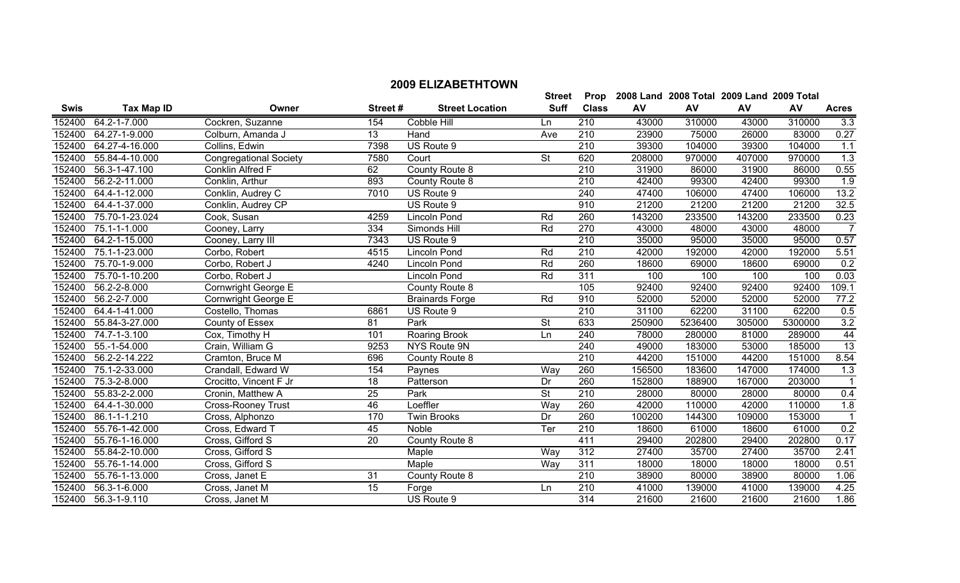|             |                       |                               |                 |                        | <b>Street</b>            |              |        | Prop 2008 Land 2008 Total 2009 Land 2009 Total |        |         |                  |
|-------------|-----------------------|-------------------------------|-----------------|------------------------|--------------------------|--------------|--------|------------------------------------------------|--------|---------|------------------|
| <b>Swis</b> | <b>Tax Map ID</b>     | Owner                         | Street#         | <b>Street Location</b> | <b>Suff</b>              | <b>Class</b> | AV     | AV                                             | AV     | AV      | <b>Acres</b>     |
| 152400      | 64.2-1-7.000          | Cockren, Suzanne              | 154             | Cobble Hill            | Ln                       | 210          | 43000  | 310000                                         | 43000  | 310000  | 3.3              |
|             | 152400 64.27-1-9.000  | Colburn, Amanda J             | $\overline{13}$ | Hand                   | Ave                      | 210          | 23900  | 75000                                          | 26000  | 83000   | 0.27             |
| 152400      | 64.27-4-16.000        | Collins, Edwin                | 7398            | US Route 9             |                          | 210          | 39300  | 104000                                         | 39300  | 104000  | 1.1              |
| 152400      | 55.84-4-10.000        | <b>Congregational Society</b> | 7580            | Court                  | $\overline{\mathsf{St}}$ | 620          | 208000 | 970000                                         | 407000 | 970000  | $\overline{1.3}$ |
| 152400      | 56.3-1-47.100         | Conklin Alfred F              | 62              | County Route 8         |                          | 210          | 31900  | 86000                                          | 31900  | 86000   | 0.55             |
| 152400      | 56.2-2-11.000         | Conklin, Arthur               | 893             | County Route 8         |                          | 210          | 42400  | 99300                                          | 42400  | 99300   | 1.9              |
|             | 152400 64.4-1-12.000  | Conklin, Audrey C             | 7010            | US Route 9             |                          | 240          | 47400  | 106000                                         | 47400  | 106000  | 13.2             |
| 152400      | 64.4-1-37.000         | Conklin, Audrey CP            |                 | US Route 9             |                          | 910          | 21200  | 21200                                          | 21200  | 21200   | 32.5             |
| 152400      | 75.70-1-23.024        | Cook, Susan                   | 4259            | <b>Lincoln Pond</b>    | Rd                       | 260          | 143200 | 233500                                         | 143200 | 233500  | 0.23             |
| 152400      | 75.1-1-1.000          | Cooney, Larry                 | 334             | Simonds Hill           | Rd                       | 270          | 43000  | 48000                                          | 43000  | 48000   | 7                |
| 152400      | 64.2-1-15.000         | Cooney, Larry III             | 7343            | US Route 9             |                          | 210          | 35000  | 95000                                          | 35000  | 95000   | 0.57             |
| 152400      | 75.1-1-23.000         | Corbo, Robert                 | 4515            | <b>Lincoln Pond</b>    | Rd                       | 210          | 42000  | 192000                                         | 42000  | 192000  | 5.51             |
| 152400      | 75.70-1-9.000         | Corbo, Robert J               | 4240            | Lincoln Pond           | Rd                       | 260          | 18600  | 69000                                          | 18600  | 69000   | 0.2              |
| 152400      | 75.70-1-10.200        | Corbo, Robert J               |                 | Lincoln Pond           | Rd                       | 311          | 100    | 100                                            | 100    | 100     | 0.03             |
| 152400      | 56.2-2-8.000          | Cornwright George E           |                 | County Route 8         |                          | 105          | 92400  | 92400                                          | 92400  | 92400   | 109.1            |
| 152400      | 56.2-2-7.000          | Cornwright George E           |                 | <b>Brainards Forge</b> | Rd                       | 910          | 52000  | 52000                                          | 52000  | 52000   | 77.2             |
| 152400      | 64.4-1-41.000         | Costello, Thomas              | 6861            | US Route 9             |                          | 210          | 31100  | 62200                                          | 31100  | 62200   | 0.5              |
|             | 152400 55.84-3-27.000 | County of Essex               | 81              | Park                   | $\overline{\mathsf{St}}$ | 633          | 250900 | 5236400                                        | 305000 | 5300000 | 3.2              |
| 152400      | 74.7-1-3.100          | Cox, Timothy H                | 101             | Roaring Brook          | Ln                       | 240          | 78000  | 280000                                         | 81000  | 289000  | 44               |
| 152400      | 55.-1-54.000          | Crain, William G              | 9253            | NYS Route 9N           |                          | 240          | 49000  | 183000                                         | 53000  | 185000  | 13               |
| 152400      | 56.2-2-14.222         | Cramton, Bruce M              | 696             | County Route 8         |                          | 210          | 44200  | 151000                                         | 44200  | 151000  | 8.54             |
| 152400      | 75.1-2-33.000         | Crandall, Edward W            | 154             | Paynes                 | Way                      | 260          | 156500 | 183600                                         | 147000 | 174000  | 1.3              |
| 152400      | 75.3-2-8.000          | Crocitto, Vincent F Jr        | $\overline{18}$ | Patterson              | Dr                       | 260          | 152800 | 188900                                         | 167000 | 203000  | $\overline{1}$   |
| 152400      | 55.83-2-2.000         | Cronin, Matthew A             | $\overline{25}$ | Park                   | $\overline{\mathsf{St}}$ | 210          | 28000  | 80000                                          | 28000  | 80000   | 0.4              |
| 152400      | 64.4-1-30.000         | <b>Cross-Rooney Trust</b>     | 46              | Loeffler               | Way                      | 260          | 42000  | 110000                                         | 42000  | 110000  | 1.8              |
| 152400      | 86.1-1-1.210          | Cross, Alphonzo               | 170             | <b>Twin Brooks</b>     | Dr                       | 260          | 100200 | 144300                                         | 109000 | 153000  | $\overline{1}$   |
| 152400      | 55.76-1-42.000        | Cross, Edward T               | 45              | Noble                  | Ter                      | 210          | 18600  | 61000                                          | 18600  | 61000   | 0.2              |
| 152400      | 55.76-1-16.000        | Cross, Gifford S              | $\overline{20}$ | County Route 8         |                          | 411          | 29400  | 202800                                         | 29400  | 202800  | 0.17             |
| 152400      | 55.84-2-10.000        | Cross, Gifford S              |                 | Maple                  | Way                      | 312          | 27400  | 35700                                          | 27400  | 35700   | 2.41             |
| 152400      | 55.76-1-14.000        | Cross, Gifford S              |                 | Maple                  | Way                      | 311          | 18000  | 18000                                          | 18000  | 18000   | 0.51             |
| 152400      | 55.76-1-13.000        | Cross, Janet E                | 31              | County Route 8         |                          | 210          | 38900  | 80000                                          | 38900  | 80000   | 1.06             |
|             | 152400 56.3-1-6.000   | Cross, Janet M                | 15              | Forge                  | Ln                       | 210          | 41000  | 139000                                         | 41000  | 139000  | 4.25             |

56.3-1-9.110 Cross, Janet M US Route 9 314 21600 21600 21600 21600 1.86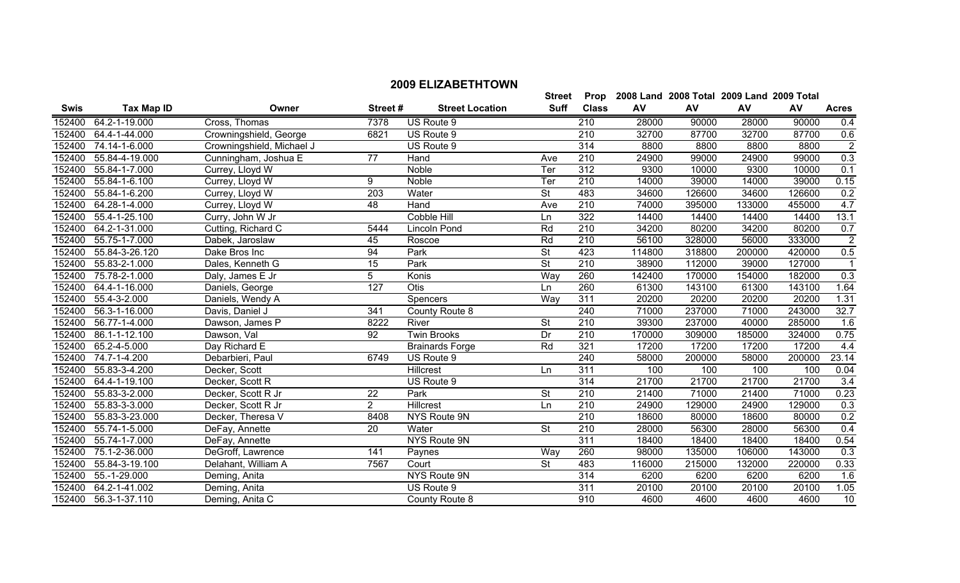|             |                             |                           |                 |                        | <b>Street</b>            | Prop             |        | 2008 Land 2008 Total 2009 Land 2009 Total |        |        |                |
|-------------|-----------------------------|---------------------------|-----------------|------------------------|--------------------------|------------------|--------|-------------------------------------------|--------|--------|----------------|
| <b>Swis</b> | <b>Tax Map ID</b>           | Owner                     | Street#         | <b>Street Location</b> | <b>Suff</b>              | <b>Class</b>     | AV     | AV                                        | AV     | AV     | <b>Acres</b>   |
|             | 152400 64.2-1-19.000        | Cross, Thomas             | 7378            | US Route 9             |                          | 210              | 28000  | 90000                                     | 28000  | 90000  | 0.4            |
| 152400      | 64.4-1-44.000               | Crowningshield, George    | 6821            | US Route 9             |                          | 210              | 32700  | 87700                                     | 32700  | 87700  | 0.6            |
| 152400      | 74.14-1-6.000               | Crowningshield, Michael J |                 | US Route 9             |                          | 314              | 8800   | 8800                                      | 8800   | 8800   | $\overline{2}$ |
| 152400      | 55.84-4-19.000              | Cunningham, Joshua E      | 77              | Hand                   | Ave                      | 210              | 24900  | 99000                                     | 24900  | 99000  | 0.3            |
| 152400      | 55.84-1-7.000               | Currey, Lloyd W           |                 | Noble                  | Ter                      | 312              | 9300   | 10000                                     | 9300   | 10000  | 0.1            |
| 152400      | 55.84-1-6.100               | Currey, Lloyd W           | 9               | Noble                  | Ter                      | $\overline{210}$ | 14000  | 39000                                     | 14000  | 39000  | 0.15           |
| 152400      | 55.84-1-6.200               | Currey, Lloyd W           | 203             | Water                  | <b>St</b>                | 483              | 34600  | 126600                                    | 34600  | 126600 | 0.2            |
| 152400      | 64.28-1-4.000               | Currey, Lloyd W           | 48              | Hand                   | Ave                      | 210              | 74000  | 395000                                    | 133000 | 455000 | 4.7            |
| 152400      | 55.4-1-25.100               | Curry, John W Jr          |                 | Cobble Hill            | Ln                       | 322              | 14400  | 14400                                     | 14400  | 14400  | 13.1           |
| 152400      | 64.2-1-31.000               | Cutting, Richard C        | 5444            | Lincoln Pond           | Rd                       | 210              | 34200  | 80200                                     | 34200  | 80200  | 0.7            |
| 152400      | $\overline{55.75}$ -1-7.000 | Dabek, Jaroslaw           | 45              | Roscoe                 | Rd                       | 210              | 56100  | 328000                                    | 56000  | 333000 | $\overline{2}$ |
| 152400      | 55.84-3-26.120              | Dake Bros Inc             | 94              | Park                   | <b>St</b>                | 423              | 114800 | 318800                                    | 200000 | 420000 | 0.5            |
| 152400      | 55.83-2-1.000               | Dales, Kenneth G          | 15              | Park                   | $\overline{\mathsf{St}}$ | 210              | 38900  | 112000                                    | 39000  | 127000 |                |
| 152400      | 75.78-2-1.000               | Daly, James E Jr          | $\overline{5}$  | Konis                  | Way                      | 260              | 142400 | 170000                                    | 154000 | 182000 | 0.3            |
|             | 152400 64.4-1-16.000        | Daniels, George           | 127             | <b>Otis</b>            | Ln                       | 260              | 61300  | 143100                                    | 61300  | 143100 | 1.64           |
| 152400      | 55.4-3-2.000                | Daniels, Wendy A          |                 | Spencers               | Way                      | 311              | 20200  | 20200                                     | 20200  | 20200  | 1.31           |
| 152400      | 56.3-1-16.000               | Davis, Daniel J           | 341             | County Route 8         |                          | 240              | 71000  | 237000                                    | 71000  | 243000 | 32.7           |
| 152400      | 56.77-1-4.000               | Dawson, James P           | 8222            | River                  | <b>St</b>                | 210              | 39300  | 237000                                    | 40000  | 285000 | 1.6            |
| 152400      | 86.1-1-12.100               | Dawson, Val               | 92              | <b>Twin Brooks</b>     | Dr                       | 210              | 170000 | 309000                                    | 185000 | 324000 | 0.75           |
| 152400      | 65.2-4-5.000                | Day Richard E             |                 | <b>Brainards Forge</b> | Rd                       | 321              | 17200  | 17200                                     | 17200  | 17200  | 4.4            |
| 152400      | 74.7-1-4.200                | Debarbieri, Paul          | 6749            | US Route 9             |                          | 240              | 58000  | 200000                                    | 58000  | 200000 | 23.14          |
| 152400      | 55.83-3-4.200               | Decker, Scott             |                 | <b>Hillcrest</b>       | Ln                       | 311              | 100    | 100                                       | 100    | 100    | 0.04           |
| 152400      | 64.4-1-19.100               | Decker, Scott R           |                 | US Route 9             |                          | 314              | 21700  | 21700                                     | 21700  | 21700  | 3.4            |
| 152400      | 55.83-3-2.000               | Decker, Scott R Jr        | $\overline{22}$ | Park                   | $\overline{\mathsf{St}}$ | 210              | 21400  | 71000                                     | 21400  | 71000  | 0.23           |
| 152400      | 55.83-3-3.000               | Decker, Scott R Jr        | 2               | <b>Hillcrest</b>       | Ln                       | 210              | 24900  | 129000                                    | 24900  | 129000 | 0.3            |
| 152400      | 55.83-3-23.000              | Decker, Theresa V         | 8408            | NYS Route 9N           |                          | 210              | 18600  | 80000                                     | 18600  | 80000  | 0.2            |
| 152400      | 55.74-1-5.000               | DeFay, Annette            | 20              | Water                  | St                       | 210              | 28000  | 56300                                     | 28000  | 56300  | 0.4            |
| 152400      | 55.74-1-7.000               | DeFay, Annette            |                 | NYS Route 9N           |                          | 311              | 18400  | 18400                                     | 18400  | 18400  | 0.54           |
| 152400      | 75.1-2-36.000               | DeGroff, Lawrence         | 141             | Paynes                 | Way                      | 260              | 98000  | 135000                                    | 106000 | 143000 | 0.3            |
| 152400      | 55.84-3-19.100              | Delahant, William A       | 7567            | Court                  | $\overline{\mathsf{St}}$ | 483              | 116000 | 215000                                    | 132000 | 220000 | 0.33           |
| 152400      | 55.-1-29.000                | Deming, Anita             |                 | NYS Route 9N           |                          | 314              | 6200   | 6200                                      | 6200   | 6200   | 1.6            |
| 152400      | 64.2-1-41.002               | Deming, Anita             |                 | US Route 9             |                          | 311              | 20100  | 20100                                     | 20100  | 20100  | 1.05           |
|             | 152400 56.3-1-37.110        | Deming, Anita C           |                 | County Route 8         |                          | 910              | 4600   | 4600                                      | 4600   | 4600   | 10             |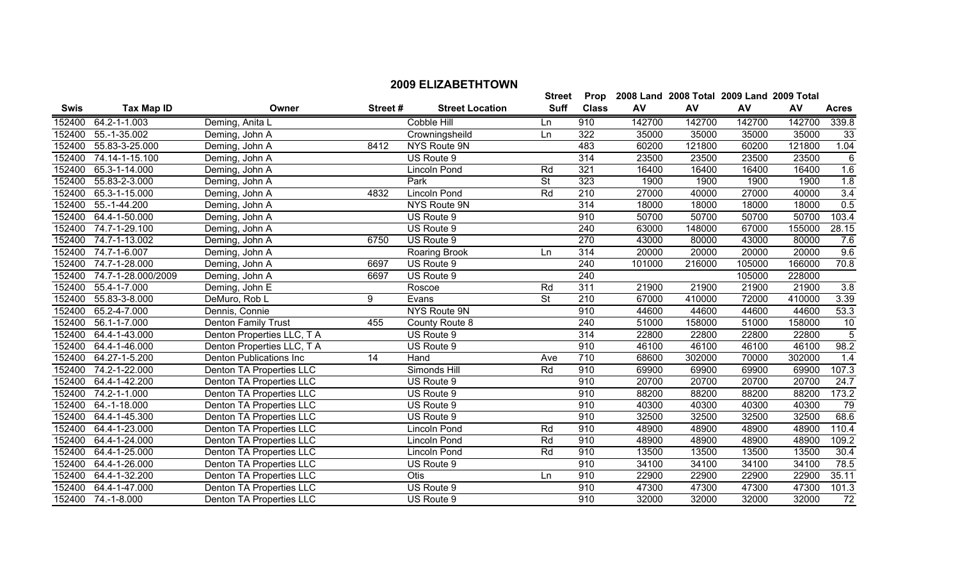|             |                              |                                |         |                        | <b>Street</b>            | Prop             |        | 2008 Land 2008 Total 2009 Land 2009 Total |        |        |                 |
|-------------|------------------------------|--------------------------------|---------|------------------------|--------------------------|------------------|--------|-------------------------------------------|--------|--------|-----------------|
| <b>Swis</b> | <b>Tax Map ID</b>            | Owner                          | Street# | <b>Street Location</b> | <b>Suff</b>              | <b>Class</b>     | AV     | AV                                        | AV     | AV     | <b>Acres</b>    |
| 152400      | 64.2-1-1.003                 | Deming, Anita L                |         | Cobble Hill            | Ln                       | 910              | 142700 | 142700                                    | 142700 | 142700 | 339.8           |
| 152400      | 55.-1-35.002                 | Deming, John A                 |         | Crowningsheild         | Ln                       | 322              | 35000  | 35000                                     | 35000  | 35000  | 33              |
| 152400      | 55.83-3-25.000               | Deming, John A                 | 8412    | NYS Route 9N           |                          | 483              | 60200  | 121800                                    | 60200  | 121800 | 1.04            |
| 152400      | $\overline{74.14}$ -1-15.100 | Deming, John A                 |         | US Route 9             |                          | 314              | 23500  | 23500                                     | 23500  | 23500  | 6               |
| 152400      | 65.3-1-14.000                | Deming, John A                 |         | <b>Lincoln Pond</b>    | Rd                       | 321              | 16400  | 16400                                     | 16400  | 16400  | 1.6             |
| 152400      | 55.83-2-3.000                | Deming, John A                 |         | Park                   | $\overline{\mathsf{St}}$ | 323              | 1900   | 1900                                      | 1900   | 1900   | 1.8             |
| 152400      | 65.3-1-15.000                | Deming, John A                 | 4832    | <b>Lincoln Pond</b>    | Rd                       | $\overline{210}$ | 27000  | 40000                                     | 27000  | 40000  | 3.4             |
| 152400      | 55.-1-44.200                 | Deming, John A                 |         | NYS Route 9N           |                          | 314              | 18000  | 18000                                     | 18000  | 18000  | 0.5             |
| 152400      | 64.4-1-50.000                | Deming, John A                 |         | US Route 9             |                          | 910              | 50700  | 50700                                     | 50700  | 50700  | 103.4           |
| 152400      | 74.7-1-29.100                | Deming, John A                 |         | US Route 9             |                          | 240              | 63000  | 148000                                    | 67000  | 155000 | 28.15           |
| 152400      | 74.7-1-13.002                | Deming, John A                 | 6750    | US Route 9             |                          | 270              | 43000  | 80000                                     | 43000  | 80000  | 7.6             |
| 152400      | 74.7-1-6.007                 | Deming, John A                 |         | Roaring Brook          | Ln                       | 314              | 20000  | 20000                                     | 20000  | 20000  | 9.6             |
| 152400      | 74.7-1-28.000                | Deming, John A                 | 6697    | US Route 9             |                          | 240              | 101000 | 216000                                    | 105000 | 166000 | 70.8            |
| 152400      | 74.7-1-28.000/2009           | Deming, John A                 | 6697    | US Route 9             |                          | 240              |        |                                           | 105000 | 228000 |                 |
| 152400      | 55.4-1-7.000                 | Deming, John E                 |         | Roscoe                 | Rd                       | 311              | 21900  | 21900                                     | 21900  | 21900  | 3.8             |
| 152400      | 55.83-3-8.000                | DeMuro, Rob L                  | 9       | Evans                  | $\overline{\mathsf{St}}$ | 210              | 67000  | 410000                                    | 72000  | 410000 | 3.39            |
| 152400      | 65.2-4-7.000                 | Dennis, Connie                 |         | <b>NYS Route 9N</b>    |                          | 910              | 44600  | 44600                                     | 44600  | 44600  | 53.3            |
| 152400      | 56.1-1-7.000                 | <b>Denton Family Trust</b>     | 455     | County Route 8         |                          | 240              | 51000  | 158000                                    | 51000  | 158000 | $\overline{10}$ |
| 152400      | 64.4-1-43.000                | Denton Properties LLC, T A     |         | US Route 9             |                          | 314              | 22800  | 22800                                     | 22800  | 22800  | 5               |
| 152400      | 64.4-1-46.000                | Denton Properties LLC, T A     |         | US Route 9             |                          | 910              | 46100  | 46100                                     | 46100  | 46100  | 98.2            |
| 152400      | 64.27-1-5.200                | <b>Denton Publications Inc</b> | 14      | Hand                   | Ave                      | 710              | 68600  | 302000                                    | 70000  | 302000 | 1.4             |
| 152400      | 74.2-1-22.000                | Denton TA Properties LLC       |         | Simonds Hill           | Rd                       | 910              | 69900  | 69900                                     | 69900  | 69900  | 107.3           |
| 152400      | 64.4-1-42.200                | Denton TA Properties LLC       |         | US Route 9             |                          | 910              | 20700  | 20700                                     | 20700  | 20700  | 24.7            |
| 152400      | 74.2-1-1.000                 | Denton TA Properties LLC       |         | US Route 9             |                          | 910              | 88200  | 88200                                     | 88200  | 88200  | 173.2           |
| 152400      | 64.-1-18.000                 | Denton TA Properties LLC       |         | US Route 9             |                          | 910              | 40300  | 40300                                     | 40300  | 40300  | 79              |
|             | 152400 64.4-1-45.300         | Denton TA Properties LLC       |         | US Route 9             |                          | 910              | 32500  | 32500                                     | 32500  | 32500  | 68.6            |
| 152400      | 64.4-1-23.000                | Denton TA Properties LLC       |         | Lincoln Pond           | Rd                       | 910              | 48900  | 48900                                     | 48900  | 48900  | 110.4           |
| 152400      | 64.4-1-24.000                | Denton TA Properties LLC       |         | Lincoln Pond           | Rd                       | 910              | 48900  | 48900                                     | 48900  | 48900  | 109.2           |
| 152400      | 64.4-1-25.000                | Denton TA Properties LLC       |         | Lincoln Pond           | Rd                       | 910              | 13500  | 13500                                     | 13500  | 13500  | 30.4            |
| 152400      | 64.4-1-26.000                | Denton TA Properties LLC       |         | US Route 9             |                          | 910              | 34100  | 34100                                     | 34100  | 34100  | 78.5            |
| 152400      | 64.4-1-32.200                | Denton TA Properties LLC       |         | <b>Otis</b>            | Ln                       | 910              | 22900  | 22900                                     | 22900  | 22900  | 35.11           |
| 152400      | 64.4-1-47.000                | Denton TA Properties LLC       |         | US Route 9             |                          | 910              | 47300  | 47300                                     | 47300  | 47300  | 101.3           |
|             | 152400 74.-1-8.000           | Denton TA Properties LLC       |         | US Route 9             |                          | 910              | 32000  | 32000                                     | 32000  | 32000  | 72              |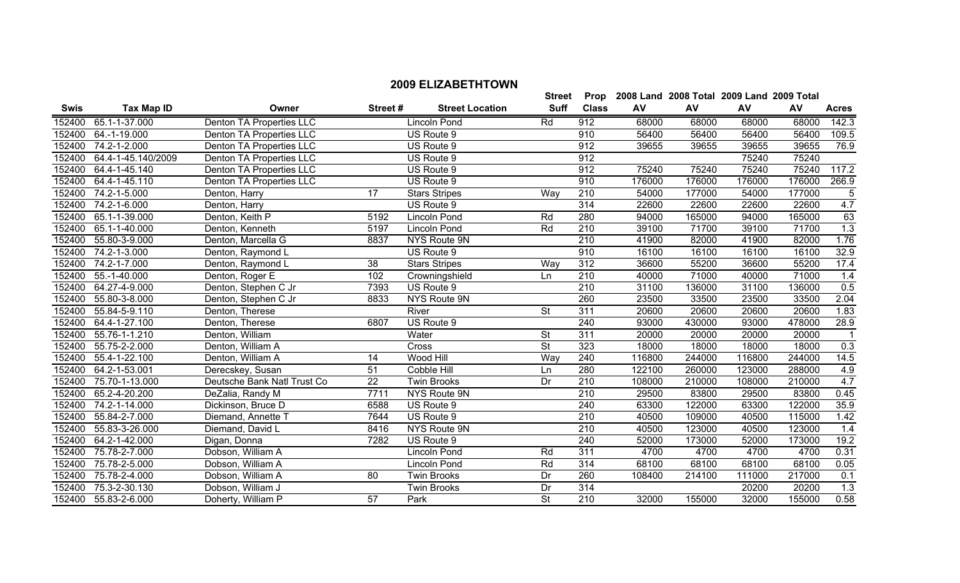| <b>Swis</b> | <b>Tax Map ID</b>  | Owner                           | Street# | <b>Street Location</b> | <b>Suff</b>              | <b>Class</b>     | AV     | AV     | AV     | AV     | <b>Acres</b>     |
|-------------|--------------------|---------------------------------|---------|------------------------|--------------------------|------------------|--------|--------|--------|--------|------------------|
| 152400      | 65.1-1-37.000      | <b>Denton TA Properties LLC</b> |         | Lincoln Pond           | Rd                       | 912              | 68000  | 68000  | 68000  | 68000  | 142.3            |
| 152400      | 64.-1-19.000       | Denton TA Properties LLC        |         | US Route 9             |                          | 910              | 56400  | 56400  | 56400  | 56400  | 109.5            |
| 152400      | 74.2-1-2.000       | Denton TA Properties LLC        |         | US Route 9             |                          | 912              | 39655  | 39655  | 39655  | 39655  | 76.9             |
| 152400      | 64.4-1-45.140/2009 | Denton TA Properties LLC        |         | US Route 9             |                          | 912              |        |        | 75240  | 75240  |                  |
| 152400      | 64.4-1-45.140      | Denton TA Properties LLC        |         | US Route 9             |                          | 912              | 75240  | 75240  | 75240  | 75240  | 117.2            |
| 152400      | 64.4-1-45.110      | Denton TA Properties LLC        |         | US Route 9             |                          | 910              | 176000 | 176000 | 176000 | 176000 | 266.9            |
| 152400      | 74.2-1-5.000       | Denton, Harry                   | 17      | <b>Stars Stripes</b>   | Way                      | 210              | 54000  | 177000 | 54000  | 177000 | 5                |
| 152400      | 74.2-1-6.000       | Denton, Harry                   |         | US Route 9             |                          | 314              | 22600  | 22600  | 22600  | 22600  | 4.7              |
| 152400      | 65.1-1-39.000      | Denton, Keith P                 | 5192    | Lincoln Pond           | Rd                       | 280              | 94000  | 165000 | 94000  | 165000 | 63               |
| 152400      | 65.1-1-40.000      | Denton, Kenneth                 | 5197    | <b>Lincoln Pond</b>    | Rd                       | 210              | 39100  | 71700  | 39100  | 71700  | $\overline{1.3}$ |
| 152400      | 55.80-3-9.000      | Denton, Marcella G              | 8837    | NYS Route 9N           |                          | 210              | 41900  | 82000  | 41900  | 82000  | 1.76             |
| 152400      | 74.2-1-3.000       | Denton, Raymond L               |         | US Route 9             |                          | 910              | 16100  | 16100  | 16100  | 16100  | 32.9             |
| 152400      | 74.2-1-7.000       | Denton, Raymond L               | 38      | <b>Stars Stripes</b>   | Way                      | 312              | 36600  | 55200  | 36600  | 55200  | 17.4             |
| 152400      | 55.-1-40.000       | Denton, Roger E                 | 102     | Crowningshield         | Ln                       | $\overline{210}$ | 40000  | 71000  | 40000  | 71000  | 1.4              |
| 152400      | 64.27-4-9.000      | Denton, Stephen C Jr            | 7393    | US Route 9             |                          | $\overline{210}$ | 31100  | 136000 | 31100  | 136000 | 0.5              |
| 152400      | 55.80-3-8.000      | Denton, Stephen C Jr            | 8833    | NYS Route 9N           |                          | 260              | 23500  | 33500  | 23500  | 33500  | 2.04             |
| 152400      | 55.84-5-9.110      | Denton, Therese                 |         | River                  | $\overline{\mathsf{St}}$ | 311              | 20600  | 20600  | 20600  | 20600  | 1.83             |
| 152400      | 64.4-1-27.100      | Denton, Therese                 | 6807    | US Route 9             |                          | 240              | 93000  | 430000 | 93000  | 478000 | 28.9             |
| 152400      | 55.76-1-1.210      | Denton, William                 |         | Water                  | <b>St</b>                | 311              | 20000  | 20000  | 20000  | 20000  |                  |
| 152400      | 55.75-2-2.000      | Denton, William A               |         | Cross                  | <b>St</b>                | 323              | 18000  | 18000  | 18000  | 18000  | 0.3              |
| 152400      | 55.4-1-22.100      | Denton, William A               | 14      | Wood Hill              | Way                      | 240              | 116800 | 244000 | 116800 | 244000 | 14.5             |
| 152400      | 64.2-1-53.001      | Derecskey, Susan                | 51      | Cobble Hill            | Ln                       | 280              | 122100 | 260000 | 123000 | 288000 | 4.9              |
| 152400      | 75.70-1-13.000     | Deutsche Bank Natl Trust Co     | 22      | <b>Twin Brooks</b>     | Dr                       | 210              | 108000 | 210000 | 108000 | 210000 | 4.7              |
| 152400      | 65.2-4-20.200      | DeZalia, Randy M                | 7711    | NYS Route 9N           |                          | 210              | 29500  | 83800  | 29500  | 83800  | 0.45             |
| 152400      | 74.2-1-14.000      | Dickinson, Bruce D              | 6588    | US Route 9             |                          | 240              | 63300  | 122000 | 63300  | 122000 | 35.9             |
| 152400      | 55.84-2-7.000      | Diemand, Annette T              | 7644    | US Route 9             |                          | 210              | 40500  | 109000 | 40500  | 115000 | 1.42             |
| 152400      | 55.83-3-26.000     | Diemand, David L                | 8416    | NYS Route 9N           |                          | $\overline{210}$ | 40500  | 123000 | 40500  | 123000 | 1.4              |
| 152400      | 64.2-1-42.000      | Digan, Donna                    | 7282    | US Route 9             |                          | 240              | 52000  | 173000 | 52000  | 173000 | 19.2             |
| 152400      | 75.78-2-7.000      | Dobson, William A               |         | Lincoln Pond           | Rd                       | $\overline{311}$ | 4700   | 4700   | 4700   | 4700   | 0.31             |
| 152400      | 75.78-2-5.000      | Dobson, William A               |         | Lincoln Pond           | Rd                       | 314              | 68100  | 68100  | 68100  | 68100  | 0.05             |
| 152400      | 75.78-2-4.000      | Dobson, William A               | 80      | <b>Twin Brooks</b>     | Dr                       | 260              | 108400 | 214100 | 111000 | 217000 | 0.1              |
| 152400      | 75.3-2-30.130      | Dobson, William J               |         | <b>Twin Brooks</b>     | Dr                       | 314              |        |        | 20200  | 20200  | 1.3              |
| 152400      | 55.83-2-6.000      | Doherty, William P              | 57      | Park                   | $\overline{\mathsf{St}}$ | 210              | 32000  | 155000 | 32000  | 155000 | 0.58             |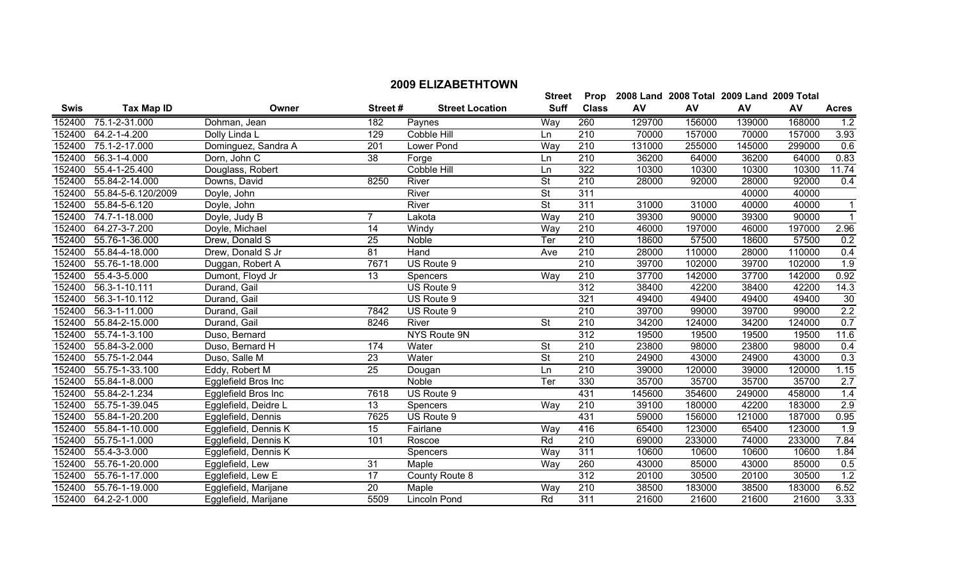|             |                       |                      |                  |                        | <b>Street</b>            | Prop             |        | 2008 Land 2008 Total 2009 Land 2009 Total |        |        |                  |
|-------------|-----------------------|----------------------|------------------|------------------------|--------------------------|------------------|--------|-------------------------------------------|--------|--------|------------------|
| <b>Swis</b> | <b>Tax Map ID</b>     | Owner                | Street#          | <b>Street Location</b> | <b>Suff</b>              | <b>Class</b>     | AV     | AV                                        | AV     | AV     | <b>Acres</b>     |
| 152400      | 75.1-2-31.000         | Dohman, Jean         | 182              | Paynes                 | Way                      | 260              | 129700 | 156000                                    | 139000 | 168000 | 1.2              |
| 152400      | 64.2-1-4.200          | Dolly Linda L        | 129              | Cobble Hill            | Ln                       | 210              | 70000  | 157000                                    | 70000  | 157000 | 3.93             |
| 152400      | 75.1-2-17.000         | Dominguez, Sandra A  | $\overline{201}$ | Lower Pond             | Way                      | $\overline{210}$ | 131000 | 255000                                    | 145000 | 299000 | 0.6              |
| 152400      | 56.3-1-4.000          | Dorn, John C         | 38               | Forge                  | Ln                       | 210              | 36200  | 64000                                     | 36200  | 64000  | 0.83             |
| 152400      | 55.4-1-25.400         | Douglass, Robert     |                  | Cobble Hill            | Ln                       | 322              | 10300  | 10300                                     | 10300  | 10300  | 11.74            |
| 152400      | 55.84-2-14.000        | Downs, David         | 8250             | River                  | $\overline{\mathsf{St}}$ | 210              | 28000  | 92000                                     | 28000  | 92000  | 0.4              |
| 152400      | 55.84-5-6.120/2009    | Doyle, John          |                  | River                  | $\overline{\mathsf{St}}$ | 311              |        |                                           | 40000  | 40000  |                  |
| 152400      | 55.84-5-6.120         | Doyle, John          |                  | River                  | $\overline{\mathsf{St}}$ | 311              | 31000  | 31000                                     | 40000  | 40000  | 1                |
| 152400      | 74.7-1-18.000         | Doyle, Judy B        |                  | Lakota                 | Way                      | 210              | 39300  | 90000                                     | 39300  | 90000  |                  |
| 152400      | 64.27-3-7.200         | Doyle, Michael       | 14               | Windy                  | Way                      | 210              | 46000  | 197000                                    | 46000  | 197000 | 2.96             |
| 152400      | 55.76-1-36.000        | Drew, Donald S       | 25               | Noble                  | Ter                      | 210              | 18600  | 57500                                     | 18600  | 57500  | 0.2              |
| 152400      | 55.84-4-18.000        | Drew, Donald S Jr    | $\overline{81}$  | Hand                   | Ave                      | 210              | 28000  | 110000                                    | 28000  | 110000 | 0.4              |
| 152400      | 55.76-1-18.000        | Duggan, Robert A     | 7671             | US Route 9             |                          | 210              | 39700  | 102000                                    | 39700  | 102000 | 1.9              |
| 152400      | 55.4-3-5.000          | Dumont, Floyd Jr     | $\overline{13}$  | Spencers               | Way                      | 210              | 37700  | 142000                                    | 37700  | 142000 | 0.92             |
| 152400      | 56.3-1-10.111         | Durand, Gail         |                  | US Route 9             |                          | 312              | 38400  | 42200                                     | 38400  | 42200  | 14.3             |
| 152400      | 56.3-1-10.112         | Durand, Gail         |                  | US Route 9             |                          | 321              | 49400  | 49400                                     | 49400  | 49400  | 30               |
| 152400      | 56.3-1-11.000         | Durand, Gail         | 7842             | US Route 9             |                          | $\overline{210}$ | 39700  | 99000                                     | 39700  | 99000  | $\overline{2.2}$ |
| 152400      | 55.84-2-15.000        | Durand, Gail         | 8246             | <b>River</b>           | <b>St</b>                | 210              | 34200  | 124000                                    | 34200  | 124000 | 0.7              |
| 152400      | 55.74-1-3.100         | Duso, Bernard        |                  | NYS Route 9N           |                          | 312              | 19500  | 19500                                     | 19500  | 19500  | 11.6             |
| 152400      | 55.84-3-2.000         | Duso, Bernard H      | 174              | Water                  | $\overline{\mathsf{St}}$ | 210              | 23800  | 98000                                     | 23800  | 98000  | 0.4              |
| 152400      | 55.75-1-2.044         | Duso, Salle M        | 23               | Water                  | $\overline{\mathsf{St}}$ | 210              | 24900  | 43000                                     | 24900  | 43000  | 0.3              |
| 152400      | 55.75-1-33.100        | Eddy, Robert M       | $\overline{25}$  | Dougan                 | Ln                       | 210              | 39000  | 120000                                    | 39000  | 120000 | 1.15             |
| 152400      | 55.84-1-8.000         | Egglefield Bros Inc  |                  | Noble                  | Ter                      | 330              | 35700  | 35700                                     | 35700  | 35700  | 2.7              |
| 152400      | 55.84-2-1.234         | Egglefield Bros Inc  | 7618             | US Route 9             |                          | 431              | 145600 | 354600                                    | 249000 | 458000 | 1.4              |
| 152400      | 55.75-1-39.045        | Egglefield, Deidre L | 13               | Spencers               | Way                      | 210              | 39100  | 180000                                    | 42200  | 183000 | 2.9              |
| 152400      | 55.84-1-20.200        | Egglefield, Dennis   | 7625             | US Route 9             |                          | 431              | 59000  | 156000                                    | 121000 | 187000 | 0.95             |
| 152400      | 55.84-1-10.000        | Egglefield, Dennis K | 15               | Fairlane               | Way                      | 416              | 65400  | 123000                                    | 65400  | 123000 | 1.9              |
| 152400      | 55.75-1-1.000         | Egglefield, Dennis K | 101              | Roscoe                 | <b>Rd</b>                | 210              | 69000  | 233000                                    | 74000  | 233000 | 7.84             |
| 152400      | 55.4-3-3.000          | Egglefield, Dennis K |                  | Spencers               | Way                      | 311              | 10600  | 10600                                     | 10600  | 10600  | 1.84             |
| 152400      | 55.76-1-20.000        | Egglefield, Lew      | $\overline{31}$  | Maple                  | Way                      | 260              | 43000  | 85000                                     | 43000  | 85000  | 0.5              |
|             | 152400 55.76-1-17.000 | Egglefield, Lew E    | $\overline{17}$  | County Route 8         |                          | $\overline{312}$ | 20100  | 30500                                     | 20100  | 30500  | 1.2              |

 55.76-1-17.000 Egglefield, Lew E 17 County Route 8 312 20100 30500 20100 30500 1.2 55.76-1-19.000 Egglefield, Marijane 20 Maple Way 210 38500 183000 38500 183000 6.52 64.2-2-1.000 Egglefield, Marijane 5509 Lincoln Pond Rd 311 21600 21600 21600 21600 3.33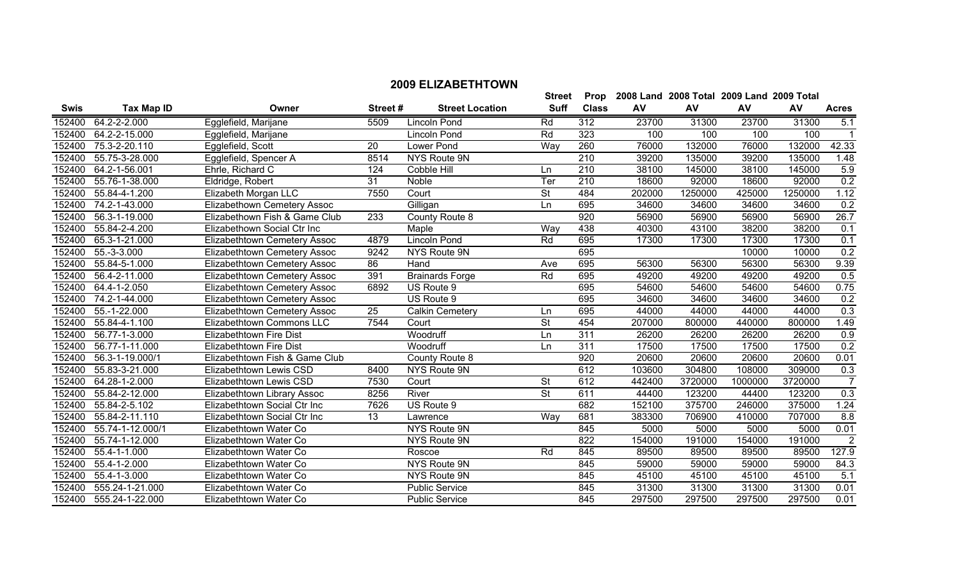|             |                   |                                     |                 |                        | <b>Street</b>            | Prop             |        | 2008 Land 2008 Total 2009 Land 2009 Total |         |         |                  |
|-------------|-------------------|-------------------------------------|-----------------|------------------------|--------------------------|------------------|--------|-------------------------------------------|---------|---------|------------------|
| <b>Swis</b> | <b>Tax Map ID</b> | Owner                               | Street#         | <b>Street Location</b> | <b>Suff</b>              | <b>Class</b>     | AV     | AV                                        | AV      | AV      | <b>Acres</b>     |
| 152400      | 64.2-2-2.000      | Egglefield, Marijane                | 5509            | Lincoln Pond           | Rd                       | 312              | 23700  | 31300                                     | 23700   | 31300   | 5.1              |
| 152400      | 64.2-2-15.000     | Egglefield, Marijane                |                 | <b>Lincoln Pond</b>    | Rd                       | 323              | 100    | 100                                       | 100     | 100     | $\overline{1}$   |
| 152400      | 75.3-2-20.110     | Egglefield, Scott                   | 20              | Lower Pond             | Way                      | 260              | 76000  | 132000                                    | 76000   | 132000  | 42.33            |
| 152400      | 55.75-3-28.000    | Egglefield, Spencer A               | 8514            | NYS Route 9N           |                          | $\overline{210}$ | 39200  | 135000                                    | 39200   | 135000  | 1.48             |
| 152400      | 64.2-1-56.001     | Ehrle, Richard C                    | 124             | Cobble Hill            | Ln                       | $\overline{210}$ | 38100  | 145000                                    | 38100   | 145000  | 5.9              |
| 152400      | 55.76-1-38.000    | Eldridge, Robert                    | 31              | Noble                  | Ter                      | 210              | 18600  | 92000                                     | 18600   | 92000   | 0.2              |
| 152400      | 55.84-4-1.200     | Elizabeth Morgan LLC                | 7550            | Court                  | $\overline{\mathsf{St}}$ | 484              | 202000 | 1250000                                   | 425000  | 1250000 | 1.12             |
| 152400      | 74.2-1-43.000     | Elizabethown Cemetery Assoc         |                 | Gilligan               | Ln                       | 695              | 34600  | 34600                                     | 34600   | 34600   | 0.2              |
| 152400      | 56.3-1-19.000     | Elizabethown Fish & Game Club       | 233             | County Route 8         |                          | $\overline{920}$ | 56900  | 56900                                     | 56900   | 56900   | 26.7             |
| 152400      | 55.84-2-4.200     | Elizabethown Social Ctr Inc         |                 | Maple                  | Way                      | 438              | 40300  | 43100                                     | 38200   | 38200   | 0.1              |
| 152400      | 65.3-1-21.000     | Elizabethtown Cemetery Assoc        | 4879            | <b>Lincoln Pond</b>    | Rd                       | 695              | 17300  | 17300                                     | 17300   | 17300   | 0.1              |
| 152400      | 55.-3-3.000       | Elizabethtown Cemetery Assoc        | 9242            | NYS Route 9N           |                          | 695              |        |                                           | 10000   | 10000   | 0.2              |
| 152400      | 55.84-5-1.000     | Elizabethtown Cemetery Assoc        | 86              | <b>Hand</b>            | Ave                      | 695              | 56300  | 56300                                     | 56300   | 56300   | 9.39             |
| 152400      | 56.4-2-11.000     | <b>Elizabethtown Cemetery Assoc</b> | 391             | <b>Brainards Forge</b> | Rd                       | 695              | 49200  | 49200                                     | 49200   | 49200   | 0.5              |
| 152400      | 64.4-1-2.050      | <b>Elizabethtown Cemetery Assoc</b> | 6892            | US Route 9             |                          | 695              | 54600  | 54600                                     | 54600   | 54600   | 0.75             |
| 152400      | 74.2-1-44.000     | <b>Elizabethtown Cemetery Assoc</b> |                 | US Route 9             |                          | 695              | 34600  | 34600                                     | 34600   | 34600   | 0.2              |
| 152400      | 55.-1-22.000      | Elizabethtown Cemetery Assoc        | 25              | <b>Calkin Cemetery</b> | Ln                       | 695              | 44000  | 44000                                     | 44000   | 44000   | 0.3              |
| 152400      | 55.84-4-1.100     | Elizabethtown Commons LLC           | 7544            | Court                  | <b>St</b>                | 454              | 207000 | 800000                                    | 440000  | 800000  | 1.49             |
| 152400      | 56.77-1-3.000     | Elizabethtown Fire Dist             |                 | Woodruff               | Ln                       | 311              | 26200  | 26200                                     | 26200   | 26200   | 0.9              |
| 152400      | 56.77-1-11.000    | Elizabethtown Fire Dist             |                 | Woodruff               | Ln                       | 311              | 17500  | 17500                                     | 17500   | 17500   | 0.2              |
| 152400      | 56.3-1-19.000/1   | Elizabethtown Fish & Game Club      |                 | County Route 8         |                          | 920              | 20600  | 20600                                     | 20600   | 20600   | 0.01             |
| 152400      | 55.83-3-21.000    | Elizabethtown Lewis CSD             | 8400            | NYS Route 9N           |                          | 612              | 103600 | 304800                                    | 108000  | 309000  | 0.3              |
| 152400      | 64.28-1-2.000     | Elizabethtown Lewis CSD             | 7530            | Court                  | <b>St</b>                | 612              | 442400 | 3720000                                   | 1000000 | 3720000 | $\overline{7}$   |
| 152400      | 55.84-2-12.000    | Elizabethtown Library Assoc         | 8256            | River                  | $\overline{\mathsf{St}}$ | 611              | 44400  | 123200                                    | 44400   | 123200  | 0.3              |
| 152400      | 55.84-2-5.102     | Elizabethtown Social Ctr Inc        | 7626            | US Route 9             |                          | 682              | 152100 | 375700                                    | 246000  | 375000  | 1.24             |
| 152400      | 55.84-2-11.110    | Elizabethtown Social Ctr Inc        | $\overline{13}$ | Lawrence               | Way                      | 681              | 383300 | 706900                                    | 410000  | 707000  | 8.8              |
| 152400      | 55.74-1-12.000/1  | Elizabethtown Water Co              |                 | NYS Route 9N           |                          | 845              | 5000   | 5000                                      | 5000    | 5000    | 0.01             |
| 152400      | 55.74-1-12.000    | Elizabethtown Water Co              |                 | NYS Route 9N           |                          | 822              | 154000 | 191000                                    | 154000  | 191000  | $\overline{2}$   |
| 152400      | 55.4-1-1.000      | Elizabethtown Water Co              |                 | Roscoe                 | Rd                       | 845              | 89500  | 89500                                     | 89500   | 89500   | 127.9            |
| 152400      | 55.4-1-2.000      | Elizabethtown Water Co              |                 | NYS Route 9N           |                          | 845              | 59000  | 59000                                     | 59000   | 59000   | 84.3             |
| 152400      | 55.4-1-3.000      | Elizabethtown Water Co              |                 | NYS Route 9N           |                          | 845              | 45100  | 45100                                     | 45100   | 45100   | $\overline{5.1}$ |
| 152400      | 555.24-1-21.000   | Elizabethtown Water Co              |                 | <b>Public Service</b>  |                          | 845              | 31300  | 31300                                     | 31300   | 31300   | 0.01             |
| 152400      | 555.24-1-22.000   | Elizabethtown Water Co              |                 | <b>Public Service</b>  |                          | 845              | 297500 | 297500                                    | 297500  | 297500  | 0.01             |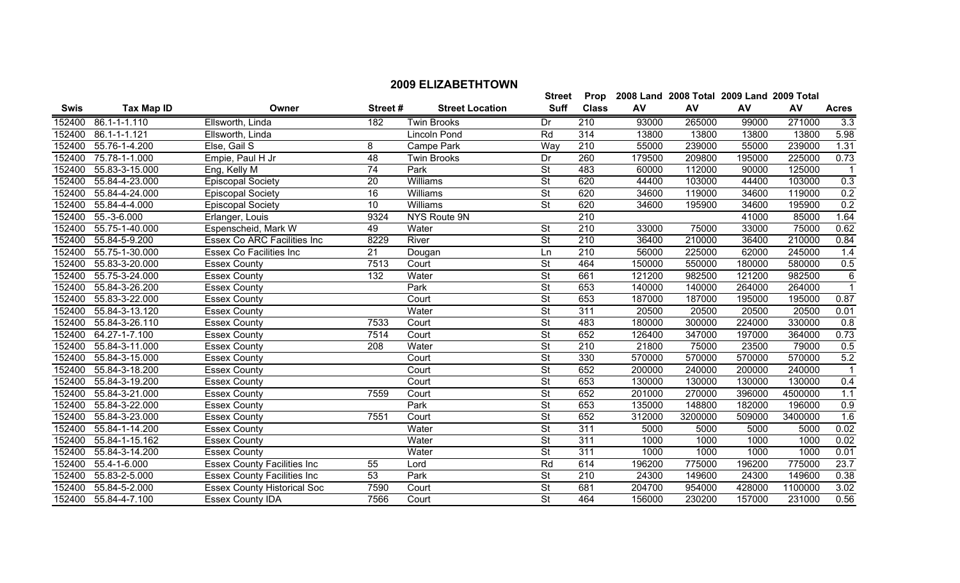| <b>Swis</b> | <b>Tax Map ID</b> | Owner                              | Street#         | <b>Street Location</b> | <b>Suff</b>              | <b>Class</b>     | AV     | AV      | AV     | AV      | <b>Acres</b>   |
|-------------|-------------------|------------------------------------|-----------------|------------------------|--------------------------|------------------|--------|---------|--------|---------|----------------|
| 152400      | 86.1-1-1.110      | Ellsworth, Linda                   | 182             | <b>Twin Brooks</b>     | Dr                       | 210              | 93000  | 265000  | 99000  | 271000  | 3.3            |
| 152400      | 86.1-1-1.121      | Ellsworth, Linda                   |                 | Lincoln Pond           | Rd                       | $\overline{314}$ | 13800  | 13800   | 13800  | 13800   | 5.98           |
| 152400      | 55.76-1-4.200     | Else, Gail S                       | 8               | Campe Park             | Way                      | 210              | 55000  | 239000  | 55000  | 239000  | 1.31           |
| 152400      | 75.78-1-1.000     | Empie, Paul H Jr                   | $\overline{48}$ | <b>Twin Brooks</b>     | Dr                       | 260              | 179500 | 209800  | 195000 | 225000  | 0.73           |
| 152400      | 55.83-3-15.000    | Eng, Kelly M                       | 74              | Park                   | St                       | 483              | 60000  | 112000  | 90000  | 125000  | $\mathbf 1$    |
| 152400      | 55.84-4-23.000    | <b>Episcopal Society</b>           | $\overline{20}$ | Williams               | St                       | 620              | 44400  | 103000  | 44400  | 103000  | 0.3            |
| 152400      | 55.84-4-24.000    | <b>Episcopal Society</b>           | $\overline{16}$ | Williams               | St                       | 620              | 34600  | 119000  | 34600  | 119000  | 0.2            |
| 152400      | 55.84-4-4.000     | <b>Episcopal Society</b>           | 10              | Williams               | $\overline{\mathsf{St}}$ | 620              | 34600  | 195900  | 34600  | 195900  | 0.2            |
| 152400      | 55.-3-6.000       | Erlanger, Louis                    | 9324            | NYS Route 9N           |                          | 210              |        |         | 41000  | 85000   | 1.64           |
| 152400      | 55.75-1-40.000    | Espenscheid, Mark W                | 49              | Water                  | St                       | 210              | 33000  | 75000   | 33000  | 75000   | 0.62           |
| 152400      | 55.84-5-9.200     | Essex Co ARC Facilities Inc        | 8229            | River                  | St                       | 210              | 36400  | 210000  | 36400  | 210000  | 0.84           |
| 152400      | 55.75-1-30.000    | <b>Essex Co Facilities Inc</b>     | 21              | Dougan                 | Ln                       | $\overline{210}$ | 56000  | 225000  | 62000  | 245000  | 1.4            |
| 152400      | 55.83-3-20.000    | <b>Essex County</b>                | 7513            | Court                  | $\overline{\mathsf{St}}$ | 464              | 150000 | 550000  | 180000 | 580000  | 0.5            |
| 152400      | 55.75-3-24.000    | <b>Essex County</b>                | 132             | Water                  | $\overline{\mathsf{St}}$ | 661              | 121200 | 982500  | 121200 | 982500  | $\overline{6}$ |
| 152400      | 55.84-3-26.200    | <b>Essex County</b>                |                 | Park                   | <b>St</b>                | 653              | 140000 | 140000  | 264000 | 264000  | $\mathbf{1}$   |
| 152400      | 55.83-3-22.000    | <b>Essex County</b>                |                 | Court                  | $\overline{\mathsf{St}}$ | 653              | 187000 | 187000  | 195000 | 195000  | 0.87           |
| 152400      | 55.84-3-13.120    | <b>Essex County</b>                |                 | Water                  | <b>St</b>                | 311              | 20500  | 20500   | 20500  | 20500   | 0.01           |
| 152400      | 55.84-3-26.110    | <b>Essex County</b>                | 7533            | Court                  | $\overline{\mathsf{St}}$ | 483              | 180000 | 300000  | 224000 | 330000  | 0.8            |
| 152400      | 64.27-1-7.100     | <b>Essex County</b>                | 7514            | Court                  | $\overline{\mathsf{St}}$ | 652              | 126400 | 347000  | 197000 | 364000  | 0.73           |
| 152400      | 55.84-3-11.000    | <b>Essex County</b>                | 208             | Water                  | $\overline{\mathsf{St}}$ | 210              | 21800  | 75000   | 23500  | 79000   | 0.5            |
| 152400      | 55.84-3-15.000    | <b>Essex County</b>                |                 | Court                  | St                       | 330              | 570000 | 570000  | 570000 | 570000  | 5.2            |
| 152400      | 55.84-3-18.200    | <b>Essex County</b>                |                 | Court                  | St                       | 652              | 200000 | 240000  | 200000 | 240000  | $\mathbf 1$    |
| 152400      | 55.84-3-19.200    | <b>Essex County</b>                |                 | Court                  | $\overline{\mathsf{St}}$ | 653              | 130000 | 130000  | 130000 | 130000  | 0.4            |
| 152400      | 55.84-3-21.000    | <b>Essex County</b>                | 7559            | Court                  | St                       | 652              | 201000 | 270000  | 396000 | 4500000 | 1.1            |
| 152400      | 55.84-3-22.000    | <b>Essex County</b>                |                 | Park                   | $\overline{\mathsf{St}}$ | 653              | 135000 | 148800  | 182000 | 196000  | 0.9            |
| 152400      | 55.84-3-23.000    | <b>Essex County</b>                | 7551            | Court                  | St                       | 652              | 312000 | 3200000 | 509000 | 3400000 | 1.6            |
| 152400      | 55.84-1-14.200    | <b>Essex County</b>                |                 | Water                  | St                       | 311              | 5000   | 5000    | 5000   | 5000    | 0.02           |
| 152400      | 55.84-1-15.162    | <b>Essex County</b>                |                 | Water                  | St                       | 311              | 1000   | 1000    | 1000   | 1000    | 0.02           |
| 152400      | 55.84-3-14.200    | <b>Essex County</b>                |                 | Water                  | $\overline{\mathsf{St}}$ | 311              | 1000   | 1000    | 1000   | 1000    | 0.01           |
| 152400      | 55.4-1-6.000      | <b>Essex County Facilities Inc</b> | 55              | Lord                   | Rd                       | 614              | 196200 | 775000  | 196200 | 775000  | 23.7           |
| 152400      | 55.83-2-5.000     | <b>Essex County Facilities Inc</b> | $\overline{53}$ | Park                   | $\overline{\mathsf{St}}$ | 210              | 24300  | 149600  | 24300  | 149600  | 0.38           |
| 152400      | 55.84-5-2.000     | <b>Essex County Historical Soc</b> | 7590            | Court                  | <b>St</b>                | 681              | 204700 | 954000  | 428000 | 1100000 | 3.02           |
| 152400      | 55.84-4-7.100     | <b>Essex County IDA</b>            | 7566            | Court                  | St                       | 464              | 156000 | 230200  | 157000 | 231000  | 0.56           |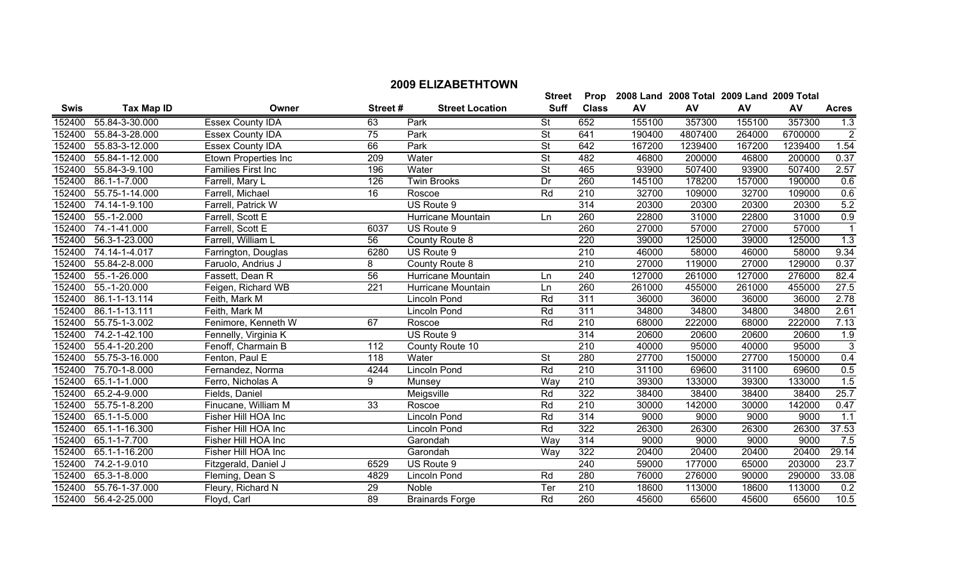| <b>Swis</b> | <b>Tax Map ID</b>          | Owner                     | Street#          | <b>Street Location</b> | Suff                     | <b>Class</b> | AV     | AV      | AV     | <b>AV</b> | <b>Acres</b>     |
|-------------|----------------------------|---------------------------|------------------|------------------------|--------------------------|--------------|--------|---------|--------|-----------|------------------|
| 152400      | 55.84-3-30.000             | <b>Essex County IDA</b>   | 63               | Park                   | St                       | 652          | 155100 | 357300  | 155100 | 357300    | 1.3              |
| 152400      | 55.84-3-28.000             | <b>Essex County IDA</b>   | 75               | Park                   | <b>St</b>                | 641          | 190400 | 4807400 | 264000 | 6700000   | $\boldsymbol{2}$ |
| 152400      | 55.83-3-12.000             | Essex County IDA          | 66               | Park                   | $\overline{\mathsf{St}}$ | 642          | 167200 | 1239400 | 167200 | 1239400   | 1.54             |
| 152400      | 55.84-1-12.000             | Etown Properties Inc      | 209              | Water                  | <b>St</b>                | 482          | 46800  | 200000  | 46800  | 200000    | 0.37             |
| 152400      | 55.84-3-9.100              | <b>Families First Inc</b> | 196              | Water                  | <b>St</b>                | 465          | 93900  | 507400  | 93900  | 507400    | 2.57             |
| 152400      | 86.1-1-7.000               | Farrell, Mary L           | 126              | <b>Twin Brooks</b>     | Dr                       | 260          | 145100 | 178200  | 157000 | 190000    | 0.6              |
| 152400      | 55.75-1-14.000             | Farrell, Michael          | 16               | Roscoe                 | Rd                       | 210          | 32700  | 109000  | 32700  | 109000    | 0.6              |
| 152400      | 74.14-1-9.100              | Farrell, Patrick W        |                  | US Route 9             |                          | 314          | 20300  | 20300   | 20300  | 20300     | 5.2              |
| 152400      | 55.-1-2.000                | Farrell, Scott E          |                  | Hurricane Mountain     | Ln                       | 260          | 22800  | 31000   | 22800  | 31000     | 0.9              |
| 152400      | 74.-1-41.000               | Farrell, Scott E          | 6037             | US Route 9             |                          | 260          | 27000  | 57000   | 27000  | 57000     | $\overline{1}$   |
| 152400      | 56.3-1-23.000              | Farrell, William L        | 56               | County Route 8         |                          | 220          | 39000  | 125000  | 39000  | 125000    | 1.3              |
| 152400      | 74.14-1-4.017              | Farrington, Douglas       | 6280             | US Route 9             |                          | 210          | 46000  | 58000   | 46000  | 58000     | 9.34             |
| 152400      | 55.84-2-8.000              | Faruolo, Andrius J        | 8                | County Route 8         |                          | 210          | 27000  | 119000  | 27000  | 129000    | 0.37             |
| 152400      | 55.-1-26.000               | Fassett, Dean R           | 56               | Hurricane Mountain     | Ln                       | 240          | 127000 | 261000  | 127000 | 276000    | 82.4             |
| 152400      | 55.-1-20.000               | Feigen, Richard WB        | $\overline{221}$ | Hurricane Mountain     | Ln                       | 260          | 261000 | 455000  | 261000 | 455000    | 27.5             |
| 152400      | 86.1-1-13.114              | Feith, Mark M             |                  | Lincoln Pond           | Rd                       | 311          | 36000  | 36000   | 36000  | 36000     | 2.78             |
| 152400      | 86.1-1-13.111              | Feith, Mark M             |                  | Lincoln Pond           | $\overline{Rd}$          | 311          | 34800  | 34800   | 34800  | 34800     | 2.61             |
| 152400      | 55.75-1-3.002              | Fenimore, Kenneth W       | 67               | Roscoe                 | Rd                       | 210          | 68000  | 222000  | 68000  | 222000    | 7.13             |
| 152400      | 74.2-1-42.100              | Fennelly, Virginia K      |                  | US Route 9             |                          | 314          | 20600  | 20600   | 20600  | 20600     | 1.9              |
| 152400      | 55.4-1-20.200              | Fenoff, Charmain B        | 112              | County Route 10        |                          | 210          | 40000  | 95000   | 40000  | 95000     | $\overline{3}$   |
| 152400      | 55.75-3-16.000             | Fenton, Paul E            | 118              | Water                  | <b>St</b>                | 280          | 27700  | 150000  | 27700  | 150000    | 0.4              |
| 152400      | 75.70-1-8.000              | Fernandez, Norma          | 4244             | Lincoln Pond           | Rd                       | 210          | 31100  | 69600   | 31100  | 69600     | 0.5              |
| 152400      | 65.1-1-1.000               | Ferro, Nicholas A         | 9                | Munsey                 | Way                      | 210          | 39300  | 133000  | 39300  | 133000    | 1.5              |
| 152400      | 65.2-4-9.000               | Fields, Daniel            |                  | Meigsville             | Rd                       | 322          | 38400  | 38400   | 38400  | 38400     | 25.7             |
| 152400      | 55.75-1-8.200              | Finucane, William M       | 33               | Roscoe                 | Rd                       | 210          | 30000  | 142000  | 30000  | 142000    | 0.47             |
| 152400      | 65.1-1-5.000               | Fisher Hill HOA Inc       |                  | Lincoln Pond           | Rd                       | 314          | 9000   | 9000    | 9000   | 9000      | 1.1              |
| 152400      | 65.1-1-16.300              | Fisher Hill HOA Inc       |                  | Lincoln Pond           | Rd                       | 322          | 26300  | 26300   | 26300  | 26300     | 37.53            |
| 152400      | 65.1-1-7.700               | Fisher Hill HOA Inc       |                  | Garondah               | Way                      | 314          | 9000   | 9000    | 9000   | 9000      | 7.5              |
| 152400      | 65.1-1-16.200              | Fisher Hill HOA Inc       |                  | Garondah               | Way                      | 322          | 20400  | 20400   | 20400  | 20400     | 29.14            |
| 152400      | $\overline{74.2}$ -1-9.010 | Fitzgerald, Daniel J      | 6529             | US Route 9             |                          | 240          | 59000  | 177000  | 65000  | 203000    | 23.7             |
| 152400      | 65.3-1-8.000               | Fleming, Dean S           | 4829             | Lincoln Pond           | $\overline{Rd}$          | 280          | 76000  | 276000  | 90000  | 290000    | 33.08            |
| 152400      | 55.76-1-37.000             | Fleury, Richard N         | 29               | Noble                  | Ter                      | 210          | 18600  | 113000  | 18600  | 113000    | 0.2              |
| 152400      | 56.4-2-25.000              | Floyd, Carl               | 89               | <b>Brainards Forge</b> | Rd                       | 260          | 45600  | 65600   | 45600  | 65600     | 10.5             |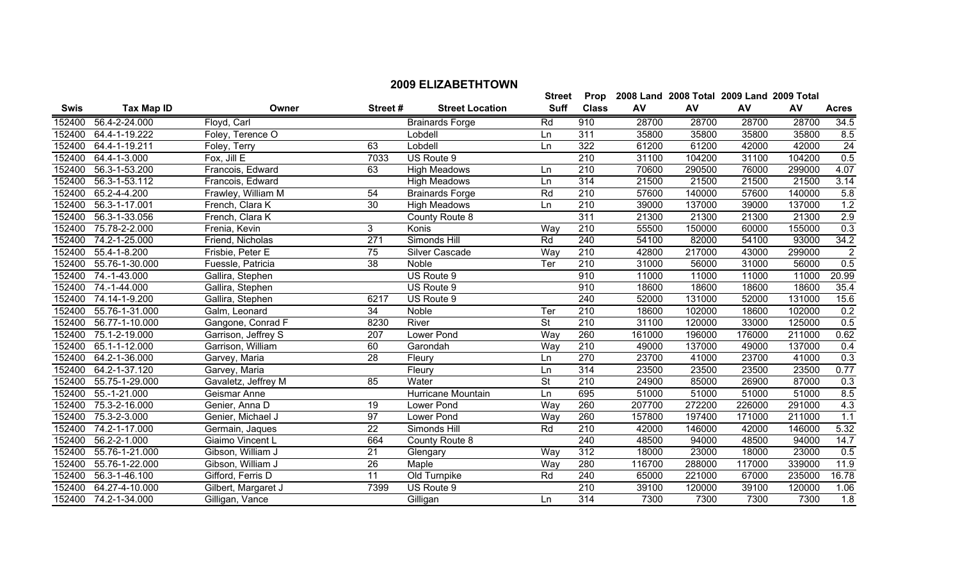|             |                             |                     |                 |                        | <b>Street</b>            |                  | Prop 2008 Land 2008 Total 2009 Land 2009 Total |        |        |        |                 |
|-------------|-----------------------------|---------------------|-----------------|------------------------|--------------------------|------------------|------------------------------------------------|--------|--------|--------|-----------------|
| <b>Swis</b> | <b>Tax Map ID</b>           | Owner               | Street#         | <b>Street Location</b> | <b>Suff</b>              | <b>Class</b>     | AV                                             | AV     | AV     | AV     | <b>Acres</b>    |
| 152400      | 56.4-2-24.000               | Floyd, Carl         |                 | <b>Brainards Forge</b> | Rd                       | 910              | 28700                                          | 28700  | 28700  | 28700  | 34.5            |
| 152400      | 64.4-1-19.222               | Foley, Terence O    |                 | Lobdell                | Ln                       | 311              | 35800                                          | 35800  | 35800  | 35800  | 8.5             |
| 152400      | 64.4-1-19.211               | Foley, Terry        | 63              | Lobdell                | Ln                       | 322              | 61200                                          | 61200  | 42000  | 42000  | $\overline{24}$ |
|             | 152400 64.4-1-3.000         | Fox, Jill E         | 7033            | US Route 9             |                          | 210              | 31100                                          | 104200 | 31100  | 104200 | 0.5             |
| 152400      | 56.3-1-53.200               | Francois, Edward    | 63              | <b>High Meadows</b>    | Ln                       | 210              | 70600                                          | 290500 | 76000  | 299000 | 4.07            |
| 152400      | 56.3-1-53.112               | Francois, Edward    |                 | <b>High Meadows</b>    | Ln                       | 314              | 21500                                          | 21500  | 21500  | 21500  | 3.14            |
| 152400      | 65.2-4-4.200                | Frawley, William M  | 54              | <b>Brainards Forge</b> | Rd                       | 210              | 57600                                          | 140000 | 57600  | 140000 | 5.8             |
| 152400      | 56.3-1-17.001               | French, Clara K     | 30              | <b>High Meadows</b>    | Ln                       | 210              | 39000                                          | 137000 | 39000  | 137000 | 1.2             |
| 152400      | 56.3-1-33.056               | French, Clara K     |                 | County Route 8         |                          | 311              | 21300                                          | 21300  | 21300  | 21300  | 2.9             |
| 152400      | 75.78-2-2.000               | Frenia, Kevin       | $\overline{3}$  | Konis                  | Way                      | $\overline{210}$ | 55500                                          | 150000 | 60000  | 155000 | 0.3             |
| 152400      | 74.2-1-25.000               | Friend, Nicholas    | 271             | Simonds Hill           | Rd                       | 240              | 54100                                          | 82000  | 54100  | 93000  | 34.2            |
|             | 152400 55.4-1-8.200         | Frisbie, Peter E    | 75              | Silver Cascade         | Way                      | 210              | 42800                                          | 217000 | 43000  | 299000 | $\overline{2}$  |
|             | 152400 55.76-1-30.000       | Fuessle, Patricia   | $\overline{38}$ | Noble                  | Ter                      | 210              | 31000                                          | 56000  | 31000  | 56000  | 0.5             |
| 152400      | 74.-1-43.000                | Gallira, Stephen    |                 | US Route 9             |                          | 910              | 11000                                          | 11000  | 11000  | 11000  | 20.99           |
|             | 152400 74.-1-44.000         | Gallira, Stephen    |                 | US Route 9             |                          | 910              | 18600                                          | 18600  | 18600  | 18600  | 35.4            |
| 152400      | 74.14-1-9.200               | Gallira, Stephen    | 6217            | US Route 9             |                          | 240              | 52000                                          | 131000 | 52000  | 131000 | 15.6            |
| 152400      | 55.76-1-31.000              | Galm, Leonard       | 34              | <b>Noble</b>           | Ter                      | 210              | 18600                                          | 102000 | 18600  | 102000 | 0.2             |
| 152400      | 56.77-1-10.000              | Gangone, Conrad F   | 8230            | River                  | $\overline{\mathsf{St}}$ | $\overline{210}$ | 31100                                          | 120000 | 33000  | 125000 | 0.5             |
| 152400      | 75.1-2-19.000               | Garrison, Jeffrey S | 207             | Lower Pond             | Way                      | 260              | 161000                                         | 196000 | 176000 | 211000 | 0.62            |
| 152400      | 65.1-1-12.000               | Garrison, William   | 60              | Garondah               | Way                      | 210              | 49000                                          | 137000 | 49000  | 137000 | 0.4             |
| 152400      | 64.2-1-36.000               | Garvey, Maria       | 28              | Fleury                 | Ln                       | 270              | 23700                                          | 41000  | 23700  | 41000  | 0.3             |
| 152400      | 64.2-1-37.120               | Garvey, Maria       |                 | Fleury                 | Ln                       | 314              | 23500                                          | 23500  | 23500  | 23500  | 0.77            |
| 152400      | 55.75-1-29.000              | Gavaletz, Jeffrey M | 85              | Water                  | <b>St</b>                | 210              | 24900                                          | 85000  | 26900  | 87000  | 0.3             |
| 152400      | 55.-1-21.000                | Geismar Anne        |                 | Hurricane Mountain     | Ln                       | 695              | 51000                                          | 51000  | 51000  | 51000  | 8.5             |
| 152400      | $\overline{75.3}$ -2-16.000 | Genier, Anna D      | 19              | Lower Pond             | Way                      | 260              | 207700                                         | 272200 | 226000 | 291000 | 4.3             |
| 152400      | 75.3-2-3.000                | Genier, Michael J   | 97              | Lower Pond             | Way                      | 260              | 157800                                         | 197400 | 171000 | 211000 | 1.1             |
| 152400      | 74.2-1-17.000               | Germain, Jaques     | 22              | Simonds Hill           | Rd                       | 210              | 42000                                          | 146000 | 42000  | 146000 | 5.32            |
| 152400      | 56.2-2-1.000                | Giaimo Vincent L    | 664             | County Route 8         |                          | 240              | 48500                                          | 94000  | 48500  | 94000  | 14.7            |
| 152400      | 55.76-1-21.000              | Gibson, William J   | 21              | Glengary               | Way                      | 312              | 18000                                          | 23000  | 18000  | 23000  | 0.5             |
| 152400      | 55.76-1-22.000              | Gibson, William J   | 26              | Maple                  | Way                      | 280              | 116700                                         | 288000 | 117000 | 339000 | 11.9            |
| 152400      | 56.3-1-46.100               | Gifford, Ferris D   | 11              | Old Turnpike           | Rd                       | 240              | 65000                                          | 221000 | 67000  | 235000 | 16.78           |
|             | 152400 64.27-4-10.000       | Gilbert, Margaret J | 7399            | US Route 9             |                          | 210              | 39100                                          | 120000 | 39100  | 120000 | 1.06            |
|             | 152400 74.2-1-34.000        | Gilligan, Vance     |                 | Gilligan               | Ln                       | 314              | 7300                                           | 7300   | 7300   | 7300   | 1.8             |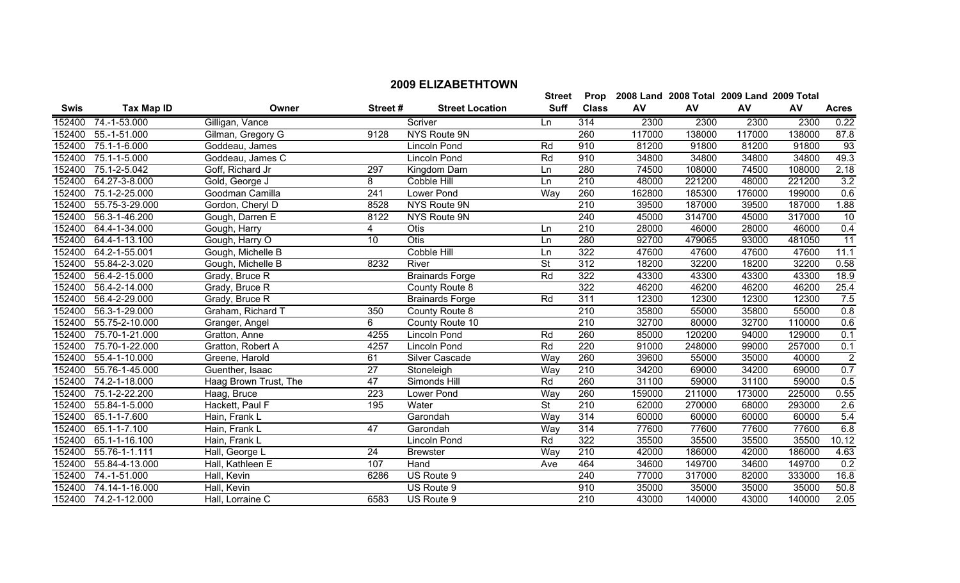|             |                      |                       |                  |                        | <b>Street</b>            | Prop             |        | 2008 Land 2008 Total 2009 Land 2009 Total |        |        |                  |
|-------------|----------------------|-----------------------|------------------|------------------------|--------------------------|------------------|--------|-------------------------------------------|--------|--------|------------------|
| <b>Swis</b> | <b>Tax Map ID</b>    | Owner                 | Street#          | <b>Street Location</b> | <b>Suff</b>              | <b>Class</b>     | AV     | AV                                        | AV     | AV     | <b>Acres</b>     |
| 152400      | 74.-1-53.000         | Gilligan, Vance       |                  | Scriver                | Ln                       | 314              | 2300   | 2300                                      | 2300   | 2300   | 0.22             |
| 152400      | 55.-1-51.000         | Gilman, Gregory G     | 9128             | NYS Route 9N           |                          | 260              | 117000 | 138000                                    | 117000 | 138000 | 87.8             |
| 152400      | 75.1-1-6.000         | Goddeau, James        |                  | <b>Lincoln Pond</b>    | Rd                       | 910              | 81200  | 91800                                     | 81200  | 91800  | 93               |
| 152400      | 75.1-1-5.000         | Goddeau, James C      |                  | Lincoln Pond           | Rd                       | 910              | 34800  | 34800                                     | 34800  | 34800  | 49.3             |
| 152400      | 75.1-2-5.042         | Goff, Richard Jr      | 297              | Kingdom Dam            | Ln                       | 280              | 74500  | 108000                                    | 74500  | 108000 | 2.18             |
| 152400      | 64.27-3-8.000        | Gold, George J        | 8                | Cobble Hill            | Ln                       | 210              | 48000  | 221200                                    | 48000  | 221200 | 3.2              |
| 152400      | 75.1-2-25.000        | Goodman Camilla       | 241              | Lower Pond             | Way                      | 260              | 162800 | 185300                                    | 176000 | 199000 | 0.6              |
| 152400      | 55.75-3-29.000       | Gordon, Cheryl D      | 8528             | NYS Route 9N           |                          | 210              | 39500  | 187000                                    | 39500  | 187000 | 1.88             |
| 152400      | 56.3-1-46.200        | Gough, Darren E       | 8122             | NYS Route 9N           |                          | 240              | 45000  | 314700                                    | 45000  | 317000 | 10               |
| 152400      | 64.4-1-34.000        | Gough, Harry          | 4                | Otis                   | Ln                       | $\overline{210}$ | 28000  | 46000                                     | 28000  | 46000  | 0.4              |
| 152400      | 64.4-1-13.100        | Gough, Harry O        | $\overline{10}$  | <b>Otis</b>            | Ln                       | 280              | 92700  | 479065                                    | 93000  | 481050 | $\overline{11}$  |
| 152400      | 64.2-1-55.001        | Gough, Michelle B     |                  | Cobble Hill            | Ln                       | 322              | 47600  | 47600                                     | 47600  | 47600  | 11.1             |
| 152400      | 55.84-2-3.020        | Gough, Michelle B     | 8232             | River                  | $\overline{\mathsf{St}}$ | 312              | 18200  | 32200                                     | 18200  | 32200  | 0.58             |
| 152400      | 56.4-2-15.000        | Grady, Bruce R        |                  | <b>Brainards Forge</b> | Rd                       | 322              | 43300  | 43300                                     | 43300  | 43300  | 18.9             |
| 152400      | 56.4-2-14.000        | Grady, Bruce R        |                  | County Route 8         |                          | 322              | 46200  | 46200                                     | 46200  | 46200  | 25.4             |
| 152400      | 56.4-2-29.000        | Grady, Bruce R        |                  | <b>Brainards Forge</b> | Rd                       | 311              | 12300  | 12300                                     | 12300  | 12300  | 7.5              |
| 152400      | 56.3-1-29.000        | Graham, Richard T     | 350              | County Route 8         |                          | 210              | 35800  | 55000                                     | 35800  | 55000  | $\overline{0.8}$ |
| 152400      | 55.75-2-10.000       | Granger, Angel        | 6                | County Route 10        |                          | 210              | 32700  | 80000                                     | 32700  | 110000 | 0.6              |
| 152400      | 75.70-1-21.000       | Gratton, Anne         | 4255             | <b>Lincoln Pond</b>    | Rd                       | 260              | 85000  | 120200                                    | 94000  | 129000 | 0.1              |
| 152400      | 75.70-1-22.000       | Gratton, Robert A     | 4257             | Lincoln Pond           | Rd                       | 220              | 91000  | 248000                                    | 99000  | 257000 | 0.1              |
| 152400      | 55.4-1-10.000        | Greene, Harold        | 61               | <b>Silver Cascade</b>  | Way                      | 260              | 39600  | 55000                                     | 35000  | 40000  | $\overline{2}$   |
| 152400      | 55.76-1-45.000       | Guenther, Isaac       | $\overline{27}$  | Stoneleigh             | Way                      | 210              | 34200  | 69000                                     | 34200  | 69000  | 0.7              |
| 152400      | 74.2-1-18.000        | Haag Brown Trust, The | 47               | Simonds Hill           | Rd                       | 260              | 31100  | 59000                                     | 31100  | 59000  | 0.5              |
| 152400      | 75.1-2-22.200        | Haag, Bruce           | $\overline{223}$ | Lower Pond             | Way                      | 260              | 159000 | 211000                                    | 173000 | 225000 | 0.55             |
| 152400      | 55.84-1-5.000        | Hackett, Paul F       | 195              | Water                  | St                       | $\overline{210}$ | 62000  | 270000                                    | 68000  | 293000 | 2.6              |
| 152400      | 65.1-1-7.600         | Hain, Frank L         |                  | Garondah               | Way                      | 314              | 60000  | 60000                                     | 60000  | 60000  | 5.4              |
| 152400      | 65.1-1-7.100         | Hain, Frank L         | 47               | Garondah               | Way                      | 314              | 77600  | 77600                                     | 77600  | 77600  | 6.8              |
| 152400      | 65.1-1-16.100        | Hain, Frank L         |                  | Lincoln Pond           | Rd                       | 322              | 35500  | 35500                                     | 35500  | 35500  | 10.12            |
| 152400      | 55.76-1-1.111        | Hall, George L        | 24               | <b>Brewster</b>        | Way                      | 210              | 42000  | 186000                                    | 42000  | 186000 | 4.63             |
| 152400      | 55.84-4-13.000       | Hall, Kathleen E      | 107              | Hand                   | Ave                      | 464              | 34600  | 149700                                    | 34600  | 149700 | 0.2              |
| 152400      | 74.-1-51.000         | Hall, Kevin           | 6286             | US Route 9             |                          | 240              | 77000  | 317000                                    | 82000  | 333000 | 16.8             |
| 152400      | 74.14-1-16.000       | Hall, Kevin           |                  | US Route 9             |                          | 910              | 35000  | 35000                                     | 35000  | 35000  | 50.8             |
|             | 152400 74.2-1-12.000 | Hall, Lorraine C      | 6583             | US Route 9             |                          | 210              | 43000  | 140000                                    | 43000  | 140000 | 2.05             |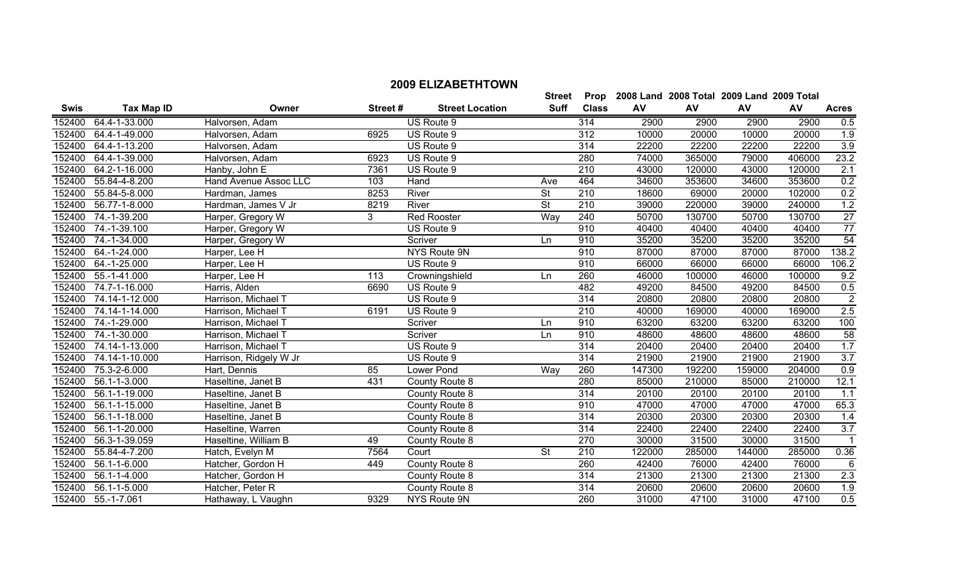|             |                    |                        |         |                        | <b>Street</b> | Prop         |        | 2008 Land 2008 Total 2009 Land 2009 Total |        |        |                  |
|-------------|--------------------|------------------------|---------|------------------------|---------------|--------------|--------|-------------------------------------------|--------|--------|------------------|
| <b>Swis</b> | <b>Tax Map ID</b>  | Owner                  | Street# | <b>Street Location</b> | <b>Suff</b>   | <b>Class</b> | AV     | AV                                        | AV     | AV     | <b>Acres</b>     |
| 152400      | 64.4-1-33.000      | Halvorsen, Adam        |         | US Route 9             |               | 314          | 2900   | 2900                                      | 2900   | 2900   | 0.5              |
| 152400      | 64.4-1-49.000      | Halvorsen, Adam        | 6925    | US Route 9             |               | 312          | 10000  | 20000                                     | 10000  | 20000  | 1.9              |
| 152400      | 64.4-1-13.200      | Halvorsen, Adam        |         | US Route 9             |               | 314          | 22200  | 22200                                     | 22200  | 22200  | 3.9              |
| 152400      | 64.4-1-39.000      | Halvorsen, Adam        | 6923    | US Route 9             |               | 280          | 74000  | 365000                                    | 79000  | 406000 | 23.2             |
| 152400      | 64.2-1-16.000      | Hanby, John E          | 7361    | US Route 9             |               | 210          | 43000  | 120000                                    | 43000  | 120000 | 2.1              |
| 152400      | 55.84-4-8.200      | Hand Avenue Assoc LLC  | 103     | Hand                   | Ave           | 464          | 34600  | 353600                                    | 34600  | 353600 | 0.2              |
| 152400      | 55.84-5-8.000      | Hardman, James         | 8253    | River                  | <b>St</b>     | 210          | 18600  | 69000                                     | 20000  | 102000 | 0.2              |
| 152400      | 56.77-1-8.000      | Hardman, James V Jr    | 8219    | River                  | <b>St</b>     | 210          | 39000  | 220000                                    | 39000  | 240000 | 1.2              |
| 152400      | 74.-1-39.200       | Harper, Gregory W      | 3       | <b>Red Rooster</b>     | Way           | 240          | 50700  | 130700                                    | 50700  | 130700 | $\overline{27}$  |
| 152400      | 74.-1-39.100       | Harper, Gregory W      |         | US Route 9             |               | 910          | 40400  | 40400                                     | 40400  | 40400  | 77               |
| 152400      | 74.-1-34.000       | Harper, Gregory W      |         | Scriver                | Ln            | 910          | 35200  | 35200                                     | 35200  | 35200  | 54               |
| 152400      | 64.-1-24.000       | Harper, Lee H          |         | NYS Route 9N           |               | 910          | 87000  | 87000                                     | 87000  | 87000  | 138.2            |
| 152400      | 64.-1-25.000       | Harper, Lee H          |         | US Route 9             |               | 910          | 66000  | 66000                                     | 66000  | 66000  | 106.2            |
| 152400      | 55.-1-41.000       | Harper, Lee H          | 113     | Crowningshield         | Ln            | 260          | 46000  | 100000                                    | 46000  | 100000 | 9.2              |
| 152400      | 74.7-1-16.000      | Harris, Alden          | 6690    | US Route 9             |               | 482          | 49200  | 84500                                     | 49200  | 84500  | 0.5              |
| 152400      | 74.14-1-12.000     | Harrison, Michael T    |         | US Route 9             |               | 314          | 20800  | 20800                                     | 20800  | 20800  | $\overline{2}$   |
| 152400      | 74.14-1-14.000     | Harrison, Michael T    | 6191    | US Route 9             |               | 210          | 40000  | 169000                                    | 40000  | 169000 | 2.5              |
| 152400      | 74.-1-29.000       | Harrison, Michael T    |         | Scriver                | Ln            | 910          | 63200  | 63200                                     | 63200  | 63200  | 100              |
| 152400      | 74.-1-30.000       | Harrison, Michael T    |         | Scriver                | Ln            | 910          | 48600  | 48600                                     | 48600  | 48600  | 58               |
| 152400      | 74.14-1-13.000     | Harrison, Michael T    |         | US Route 9             |               | 314          | 20400  | 20400                                     | 20400  | 20400  | 1.7              |
| 152400      | 74.14-1-10.000     | Harrison, Ridgely W Jr |         | US Route 9             |               | 314          | 21900  | 21900                                     | 21900  | 21900  | $\overline{3.7}$ |
| 152400      | 75.3-2-6.000       | Hart, Dennis           | 85      | Lower Pond             | Way           | 260          | 147300 | 192200                                    | 159000 | 204000 | 0.9              |
| 152400      | 56.1-1-3.000       | Haseltine, Janet B     | 431     | County Route 8         |               | 280          | 85000  | 210000                                    | 85000  | 210000 | 12.1             |
| 152400      | 56.1-1-19.000      | Haseltine, Janet B     |         | County Route 8         |               | 314          | 20100  | 20100                                     | 20100  | 20100  | 1.1              |
| 152400      | 56.1-1-15.000      | Haseltine, Janet B     |         | County Route 8         |               | 910          | 47000  | 47000                                     | 47000  | 47000  | 65.3             |
| 152400      | 56.1-1-18.000      | Haseltine, Janet B     |         | County Route 8         |               | 314          | 20300  | 20300                                     | 20300  | 20300  | 1.4              |
| 152400      | 56.1-1-20.000      | Haseltine, Warren      |         | County Route 8         |               | 314          | 22400  | 22400                                     | 22400  | 22400  | 3.7              |
| 152400      | 56.3-1-39.059      | Haseltine, William B   | 49      | County Route 8         |               | 270          | 30000  | 31500                                     | 30000  | 31500  | $\overline{1}$   |
| 152400      | 55.84-4-7.200      | Hatch, Evelyn M        | 7564    | Court                  | <b>St</b>     | 210          | 122000 | 285000                                    | 144000 | 285000 | 0.36             |
| 152400      | 56.1-1-6.000       | Hatcher, Gordon H      | 449     | County Route 8         |               | 260          | 42400  | 76000                                     | 42400  | 76000  | 6                |
| 152400      | 56.1-1-4.000       | Hatcher, Gordon H      |         | County Route 8         |               | 314          | 21300  | 21300                                     | 21300  | 21300  | 2.3              |
| 152400      | 56.1-1-5.000       | Hatcher, Peter R       |         | County Route 8         |               | 314          | 20600  | 20600                                     | 20600  | 20600  | 1.9              |
|             | 152400 55.-1-7.061 | Hathaway, L Vaughn     | 9329    | NYS Route 9N           |               | 260          | 31000  | 47100                                     | 31000  | 47100  | 0.5              |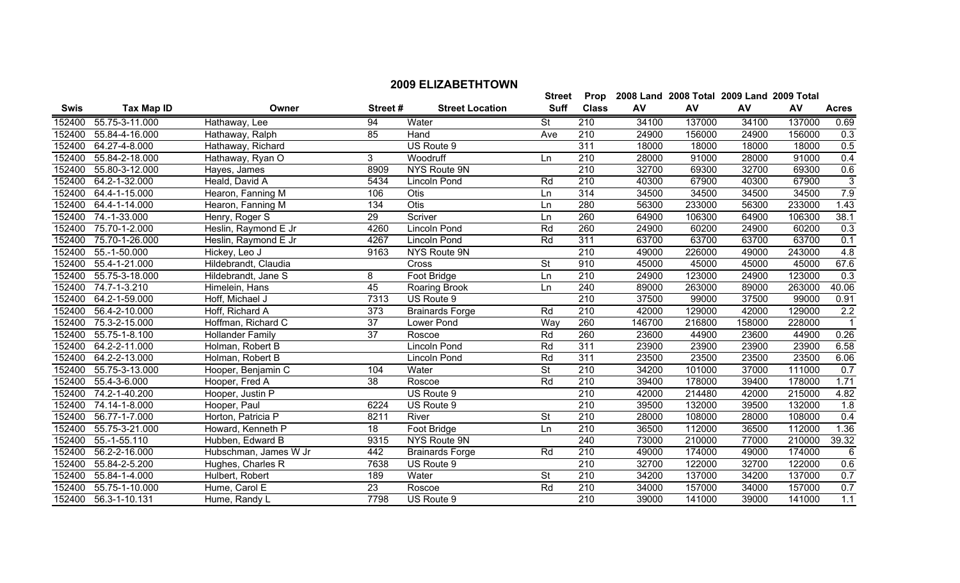152400 55.75-3-11.000 152400 55.84-4-16.000 152400 64.27-4-8.000 152400 55.84-2-18.000 152400 55.80-3-12.000 152400 64.2-1-32.000 152400 64.4-1-15.000 152400 64.4-1-14.000

| <b>Swis</b> | Tax Map ID     | Owner                | Street # | <b>Street Location</b> | <b>Suff</b> | <b>Class</b> | AV     | AV     | AV     | <b>AV</b> | <b>Acres</b>     |
|-------------|----------------|----------------------|----------|------------------------|-------------|--------------|--------|--------|--------|-----------|------------------|
| 52400       | 55.75-3-11.000 | Hathaway, Lee        | 94       | Water                  | St          | 210          | 34100  | 137000 | 34100  | 137000    | 0.69             |
| 52400       | 55.84-4-16.000 | Hathaway, Ralph      | 85       | Hand                   | Ave         | 210          | 24900  | 156000 | 24900  | 156000    | 0.3              |
| 52400       | 64.27-4-8.000  | Hathaway, Richard    |          | US Route 9             |             | 311          | 18000  | 18000  | 18000  | 18000     | 0.5              |
| 52400       | 55.84-2-18.000 | Hathaway, Ryan O     | 3        | Woodruff               | Ln.         | 210          | 28000  | 91000  | 28000  | 91000     | 0.4              |
| 52400       | 55.80-3-12.000 | Hayes, James         | 8909     | NYS Route 9N           |             | 210          | 32700  | 69300  | 32700  | 69300     | 0.6              |
| 52400       | 64.2-1-32.000  | Heald, David A       | 5434     | Lincoln Pond           | Rd          | 210          | 40300  | 67900  | 40300  | 67900     | 3                |
| 52400       | 64.4-1-15.000  | Hearon, Fanning M    | 106      | <b>Otis</b>            | Ln          | 314          | 34500  | 34500  | 34500  | 34500     | 7.9              |
| 52400       | 64.4-1-14.000  | Hearon, Fanning M    | 134      | <b>Otis</b>            | Ln.         | 280          | 56300  | 233000 | 56300  | 233000    | 1.43             |
| 52400       | 74.-1-33.000   | Henry, Roger S       | 29       | Scriver                | Ln          | 260          | 64900  | 106300 | 64900  | 106300    | 38.1             |
| 52400       | 75.70-1-2.000  | Heslin, Raymond E Jr | 4260     | Lincoln Pond           | Rd          | 260          | 24900  | 60200  | 24900  | 60200     | 0.3              |
| 52400       | 75.70-1-26.000 | Heslin, Raymond E Jr | 4267     | Lincoln Pond           | Rd          | 311          | 63700  | 63700  | 63700  | 63700     | 0.1              |
| 52400       | 55.-1-50.000   | Hickey, Leo J        | 9163     | NYS Route 9N           |             | 210          | 49000  | 226000 | 49000  | 243000    | 4.8              |
| 52400       | 55.4-1-21.000  | Hildebrandt, Claudia |          | <b>Cross</b>           | St          | 910          | 45000  | 45000  | 45000  | 45000     | 67.6             |
| 52400       | 55.75-3-18.000 | Hildebrandt, Jane S  | 8        | Foot Bridge            | Ln.         | 210          | 24900  | 123000 | 24900  | 123000    | $\overline{0.3}$ |
| 52400       | 74.7-1-3.210   | Himelein, Hans       | 45       | Roaring Brook          | Ln          | 240          | 89000  | 263000 | 89000  | 263000    | 40.06            |
| 52400       | 64.2-1-59.000  | Hoff, Michael J      | 7313     | US Route 9             |             | 210          | 37500  | 99000  | 37500  | 99000     | 0.91             |
| 52400       | 56.4-2-10.000  | Hoff, Richard A      | 373      | <b>Brainards Forge</b> | Rd          | 210          | 42000  | 129000 | 42000  | 129000    | $\overline{2.2}$ |
| 52400       | 75.3-2-15.000  | Hoffman, Richard C   | 37       | Lower Pond             | Way         | 260          | 146700 | 216800 | 158000 | 228000    |                  |
| 52400       | 55.75-1-8.100  | Hollander Family     | 37       | Roscoe                 | Rd          | 260          | 23600  | 44900  | 23600  | 44900     | 0.26             |

| 152400 | 74.-1-33.000                | Henry, Roger S          | 29   | Scriver                | Ln        | 260 | 64900  | 106300 | 64900  | 106300 | 38.1  |
|--------|-----------------------------|-------------------------|------|------------------------|-----------|-----|--------|--------|--------|--------|-------|
| 152400 | 75.70-1-2.000               | Heslin, Raymond E Jr    | 4260 | Lincoln Pond           | Rd        | 260 | 24900  | 60200  | 24900  | 60200  | 0.3   |
| 152400 | 75.70-1-26.000              | Heslin, Raymond E Jr    | 4267 | Lincoln Pond           | Rd        | 311 | 63700  | 63700  | 63700  | 63700  | 0.1   |
| 152400 | 55.-1-50.000                | Hickey, Leo J           | 9163 | NYS Route 9N           |           | 210 | 49000  | 226000 | 49000  | 243000 | 4.8   |
| 152400 | 55.4-1-21.000               | Hildebrandt, Claudia    |      | <b>Cross</b>           | <b>St</b> | 910 | 45000  | 45000  | 45000  | 45000  | 67.6  |
| 152400 | 55.75-3-18.000              | Hildebrandt, Jane S     | 8    | Foot Bridge            | Ln        | 210 | 24900  | 123000 | 24900  | 123000 | 0.3   |
| 152400 | 74.7-1-3.210                | Himelein, Hans          | 45   | Roaring Brook          | Ln        | 240 | 89000  | 263000 | 89000  | 263000 | 40.06 |
| 152400 | $\overline{64.2}$ -1-59.000 | Hoff, Michael J         | 7313 | US Route 9             |           | 210 | 37500  | 99000  | 37500  | 99000  | 0.91  |
| 152400 | 56.4-2-10.000               | Hoff, Richard A         | 373  | <b>Brainards Forge</b> | Rd        | 210 | 42000  | 129000 | 42000  | 129000 | 2.2   |
| 152400 | 75.3-2-15.000               | Hoffman, Richard C      | 37   | Lower Pond             | Way       | 260 | 146700 | 216800 | 158000 | 228000 |       |
| 152400 | 55.75-1-8.100               | <b>Hollander Family</b> | 37   | Roscoe                 | Rd        | 260 | 23600  | 44900  | 23600  | 44900  | 0.26  |
| 152400 | 64.2-2-11.000               | Holman, Robert B        |      | Lincoln Pond           | Rd        | 311 | 23900  | 23900  | 23900  | 23900  | 6.58  |
| 152400 | 64.2-2-13.000               | Holman, Robert B        |      | Lincoln Pond           | Rd        | 311 | 23500  | 23500  | 23500  | 23500  | 6.06  |
| 152400 | 55.75-3-13.000              | Hooper, Benjamin C      | 104  | Water                  | <b>St</b> | 210 | 34200  | 101000 | 37000  | 111000 | 0.7   |
| 152400 | 55.4-3-6.000                | Hooper, Fred A          | 38   | Roscoe                 | Rd        | 210 | 39400  | 178000 | 39400  | 178000 | 1.71  |
| 152400 | 74.2-1-40.200               | Hooper, Justin P        |      | US Route 9             |           | 210 | 42000  | 214480 | 42000  | 215000 | 4.82  |
| 152400 | 74.14-1-8.000               | Hooper, Paul            | 6224 | US Route 9             |           | 210 | 39500  | 132000 | 39500  | 132000 | 1.8   |
| 152400 | 56.77-1-7.000               | Horton, Patricia P      | 8211 | River                  | <b>St</b> | 210 | 28000  | 108000 | 28000  | 108000 | 0.4   |
| 152400 | 55.75-3-21.000              | Howard, Kenneth P       | 18   | Foot Bridge            | Ln        | 210 | 36500  | 112000 | 36500  | 112000 | 1.36  |
| 152400 | 55.-1-55.110                | Hubben, Edward B        | 9315 | NYS Route 9N           |           | 240 | 73000  | 210000 | 77000  | 210000 | 39.32 |
| 152400 | 56.2-2-16.000               | Hubschman, James W Jr   | 442  | <b>Brainards Forge</b> | Rd        | 210 | 49000  | 174000 | 49000  | 174000 |       |
| 152400 | 55.84-2-5.200               | Hughes, Charles R       | 7638 | US Route 9             |           | 210 | 32700  | 122000 | 32700  | 122000 | 0.6   |
| 152400 | 55.84-1-4.000               | Hulbert, Robert         | 189  | Water                  | <b>St</b> | 210 | 34200  | 137000 | 34200  | 137000 | 0.7   |
| 152400 | 55.75-1-10.000              | Hume, Carol E           | 23   | Roscoe                 | Rd        | 210 | 34000  | 157000 | 34000  | 157000 | 0.7   |
| 152400 | 56.3-1-10.131               | Hume, Randy L           | 7798 | US Route 9             |           | 210 | 39000  | 141000 | 39000  | 141000 | 1.1   |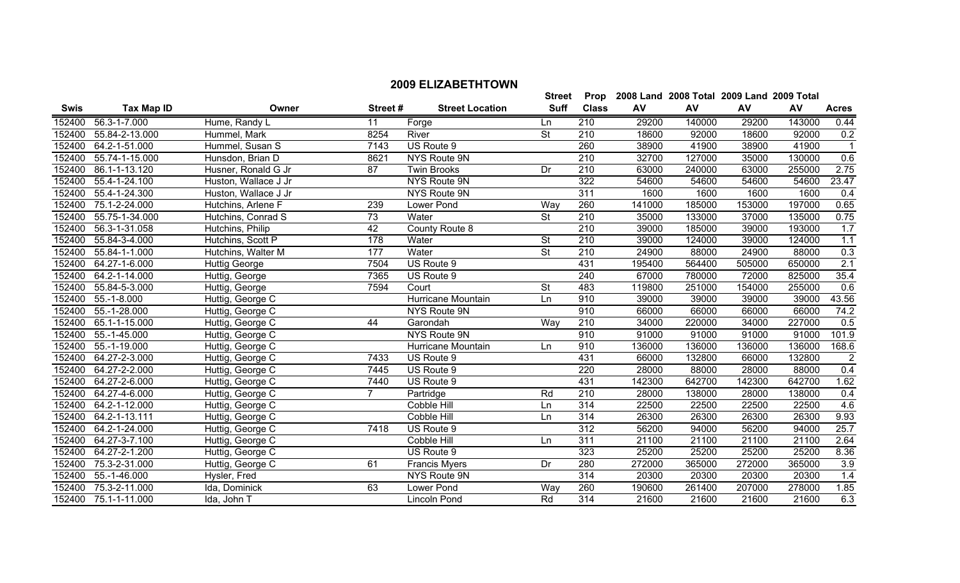|             |                             |                      |                |                        | <b>Street</b> | Prop             |        | 2008 Land 2008 Total 2009 Land 2009 Total |        |        |                |
|-------------|-----------------------------|----------------------|----------------|------------------------|---------------|------------------|--------|-------------------------------------------|--------|--------|----------------|
| <b>Swis</b> | <b>Tax Map ID</b>           | Owner                | Street#        | <b>Street Location</b> | <b>Suff</b>   | <b>Class</b>     | AV     | AV                                        | AV     | AV     | <b>Acres</b>   |
| 152400      | 56.3-1-7.000                | Hume, Randy L        | 11             | Forge                  | Ln            | 210              | 29200  | 140000                                    | 29200  | 143000 | 0.44           |
| 152400      | 55.84-2-13.000              | Hummel, Mark         | 8254           | River                  | St            | 210              | 18600  | 92000                                     | 18600  | 92000  | 0.2            |
| 152400      | 64.2-1-51.000               | Hummel, Susan S      | 7143           | US Route 9             |               | 260              | 38900  | 41900                                     | 38900  | 41900  |                |
| 152400      | 55.74-1-15.000              | Hunsdon, Brian D     | 8621           | NYS Route 9N           |               | 210              | 32700  | 127000                                    | 35000  | 130000 | 0.6            |
| 152400      | 86.1-1-13.120               | Husner, Ronald G Jr  | 87             | <b>Twin Brooks</b>     | Dr            | 210              | 63000  | 240000                                    | 63000  | 255000 | 2.75           |
| 152400      | 55.4-1-24.100               | Huston, Wallace J Jr |                | NYS Route 9N           |               | 322              | 54600  | 54600                                     | 54600  | 54600  | 23.47          |
| 152400      | 55.4-1-24.300               | Huston, Wallace J Jr |                | <b>NYS Route 9N</b>    |               | 311              | 1600   | 1600                                      | 1600   | 1600   | 0.4            |
| 152400      | 75.1-2-24.000               | Hutchins, Arlene F   | 239            | Lower Pond             | Way           | 260              | 141000 | 185000                                    | 153000 | 197000 | 0.65           |
| 152400      | 55.75-1-34.000              | Hutchins, Conrad S   | 73             | Water                  | <b>St</b>     | 210              | 35000  | 133000                                    | 37000  | 135000 | 0.75           |
| 152400      | 56.3-1-31.058               | Hutchins, Philip     | 42             | County Route 8         |               | 210              | 39000  | 185000                                    | 39000  | 193000 | 1.7            |
| 152400      | 55.84-3-4.000               | Hutchins, Scott P    | 178            | Water                  | <b>St</b>     | 210              | 39000  | 124000                                    | 39000  | 124000 | 1.1            |
| 152400      | 55.84-1-1.000               | Hutchins, Walter M   | 177            | Water                  | <b>St</b>     | 210              | 24900  | 88000                                     | 24900  | 88000  | 0.3            |
| 152400      | 64.27-1-6.000               | <b>Huttig George</b> | 7504           | US Route 9             |               | 431              | 195400 | 564400                                    | 505000 | 650000 | 2.1            |
| 152400      | 64.2-1-14.000               | Huttig, George       | 7365           | US Route 9             |               | 240              | 67000  | 780000                                    | 72000  | 825000 | 35.4           |
| 152400      | 55.84-5-3.000               | Huttig, George       | 7594           | Court                  | <b>St</b>     | 483              | 119800 | 251000                                    | 154000 | 255000 | 0.6            |
| 152400      | $55.-1-8.000$               | Huttig, George C     |                | Hurricane Mountain     | Ln            | 910              | 39000  | 39000                                     | 39000  | 39000  | 43.56          |
| 152400      | 55.-1-28.000                | Huttig, George C     |                | <b>NYS Route 9N</b>    |               | 910              | 66000  | 66000                                     | 66000  | 66000  | 74.2           |
| 152400      | 65.1-1-15.000               | Huttig, George C     | 44             | Garondah               | Way           | 210              | 34000  | 220000                                    | 34000  | 227000 | 0.5            |
| 152400      | 55.-1-45.000                | Huttig, George C     |                | NYS Route 9N           |               | 910              | 91000  | 91000                                     | 91000  | 91000  | 101.9          |
| 152400      | 55.-1-19.000                | Huttig, George C     |                | Hurricane Mountain     | Ln            | 910              | 136000 | 136000                                    | 136000 | 136000 | 168.6          |
| 152400      | 64.27-2-3.000               | Huttig, George C     | 7433           | US Route 9             |               | 431              | 66000  | 132800                                    | 66000  | 132800 | $\overline{2}$ |
|             | 152400 64.27-2-2.000        | Huttig, George C     | 7445           | US Route 9             |               | 220              | 28000  | 88000                                     | 28000  | 88000  | 0.4            |
| 152400      | 64.27-2-6.000               | Huttig, George C     | 7440           | US Route 9             |               | 431              | 142300 | 642700                                    | 142300 | 642700 | 1.62           |
| 152400      | 64.27-4-6.000               | Huttig, George C     | $\overline{7}$ | Partridge              | Rd            | $\overline{210}$ | 28000  | 138000                                    | 28000  | 138000 | 0.4            |
| 152400      | 64.2-1-12.000               | Huttig, George C     |                | Cobble Hill            | Ln            | 314              | 22500  | 22500                                     | 22500  | 22500  | 4.6            |
| 152400      | 64.2-1-13.111               | Huttig, George C     |                | Cobble Hill            | Ln            | 314              | 26300  | 26300                                     | 26300  | 26300  | 9.93           |
| 152400      | 64.2-1-24.000               | Huttig, George C     | 7418           | US Route 9             |               | 312              | 56200  | 94000                                     | 56200  | 94000  | 25.7           |
| 152400      | 64.27-3-7.100               | Huttig, George C     |                | Cobble Hill            | Ln            | 311              | 21100  | 21100                                     | 21100  | 21100  | 2.64           |
| 152400      | $\overline{64.27}$ -2-1.200 | Huttig, George C     |                | US Route 9             |               | 323              | 25200  | 25200                                     | 25200  | 25200  | 8.36           |
| 152400      | 75.3-2-31.000               | Huttig, George C     | 61             | Francis Myers          | Dr            | 280              | 272000 | 365000                                    | 272000 | 365000 | 3.9            |
| 152400      | 55.-1-46.000                | Hysler, Fred         |                | NYS Route 9N           |               | 314              | 20300  | 20300                                     | 20300  | 20300  | 1.4            |
|             | 152400 75.3-2-11.000        | Ida, Dominick        | 63             | Lower Pond             | Way           | 260              | 190600 | 261400                                    | 207000 | 278000 | 1.85           |

152400 75.1-1-11.000 Ida, John T Lincoln Pond Rd 314 21600 21600 21600 21600 6.3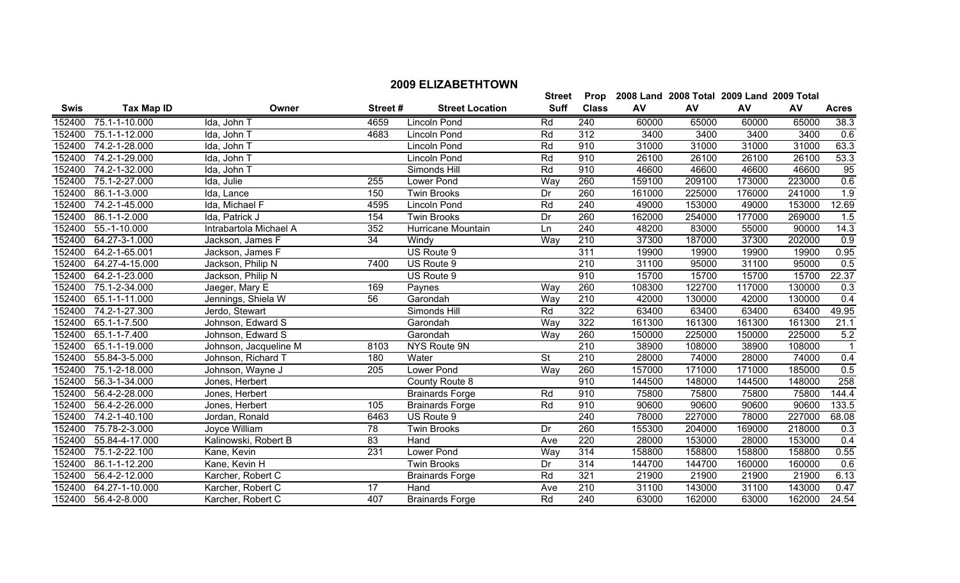|             |                       |                        |                  |                        | <b>Street</b> |                  |        | Prop 2008 Land 2008 Total 2009 Land 2009 Total |        |        |                  |
|-------------|-----------------------|------------------------|------------------|------------------------|---------------|------------------|--------|------------------------------------------------|--------|--------|------------------|
| <b>Swis</b> | <b>Tax Map ID</b>     | Owner                  | Street#          | <b>Street Location</b> | <b>Suff</b>   | <b>Class</b>     | AV     | AV                                             | AV     | AV     | <b>Acres</b>     |
| 152400      | 75.1-1-10.000         | Ida, John T            | 4659             | <b>Lincoln Pond</b>    | Rd            | 240              | 60000  | 65000                                          | 60000  | 65000  | 38.3             |
| 152400      | 75.1-1-12.000         | Ida, John T            | 4683             | <b>Lincoln Pond</b>    | Rd            | 312              | 3400   | 3400                                           | 3400   | 3400   | 0.6              |
| 152400      | 74.2-1-28.000         | Ida, John T            |                  | Lincoln Pond           | Rd            | 910              | 31000  | 31000                                          | 31000  | 31000  | 63.3             |
| 152400      | 74.2-1-29.000         | Ida, John T            |                  | <b>Lincoln Pond</b>    | Rd            | 910              | 26100  | 26100                                          | 26100  | 26100  | 53.3             |
| 152400      | 74.2-1-32.000         | Ida, John T            |                  | Simonds Hill           | Rd            | 910              | 46600  | 46600                                          | 46600  | 46600  | 95               |
| 152400      | 75.1-2-27.000         | Ida, Julie             | 255              | Lower Pond             | Way           | 260              | 159100 | 209100                                         | 173000 | 223000 | 0.6              |
| 152400      | 86.1-1-3.000          | Ida, Lance             | 150              | <b>Twin Brooks</b>     | Dr            | 260              | 161000 | 225000                                         | 176000 | 241000 | 1.9              |
| 152400      | 74.2-1-45.000         | Ida, Michael F         | 4595             | Lincoln Pond           | Rd            | 240              | 49000  | 153000                                         | 49000  | 153000 | 12.69            |
| 152400      | 86.1-1-2.000          | Ida, Patrick J         | 154              | <b>Twin Brooks</b>     | Dr            | 260              | 162000 | 254000                                         | 177000 | 269000 | 1.5              |
| 152400      | 55.-1-10.000          | Intrabartola Michael A | 352              | Hurricane Mountain     | Ln            | 240              | 48200  | 83000                                          | 55000  | 90000  | 14.3             |
|             | 152400 64.27-3-1.000  | Jackson, James F       | 34               | Windy                  | Way           | 210              | 37300  | 187000                                         | 37300  | 202000 | 0.9              |
|             | 152400 64.2-1-65.001  | Jackson, James F       |                  | US Route 9             |               | 311              | 19900  | 19900                                          | 19900  | 19900  | 0.95             |
| 152400      | 64.27-4-15.000        | Jackson, Philip N      | $\frac{1}{7400}$ | US Route 9             |               | $\overline{210}$ | 31100  | 95000                                          | 31100  | 95000  | 0.5              |
|             | 152400 64.2-1-23.000  | Jackson, Philip N      |                  | US Route 9             |               | 910              | 15700  | 15700                                          | 15700  | 15700  | 22.37            |
| 152400      | 75.1-2-34.000         | Jaeger, Mary E         | 169              | Paynes                 | Way           | 260              | 108300 | 122700                                         | 117000 | 130000 | $\overline{0.3}$ |
|             | 152400 65.1-1-11.000  | Jennings, Shiela W     | $\overline{56}$  | Garondah               | Way           | $\overline{210}$ | 42000  | 130000                                         | 42000  | 130000 | 0.4              |
| 152400      | 74.2-1-27.300         | Jerdo, Stewart         |                  | Simonds Hill           | Rd            | 322              | 63400  | 63400                                          | 63400  | 63400  | 49.95            |
| 152400      | 65.1-1-7.500          | Johnson, Edward S      |                  | Garondah               | Way           | 322              | 161300 | 161300                                         | 161300 | 161300 | 21.1             |
| 152400      | 65.1-1-7.400          | Johnson, Edward S      |                  | Garondah               | Way           | 260              | 150000 | 225000                                         | 150000 | 225000 | 5.2              |
| 152400      | 65.1-1-19.000         | Johnson, Jacqueline M  | 8103             | NYS Route 9N           |               | 210              | 38900  | 108000                                         | 38900  | 108000 | -1               |
| 152400      | 55.84-3-5.000         | Johnson, Richard T     | 180              | Water                  | <b>St</b>     | 210              | 28000  | 74000                                          | 28000  | 74000  | 0.4              |
| 152400      | 75.1-2-18.000         | Johnson, Wayne J       | 205              | Lower Pond             | Way           | 260              | 157000 | 171000                                         | 171000 | 185000 | 0.5              |
| 152400      | 56.3-1-34.000         | Jones, Herbert         |                  | County Route 8         |               | 910              | 144500 | 148000                                         | 144500 | 148000 | 258              |
| 152400      | 56.4-2-28.000         | Jones, Herbert         |                  | <b>Brainards Forge</b> | Rd            | 910              | 75800  | 75800                                          | 75800  | 75800  | 144.4            |
| 152400      | 56.4-2-26.000         | Jones, Herbert         | 105              | <b>Brainards Forge</b> | Rd            | 910              | 90600  | 90600                                          | 90600  | 90600  | 133.5            |
| 152400      | 74.2-1-40.100         | Jordan, Ronald         | 6463             | US Route 9             |               | 240              | 78000  | 227000                                         | 78000  | 227000 | 68.08            |
| 152400      | 75.78-2-3.000         | Joyce William          | 78               | <b>Twin Brooks</b>     | Dr            | 260              | 155300 | 204000                                         | 169000 | 218000 | 0.3              |
| 152400      | 55.84-4-17.000        | Kalinowski, Robert B   | 83               | Hand                   | Ave           | 220              | 28000  | 153000                                         | 28000  | 153000 | 0.4              |
| 152400      | 75.1-2-22.100         | Kane, Kevin            | 231              | Lower Pond             | Way           | 314              | 158800 | 158800                                         | 158800 | 158800 | 0.55             |
| 152400      | 86.1-1-12.200         | Kane, Kevin H          |                  | <b>Twin Brooks</b>     | Dr            | 314              | 144700 | 144700                                         | 160000 | 160000 | 0.6              |
| 152400      | 56.4-2-12.000         | Karcher, Robert C      |                  | <b>Brainards Forge</b> | Rd            | 321              | 21900  | 21900                                          | 21900  | 21900  | 6.13             |
|             | 152400 64.27-1-10.000 | Karcher, Robert C      | 17               | Hand                   | Ave           | $\overline{210}$ | 31100  | 143000                                         | 31100  | 143000 | 0.47             |

56.4-2-8.000 Karcher, Robert C 407 Brainards Forge Rd 240 63000 162000 63000 162000 24.54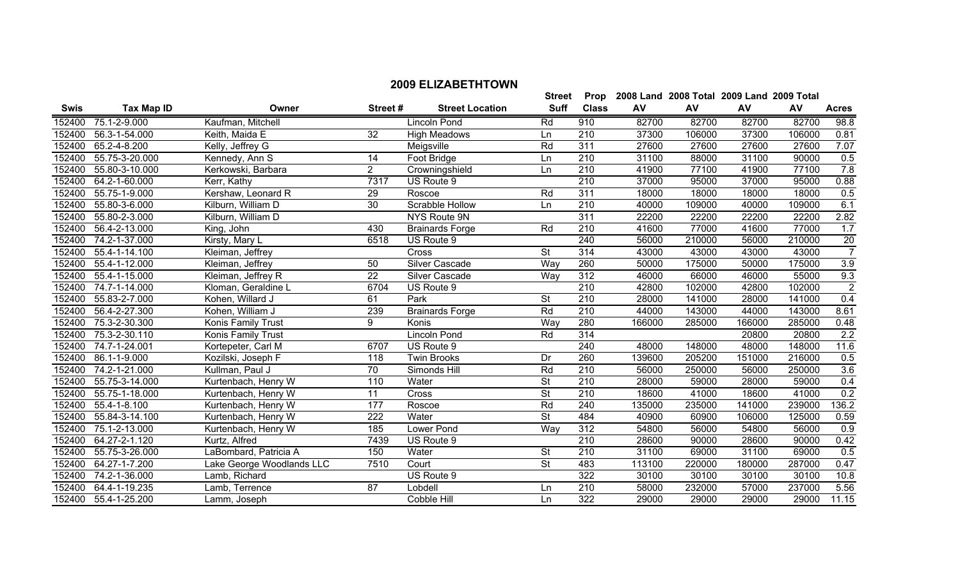|             |                       |                           |                 |                        | <b>Street</b>            | Prop             |        | 2008 Land 2008 Total 2009 Land 2009 Total |        |        |                |
|-------------|-----------------------|---------------------------|-----------------|------------------------|--------------------------|------------------|--------|-------------------------------------------|--------|--------|----------------|
| <b>Swis</b> | <b>Tax Map ID</b>     | <b>Owner</b>              | Street#         | <b>Street Location</b> | <b>Suff</b>              | <b>Class</b>     | AV     | AV                                        | AV     | AV     | <b>Acres</b>   |
| 152400      | 75.1-2-9.000          | Kaufman, Mitchell         |                 | Lincoln Pond           | Rd                       | 910              | 82700  | 82700                                     | 82700  | 82700  | 98.8           |
| 152400      | 56.3-1-54.000         | Keith, Maida E            | $\overline{32}$ | <b>High Meadows</b>    | Ln                       | 210              | 37300  | 106000                                    | 37300  | 106000 | 0.81           |
| 152400      | 65.2-4-8.200          | Kelly, Jeffrey G          |                 | Meigsville             | Rd                       | 311              | 27600  | 27600                                     | 27600  | 27600  | 7.07           |
|             | 152400 55.75-3-20.000 | Kennedy, Ann S            | 14              | Foot Bridge            | Ln                       | 210              | 31100  | 88000                                     | 31100  | 90000  | 0.5            |
|             | 152400 55.80-3-10.000 | Kerkowski, Barbara        | $\overline{2}$  | Crowningshield         | Ln                       | 210              | 41900  | 77100                                     | 41900  | 77100  | 7.8            |
| 152400      | 64.2-1-60.000         | Kerr, Kathy               | 7317            | US Route 9             |                          | 210              | 37000  | 95000                                     | 37000  | 95000  | 0.88           |
| 152400      | 55.75-1-9.000         | Kershaw, Leonard R        | 29              | Roscoe                 | Rd                       | 311              | 18000  | 18000                                     | 18000  | 18000  | 0.5            |
| 152400      | 55.80-3-6.000         | Kilburn, William D        | 30              | Scrabble Hollow        | Ln                       | 210              | 40000  | 109000                                    | 40000  | 109000 | 6.1            |
| 152400      | 55.80-2-3.000         | Kilburn, William D        |                 | NYS Route 9N           |                          | 311              | 22200  | 22200                                     | 22200  | 22200  | 2.82           |
| 152400      | 56.4-2-13.000         | King, John                | 430             | <b>Brainards Forge</b> | Rd                       | 210              | 41600  | 77000                                     | 41600  | 77000  | 1.7            |
|             | 152400 74.2-1-37.000  | Kirsty, Mary L            | 6518            | US Route 9             |                          | 240              | 56000  | 210000                                    | 56000  | 210000 | 20             |
|             | 152400 55.4-1-14.100  | Kleiman, Jeffrey          |                 | Cross                  | <b>St</b>                | 314              | 43000  | 43000                                     | 43000  | 43000  | 7              |
|             | 152400 55.4-1-12.000  | Kleiman, Jeffrey          | 50              | <b>Silver Cascade</b>  | Way                      | 260              | 50000  | 175000                                    | 50000  | 175000 | 3.9            |
|             | 152400 55.4-1-15.000  | Kleiman, Jeffrey R        | $\overline{22}$ | Silver Cascade         | <b>Way</b>               | $\overline{312}$ | 46000  | 66000                                     | 46000  | 55000  | 9.3            |
|             | 152400 74.7-1-14.000  | Kloman, Geraldine L       | 6704            | US Route 9             |                          | $\overline{210}$ | 42800  | 102000                                    | 42800  | 102000 | $\overline{2}$ |
|             | 152400 55.83-2-7.000  | Kohen, Willard J          | 61              | Park                   | $\overline{\mathsf{St}}$ | $\overline{210}$ | 28000  | 141000                                    | 28000  | 141000 | 0.4            |
| 152400      | 56.4-2-27.300         | Kohen, William J          | 239             | <b>Brainards Forge</b> | Rd                       | 210              | 44000  | 143000                                    | 44000  | 143000 | 8.61           |
| 152400      | 75.3-2-30.300         | Konis Family Trust        | 9               | Konis                  | Way                      | 280              | 166000 | 285000                                    | 166000 | 285000 | 0.48           |
| 152400      | 75.3-2-30.110         | Konis Family Trust        |                 | <b>Lincoln Pond</b>    | Rd                       | 314              |        |                                           | 20800  | 20800  | 2.2            |
| 152400      | 74.7-1-24.001         | Kortepeter, Carl M        | 6707            | US Route 9             |                          | 240              | 48000  | 148000                                    | 48000  | 148000 | 11.6           |
| 152400      | 86.1-1-9.000          | Kozilski, Joseph F        | 118             | <b>Twin Brooks</b>     | Dr                       | 260              | 139600 | 205200                                    | 151000 | 216000 | 0.5            |
| 152400      | 74.2-1-21.000         | Kullman, Paul J           | 70              | Simonds Hill           | Rd                       | 210              | 56000  | 250000                                    | 56000  | 250000 | 3.6            |
| 152400      | 55.75-3-14.000        | Kurtenbach, Henry W       | 110             | Water                  | $\overline{\mathsf{St}}$ | 210              | 28000  | 59000                                     | 28000  | 59000  | 0.4            |
| 152400      | 55.75-1-18.000        | Kurtenbach, Henry W       | $\overline{11}$ | Cross                  | $\overline{\mathsf{St}}$ | 210              | 18600  | 41000                                     | 18600  | 41000  | 0.2            |
|             | 152400 55.4-1-8.100   | Kurtenbach, Henry W       | 177             | Roscoe                 | Rd                       | 240              | 135000 | 235000                                    | 141000 | 239000 | 136.2          |
|             | 152400 55.84-3-14.100 | Kurtenbach, Henry W       | 222             | Water                  | <b>St</b>                | 484              | 40900  | 60900                                     | 106000 | 125000 | 0.59           |
| 152400      | 75.1-2-13.000         | Kurtenbach, Henry W       | 185             | Lower Pond             | <b>Way</b>               | 312              | 54800  | 56000                                     | 54800  | 56000  | 0.9            |
| 152400      | 64.27-2-1.120         | Kurtz, Alfred             | 7439            | US Route 9             |                          | 210              | 28600  | 90000                                     | 28600  | 90000  | 0.42           |
| 152400      | 55.75-3-26.000        | LaBombard, Patricia A     | 150             | Water                  | <b>St</b>                | 210              | 31100  | 69000                                     | 31100  | 69000  | 0.5            |
| 152400      | $64.27 - 1 - 7.200$   | Lake George Woodlands LLC | 7510            | Court                  | $\overline{\mathsf{St}}$ | 483              | 113100 | 220000                                    | 180000 | 287000 | 0.47           |
| 152400      | 74.2-1-36.000         | Lamb, Richard             |                 | US Route 9             |                          | 322              | 30100  | 30100                                     | 30100  | 30100  | 10.8           |
|             | 152400 64.4-1-19.235  | Lamb, Terrence            | $\overline{87}$ | Lobdell                | Ln                       | 210              | 58000  | 232000                                    | 57000  | 237000 | 5.56           |
|             | 152400 55.4-1-25.200  | Lamm, Joseph              |                 | Cobble Hill            | Ln                       | 322              | 29000  | 29000                                     | 29000  | 29000  | 11.15          |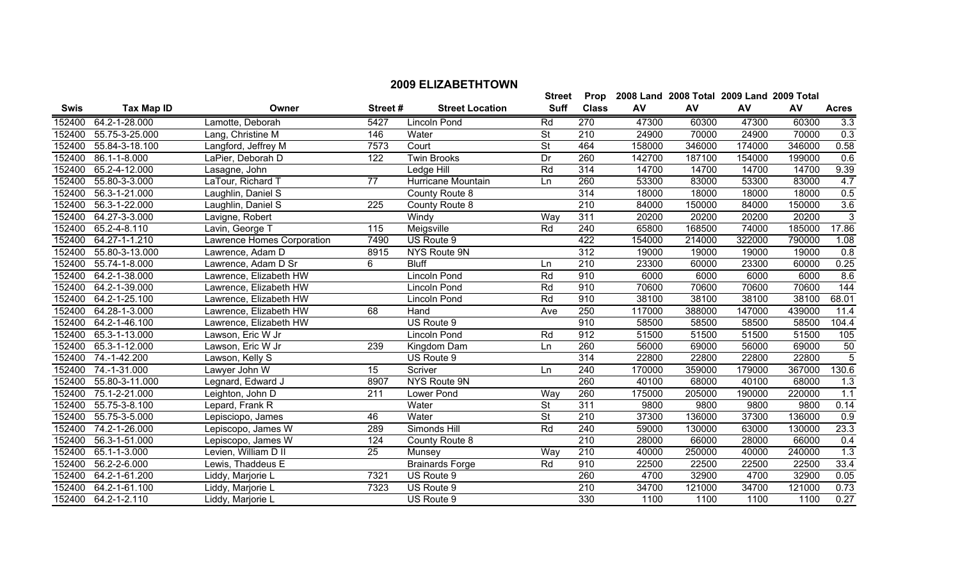|             |                   |                            |         |                        | <b>Street</b>            | <b>Prop</b>      |        | 2008 Land 2008 Total 2009 Land 2009 Total |        |        |                |
|-------------|-------------------|----------------------------|---------|------------------------|--------------------------|------------------|--------|-------------------------------------------|--------|--------|----------------|
| <b>Swis</b> | <b>Tax Map ID</b> | Owner                      | Street# | <b>Street Location</b> | <b>Suff</b>              | <b>Class</b>     | AV     | AV                                        | AV     | AV     | <b>Acres</b>   |
| 152400      | 64.2-1-28.000     | Lamotte, Deborah           | 5427    | Lincoln Pond           | Rd                       | 270              | 47300  | 60300                                     | 47300  | 60300  | 3.3            |
| 152400      | 55.75-3-25.000    | Lang, Christine M          | 146     | Water                  | <b>St</b>                | 210              | 24900  | 70000                                     | 24900  | 70000  | 0.3            |
| 152400      | 55.84-3-18.100    | Langford, Jeffrey M        | 7573    | Court                  | St                       | 464              | 158000 | 346000                                    | 174000 | 346000 | 0.58           |
| 152400      | 86.1-1-8.000      | LaPier, Deborah D          | 122     | <b>Twin Brooks</b>     | Dr                       | 260              | 142700 | 187100                                    | 154000 | 199000 | 0.6            |
| 152400      | 65.2-4-12.000     | Lasagne, John              |         | Ledge Hill             | Rd                       | 314              | 14700  | 14700                                     | 14700  | 14700  | 9.39           |
| 152400      | 55.80-3-3.000     | LaTour, Richard T          | 77      | Hurricane Mountain     | Ln                       | 260              | 53300  | 83000                                     | 53300  | 83000  | 4.7            |
| 152400      | 56.3-1-21.000     | Laughlin, Daniel S         |         | County Route 8         |                          | 314              | 18000  | 18000                                     | 18000  | 18000  | 0.5            |
| 152400      | 56.3-1-22.000     | Laughlin, Daniel S         | 225     | County Route 8         |                          | $\overline{210}$ | 84000  | 150000                                    | 84000  | 150000 | 3.6            |
| 152400      | 64.27-3-3.000     | Lavigne, Robert            |         | Windy                  | Way                      | $\overline{311}$ | 20200  | 20200                                     | 20200  | 20200  | $\overline{3}$ |
| 152400      | 65.2-4-8.110      | Lavin, George T            | 115     | Meigsville             | <b>Rd</b>                | 240              | 65800  | 168500                                    | 74000  | 185000 | 17.86          |
| 152400      | 64.27-1-1.210     | Lawrence Homes Corporation | 7490    | US Route 9             |                          | 422              | 154000 | 214000                                    | 322000 | 790000 | 1.08           |
| 152400      | 55.80-3-13.000    | Lawrence, Adam D           | 8915    | NYS Route 9N           |                          | 312              | 19000  | 19000                                     | 19000  | 19000  | 0.8            |
| 152400      | 55.74-1-8.000     | Lawrence, Adam D Sr        | 6       | <b>Bluff</b>           | Ln                       | 210              | 23300  | 60000                                     | 23300  | 60000  | 0.25           |
| 152400      | 64.2-1-38.000     | Lawrence, Elizabeth HW     |         | <b>Lincoln Pond</b>    | Rd                       | 910              | 6000   | 6000                                      | 6000   | 6000   | 8.6            |
| 152400      | 64.2-1-39.000     | Lawrence, Elizabeth HW     |         | Lincoln Pond           | Rd                       | 910              | 70600  | 70600                                     | 70600  | 70600  | 144            |
| 152400      | 64.2-1-25.100     | Lawrence, Elizabeth HW     |         | Lincoln Pond           | Rd                       | 910              | 38100  | 38100                                     | 38100  | 38100  | 68.01          |
| 152400      | 64.28-1-3.000     | Lawrence, Elizabeth HW     | 68      | Hand                   | Ave                      | 250              | 117000 | 388000                                    | 147000 | 439000 | 11.4           |
| 152400      | 64.2-1-46.100     | Lawrence, Elizabeth HW     |         | US Route 9             |                          | 910              | 58500  | 58500                                     | 58500  | 58500  | 104.4          |
| 152400      | 65.3-1-13.000     | Lawson, Eric W Jr          |         | Lincoln Pond           | Rd                       | 912              | 51500  | 51500                                     | 51500  | 51500  | 105            |
| 152400      | 65.3-1-12.000     | Lawson, Eric W Jr          | 239     | Kingdom Dam            | Ln                       | 260              | 56000  | 69000                                     | 56000  | 69000  | 50             |
| 152400      | 74.-1-42.200      | Lawson, Kelly S            |         | US Route 9             |                          | 314              | 22800  | 22800                                     | 22800  | 22800  | 5              |
| 152400      | 74.-1-31.000      | Lawyer John W              | 15      | Scriver                | Ln                       | 240              | 170000 | 359000                                    | 179000 | 367000 | 130.6          |
| 152400      | 55.80-3-11.000    | Legnard, Edward J          | 8907    | NYS Route 9N           |                          | 260              | 40100  | 68000                                     | 40100  | 68000  | 1.3            |
| 152400      | 75.1-2-21.000     | Leighton, John D           | 211     | Lower Pond             | Way                      | 260              | 175000 | 205000                                    | 190000 | 220000 | 1.1            |
| 152400      | 55.75-3-8.100     | Lepard, Frank R            |         | Water                  | St                       | $\overline{311}$ | 9800   | 9800                                      | 9800   | 9800   | 0.14           |
| 152400      | 55.75-3-5.000     | Lepisciopo, James          | 46      | Water                  | $\overline{\mathsf{St}}$ | 210              | 37300  | 136000                                    | 37300  | 136000 | 0.9            |
| 152400      | 74.2-1-26.000     | Lepiscopo, James W         | 289     | Simonds Hill           | Rd                       | 240              | 59000  | 130000                                    | 63000  | 130000 | 23.3           |
| 152400      | 56.3-1-51.000     | Lepiscopo, James W         | 124     | County Route 8         |                          | 210              | 28000  | 66000                                     | 28000  | 66000  | 0.4            |
| 152400      | 65.1-1-3.000      | Levien, William D II       | 25      | Munsey                 | Way                      | 210              | 40000  | 250000                                    | 40000  | 240000 | 1.3            |
| 152400      | 56.2-2-6.000      | Lewis, Thaddeus E          |         | <b>Brainards Forge</b> | Rd                       | 910              | 22500  | 22500                                     | 22500  | 22500  | 33.4           |
| 152400      | 64.2-1-61.200     | Liddy, Marjorie L          | 7321    | US Route 9             |                          | 260              | 4700   | 32900                                     | 4700   | 32900  | 0.05           |
| 152400      | 64.2-1-61.100     | Liddy, Marjorie L          | 7323    | US Route 9             |                          | 210              | 34700  | 121000                                    | 34700  | 121000 | 0.73           |
| 152400      | 64.2-1-2.110      | Liddy, Marjorie L          |         | US Route 9             |                          | 330              | 1100   | 1100                                      | 1100   | 1100   | 0.27           |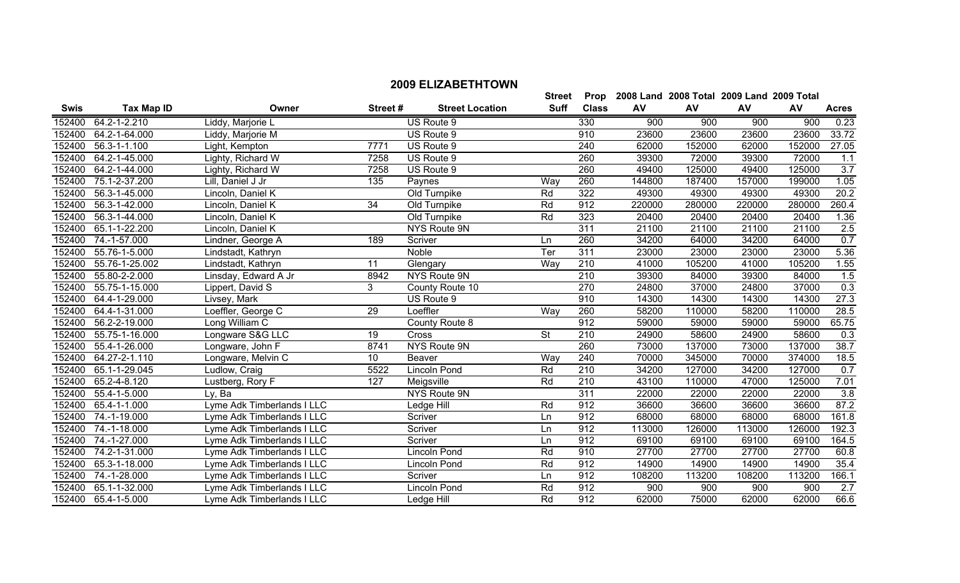|             |                      |                            |         |                        | <b>Street</b> | Prop         |        | 2008 Land 2008 Total 2009 Land 2009 Total |        |        |                  |
|-------------|----------------------|----------------------------|---------|------------------------|---------------|--------------|--------|-------------------------------------------|--------|--------|------------------|
| <b>Swis</b> | Tax Map ID           | Owner                      | Street# | <b>Street Location</b> | <b>Suff</b>   | <b>Class</b> | AV     | AV                                        | AV     | AV     | <b>Acres</b>     |
| 152400      | 64.2-1-2.210         | Liddy, Marjorie L          |         | US Route 9             |               | 330          | 900    | 900                                       | 900    | 900    | 0.23             |
| 152400      | 64.2-1-64.000        | Liddy, Marjorie M          |         | US Route 9             |               | 910          | 23600  | 23600                                     | 23600  | 23600  | 33.72            |
| 152400      | 56.3-1-1.100         | Light, Kempton             | 7771    | US Route 9             |               | 240          | 62000  | 152000                                    | 62000  | 152000 | 27.05            |
| 152400      | 64.2-1-45.000        | Lighty, Richard W          | 7258    | US Route 9             |               | 260          | 39300  | 72000                                     | 39300  | 72000  | 1.1              |
|             | 152400 64.2-1-44.000 | Lighty, Richard W          | 7258    | US Route 9             |               | 260          | 49400  | 125000                                    | 49400  | 125000 | 3.7              |
| 152400      | 75.1-2-37.200        | Lill, Daniel J Jr          | 135     | Paynes                 | Way           | 260          | 144800 | 187400                                    | 157000 | 199000 | 1.05             |
| 152400      | 56.3-1-45.000        | Lincoln, Daniel K          |         | Old Turnpike           | Rd            | 322          | 49300  | 49300                                     | 49300  | 49300  | 20.2             |
| 152400      | 56.3-1-42.000        | Lincoln, Daniel K          | 34      | Old Turnpike           | Rd            | 912          | 220000 | 280000                                    | 220000 | 280000 | 260.4            |
| 152400      | 56.3-1-44.000        | Lincoln, Daniel K          |         | Old Turnpike           | Rd            | 323          | 20400  | 20400                                     | 20400  | 20400  | 1.36             |
| 152400      | 65.1-1-22.200        | Lincoln, Daniel K          |         | NYS Route 9N           |               | 311          | 21100  | 21100                                     | 21100  | 21100  | 2.5              |
| 152400      | 74.-1-57.000         | Lindner, George A          | 189     | Scriver                | Ln            | 260          | 34200  | 64000                                     | 34200  | 64000  | 0.7              |
| 152400      | 55.76-1-5.000        | Lindstadt, Kathryn         |         | Noble                  | Ter           | 311          | 23000  | 23000                                     | 23000  | 23000  | 5.36             |
| 152400      | 55.76-1-25.002       | Lindstadt, Kathryn         | 11      | Glengary               | Way           | 210          | 41000  | 105200                                    | 41000  | 105200 | 1.55             |
| 152400      | 55.80-2-2.000        | Linsday, Edward A Jr       | 8942    | NYS Route 9N           |               | 210          | 39300  | 84000                                     | 39300  | 84000  | 1.5              |
| 152400      | 55.75-1-15.000       | Lippert, David S           | 3       | County Route 10        |               | 270          | 24800  | 37000                                     | 24800  | 37000  | 0.3              |
| 152400      | 64.4-1-29.000        | Livsey, Mark               |         | US Route 9             |               | 910          | 14300  | 14300                                     | 14300  | 14300  | 27.3             |
| 152400      | 64.4-1-31.000        | Loeffler, George C         | 29      | Loeffler               | Way           | 260          | 58200  | 110000                                    | 58200  | 110000 | 28.5             |
| 152400      | 56.2-2-19.000        | Long William C             |         | County Route 8         |               | 912          | 59000  | 59000                                     | 59000  | 59000  | 65.75            |
| 152400      | 55.75-1-16.000       | Longware S&G LLC           | 19      | Cross                  | <b>St</b>     | 210          | 24900  | 58600                                     | 24900  | 58600  | 0.3              |
| 152400      | 55.4-1-26.000        | Longware, John F           | 8741    | NYS Route 9N           |               | 260          | 73000  | 137000                                    | 73000  | 137000 | 38.7             |
| 152400      | $64.27 - 2 - 1.110$  | Longware, Melvin C         | 10      | Beaver                 | Way           | 240          | 70000  | 345000                                    | 70000  | 374000 | 18.5             |
| 152400      | 65.1-1-29.045        | Ludlow, Craig              | 5522    | Lincoln Pond           | Rd            | 210          | 34200  | 127000                                    | 34200  | 127000 | 0.7              |
| 152400      | 65.2-4-8.120         | Lustberg, Rory F           | 127     | Meigsville             | Rd            | 210          | 43100  | 110000                                    | 47000  | 125000 | 7.01             |
| 152400      | 55.4-1-5.000         | Ly, Ba                     |         | NYS Route 9N           |               | 311          | 22000  | 22000                                     | 22000  | 22000  | $\overline{3.8}$ |
| 152400      | 65.4-1-1.000         | Lyme Adk Timberlands I LLC |         | Ledge Hill             | Rd            | 912          | 36600  | 36600                                     | 36600  | 36600  | 87.2             |
| 152400      | 74.-1-19.000         | Lyme Adk Timberlands I LLC |         | Scriver                | Ln            | 912          | 68000  | 68000                                     | 68000  | 68000  | 161.8            |
| 152400      | 74.-1-18.000         | Lyme Adk Timberlands I LLC |         | Scriver                | Ln            | 912          | 113000 | 126000                                    | 113000 | 126000 | 192.3            |
|             | 152400 74.-1-27.000  | Lyme Adk Timberlands I LLC |         | Scriver                | Ln            | 912          | 69100  | 69100                                     | 69100  | 69100  | 164.5            |

 74.2-1-31.000 Lyme Adk Timberlands I LLC Lincoln Pond Rd 910 27700 27700 27700 27700 60.8 65.3-1-18.000 Lyme Adk Timberlands I LLC Lincoln Pond Rd 912 14900 14900 14900 14900 35.4

 65.1-1-32.000 Lyme Adk Timberlands I LLC Lincoln Pond Rd 912 900 900 900 900 2.7 65.4-1-5.000 Lyme Adk Timberlands I LLC Ledge Hill Rd 912 62000 75000 62000 62000 66.6

Lyme Adk Timberlands I LLC Scriver Server Ln 912 108200 113200 108200 113200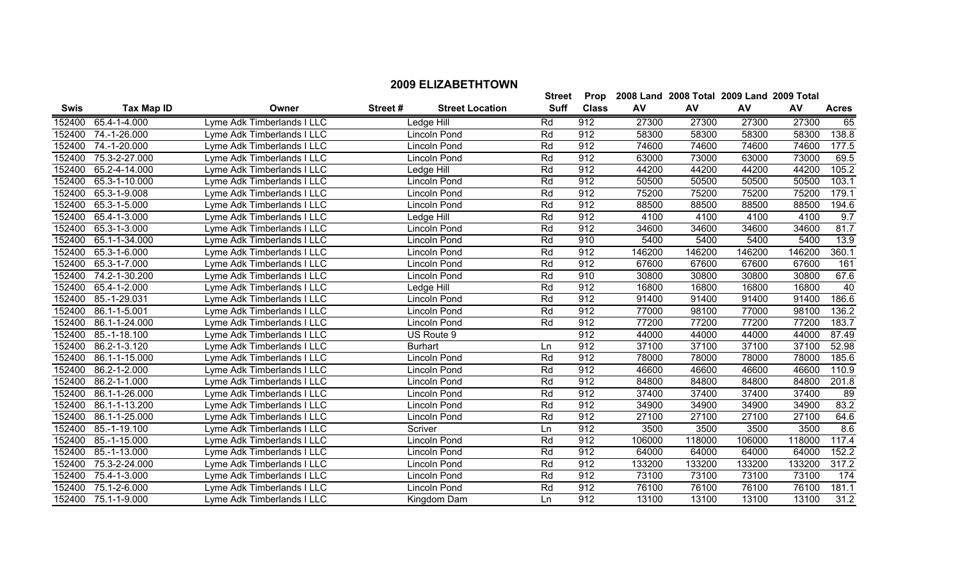|             |                     |                            |         |                        | <b>Street</b> | Prop         |        | 2008 Land 2008 Total 2009 Land 2009 Total |        |        |              |
|-------------|---------------------|----------------------------|---------|------------------------|---------------|--------------|--------|-------------------------------------------|--------|--------|--------------|
| <b>Swis</b> | <b>Tax Map ID</b>   | Owner                      | Street# | <b>Street Location</b> | <b>Suff</b>   | <b>Class</b> | AV     | AV                                        | AV     | AV     | <b>Acres</b> |
| 152400      | 65.4-1-4.000        | Lyme Adk Timberlands I LLC |         | Ledge Hill             | Rd            | 912          | 27300  | 27300                                     | 27300  | 27300  | 65           |
| 152400      | 74.-1-26.000        | Lyme Adk Timberlands I LLC |         | Lincoln Pond           | Rd            | 912          | 58300  | 58300                                     | 58300  | 58300  | 138.8        |
| 152400      | 74.-1-20.000        | Lyme Adk Timberlands I LLC |         | Lincoln Pond           | Rd            | 912          | 74600  | 74600                                     | 74600  | 74600  | 177.5        |
| 152400      | 75.3-2-27.000       | Lyme Adk Timberlands I LLC |         | Lincoln Pond           | Rd            | 912          | 63000  | 73000                                     | 63000  | 73000  | 69.5         |
| 152400      | 65.2-4-14.000       | Lyme Adk Timberlands I LLC |         | Ledge Hill             | Rd            | 912          | 44200  | 44200                                     | 44200  | 44200  | 105.2        |
| 152400      | 65.3-1-10.000       | Lyme Adk Timberlands I LLC |         | Lincoln Pond           | Rd            | 912          | 50500  | 50500                                     | 50500  | 50500  | 103.1        |
| 152400      | 65.3-1-9.008        | Lyme Adk Timberlands I LLC |         | Lincoln Pond           | Rd            | 912          | 75200  | 75200                                     | 75200  | 75200  | 179.1        |
| 152400      | 65.3-1-5.000        | Lyme Adk Timberlands I LLC |         | Lincoln Pond           | Rd            | 912          | 88500  | 88500                                     | 88500  | 88500  | 194.6        |
| 152400      | 65.4-1-3.000        | Lyme Adk Timberlands I LLC |         | Ledge Hill             | Rd            | 912          | 4100   | 4100                                      | 4100   | 4100   | 9.7          |
| 152400      | 65.3-1-3.000        | Lyme Adk Timberlands I LLC |         | Lincoln Pond           | Rd            | 912          | 34600  | 34600                                     | 34600  | 34600  | 81.7         |
| 152400      | 65.1-1-34.000       | Lyme Adk Timberlands I LLC |         | Lincoln Pond           | Rd            | 910          | 5400   | 5400                                      | 5400   | 5400   | 13.9         |
| 152400      | 65.3-1-6.000        | Lyme Adk Timberlands I LLC |         | <b>Lincoln Pond</b>    | Rd            | 912          | 146200 | 146200                                    | 146200 | 146200 | 360.1        |
| 152400      | 65.3-1-7.000        | Lyme Adk Timberlands I LLC |         | Lincoln Pond           | Rd            | 912          | 67600  | 67600                                     | 67600  | 67600  | 161          |
| 152400      | 74.2-1-30.200       | Lyme Adk Timberlands I LLC |         | Lincoln Pond           | Rd            | 910          | 30800  | 30800                                     | 30800  | 30800  | 67.6         |
| 152400      | 65.4-1-2.000        | Lyme Adk Timberlands I LLC |         | Ledge Hill             | Rd            | 912          | 16800  | 16800                                     | 16800  | 16800  | 40           |
| 152400      | 85.-1-29.031        | Lyme Adk Timberlands I LLC |         | Lincoln Pond           | Rd            | 912          | 91400  | 91400                                     | 91400  | 91400  | 186.6        |
| 152400      | 86.1-1-5.001        | Lyme Adk Timberlands I LLC |         | Lincoln Pond           | Rd            | 912          | 77000  | 98100                                     | 77000  | 98100  | 136.2        |
| 152400      | 86.1-1-24.000       | Lyme Adk Timberlands I LLC |         | Lincoln Pond           | Rd            | 912          | 77200  | 77200                                     | 77200  | 77200  | 183.7        |
| 152400      | 85.-1-18.100        | Lyme Adk Timberlands I LLC |         | US Route 9             |               | 912          | 44000  | 44000                                     | 44000  | 44000  | 87.49        |
| 152400      | 86.2-1-3.120        | Lyme Adk Timberlands I LLC |         | <b>Burhart</b>         | Ln            | 912          | 37100  | 37100                                     | 37100  | 37100  | 52.98        |
| 152400      | 86.1-1-15.000       | Lyme Adk Timberlands I LLC |         | Lincoln Pond           | Rd            | 912          | 78000  | 78000                                     | 78000  | 78000  | 185.6        |
| 152400      | 86.2-1-2.000        | Lyme Adk Timberlands I LLC |         | Lincoln Pond           | Rd            | 912          | 46600  | 46600                                     | 46600  | 46600  | 110.9        |
| 152400      | 86.2-1-1.000        | Lyme Adk Timberlands I LLC |         | Lincoln Pond           | Rd            | 912          | 84800  | 84800                                     | 84800  | 84800  | 201.8        |
| 152400      | 86.1-1-26.000       | Lyme Adk Timberlands I LLC |         | Lincoln Pond           | Rd            | 912          | 37400  | 37400                                     | 37400  | 37400  | 89           |
| 152400      | 86.1-1-13.200       | Lyme Adk Timberlands I LLC |         | Lincoln Pond           | Rd            | 912          | 34900  | 34900                                     | 34900  | 34900  | 83.2         |
| 152400      | 86.1-1-25.000       | Lyme Adk Timberlands I LLC |         | Lincoln Pond           | Rd            | 912          | 27100  | 27100                                     | 27100  | 27100  | 64.6         |
| 152400      | 85.-1-19.100        | Lyme Adk Timberlands I LLC |         | Scriver                | Ln            | 912          | 3500   | 3500                                      | 3500   | 3500   | 8.6          |
| 152400      | 85.-1-15.000        | Lyme Adk Timberlands I LLC |         | Lincoln Pond           | Rd            | 912          | 106000 | 118000                                    | 106000 | 118000 | 117.4        |
| 152400      | 85.-1-13.000        | Lyme Adk Timberlands I LLC |         | Lincoln Pond           | Rd            | 912          | 64000  | 64000                                     | 64000  | 64000  | 152.2        |
| 152400      | 75.3-2-24.000       | Lyme Adk Timberlands I LLC |         | Lincoln Pond           | Rd            | 912          | 133200 | 133200                                    | 133200 | 133200 | 317.2        |
| 152400      | 75.4-1-3.000        | Lyme Adk Timberlands I LLC |         | Lincoln Pond           | Rd            | 912          | 73100  | 73100                                     | 73100  | 73100  | 174          |
| 152400      | 75.1-2-6.000        | Lyme Adk Timberlands I LLC |         | Lincoln Pond           | Rd            | 912          | 76100  | 76100                                     | 76100  | 76100  | 181.1        |
|             | 152400 75.1-1-9.000 | Lyme Adk Timberlands I LLC |         | Kingdom Dam            | Ln            | 912          | 13100  | 13100                                     | 13100  | 13100  | 31.2         |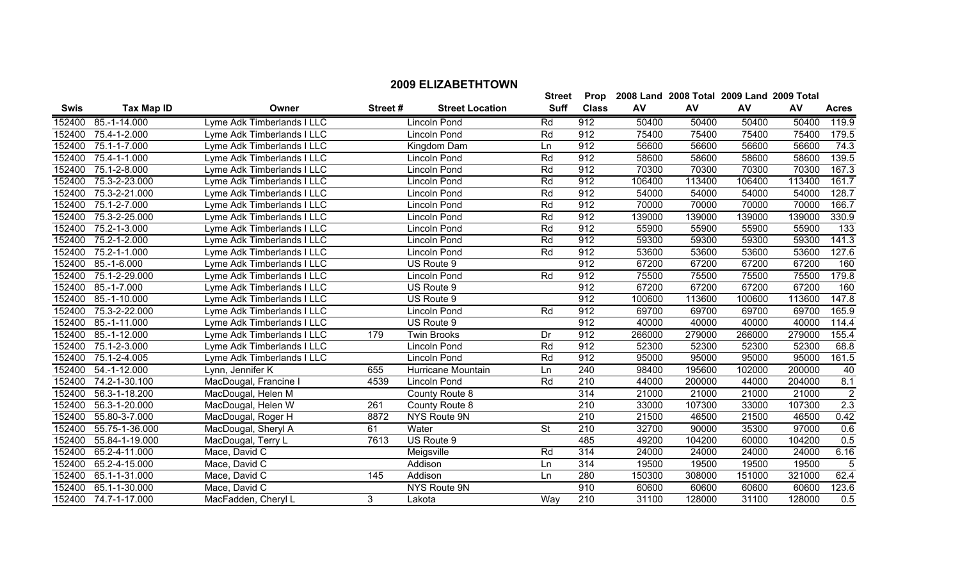|             |                      |                            |         |                        | <b>Street</b> | Prop         |        |        | 2008 Land 2008 Total 2009 Land 2009 Total |        |                |
|-------------|----------------------|----------------------------|---------|------------------------|---------------|--------------|--------|--------|-------------------------------------------|--------|----------------|
| <b>Swis</b> | <b>Tax Map ID</b>    | Owner                      | Street# | <b>Street Location</b> | <b>Suff</b>   | <b>Class</b> | AV     | AV     | AV                                        | AV     | <b>Acres</b>   |
| 152400      | 85.-1-14.000         | Lyme Adk Timberlands I LLC |         | <b>Lincoln Pond</b>    | Rd            | 912          | 50400  | 50400  | 50400                                     | 50400  | 119.9          |
| 152400      | 75.4-1-2.000         | Lyme Adk Timberlands I LLC |         | <b>Lincoln Pond</b>    | Rd            | 912          | 75400  | 75400  | 75400                                     | 75400  | 179.5          |
| 152400      | 75.1-1-7.000         | Lyme Adk Timberlands I LLC |         | Kingdom Dam            | Ln            | 912          | 56600  | 56600  | 56600                                     | 56600  | 74.3           |
| 152400      | 75.4-1-1.000         | Lyme Adk Timberlands I LLC |         | Lincoln Pond           | Rd            | 912          | 58600  | 58600  | 58600                                     | 58600  | 139.5          |
| 152400      | 75.1-2-8.000         | Lyme Adk Timberlands I LLC |         | Lincoln Pond           | Rd            | 912          | 70300  | 70300  | 70300                                     | 70300  | 167.3          |
| 152400      | 75.3-2-23.000        | Lyme Adk Timberlands I LLC |         | Lincoln Pond           | Rd            | 912          | 106400 | 113400 | 106400                                    | 113400 | 161.7          |
| 152400      | 75.3-2-21.000        | Lyme Adk Timberlands I LLC |         | Lincoln Pond           | Rd            | 912          | 54000  | 54000  | 54000                                     | 54000  | 128.7          |
| 152400      | 75.1-2-7.000         | Lyme Adk Timberlands I LLC |         | <b>Lincoln Pond</b>    | Rd            | 912          | 70000  | 70000  | 70000                                     | 70000  | 166.7          |
| 152400      | 75.3-2-25.000        | Lyme Adk Timberlands I LLC |         | <b>Lincoln Pond</b>    | Rd            | 912          | 139000 | 139000 | 139000                                    | 139000 | 330.9          |
| 152400      | 75.2-1-3.000         | Lyme Adk Timberlands I LLC |         | Lincoln Pond           | Rd            | 912          | 55900  | 55900  | 55900                                     | 55900  | 133            |
| 152400      | 75.2-1-2.000         | Lyme Adk Timberlands I LLC |         | <b>Lincoln Pond</b>    | Rd            | 912          | 59300  | 59300  | 59300                                     | 59300  | 141.3          |
| 152400      | 75.2-1-1.000         | Lyme Adk Timberlands I LLC |         | Lincoln Pond           | Rd            | 912          | 53600  | 53600  | 53600                                     | 53600  | 127.6          |
| 152400      | 85.-1-6.000          | Lyme Adk Timberlands I LLC |         | US Route 9             |               | 912          | 67200  | 67200  | 67200                                     | 67200  | 160            |
| 152400      | 75.1-2-29.000        | Lyme Adk Timberlands I LLC |         | <b>Lincoln Pond</b>    | Rd            | 912          | 75500  | 75500  | 75500                                     | 75500  | 179.8          |
| 152400      | 85.-1-7.000          | Lyme Adk Timberlands I LLC |         | US Route 9             |               | 912          | 67200  | 67200  | 67200                                     | 67200  | 160            |
| 152400      | 85.-1-10.000         | Lyme Adk Timberlands I LLC |         | US Route 9             |               | 912          | 100600 | 113600 | 100600                                    | 113600 | 147.8          |
| 152400      | 75.3-2-22.000        | Lyme Adk Timberlands I LLC |         | Lincoln Pond           | Rd            | 912          | 69700  | 69700  | 69700                                     | 69700  | 165.9          |
| 152400      | 85.-1-11.000         | Lyme Adk Timberlands I LLC |         | US Route 9             |               | 912          | 40000  | 40000  | 40000                                     | 40000  | 114.4          |
| 152400      | 85.-1-12.000         | Lyme Adk Timberlands I LLC | 179     | <b>Twin Brooks</b>     | Dr            | 912          | 266000 | 279000 | 266000                                    | 279000 | 155.4          |
| 152400      | 75.1-2-3.000         | Lyme Adk Timberlands I LLC |         | <b>Lincoln Pond</b>    | Rd            | 912          | 52300  | 52300  | 52300                                     | 52300  | 68.8           |
| 152400      | 75.1-2-4.005         | Lyme Adk Timberlands I LLC |         | Lincoln Pond           | Rd            | 912          | 95000  | 95000  | 95000                                     | 95000  | 161.5          |
| 152400      | 54.-1-12.000         | Lynn, Jennifer K           | 655     | Hurricane Mountain     | Ln            | 240          | 98400  | 195600 | 102000                                    | 200000 | 40             |
| 152400      | 74.2-1-30.100        | MacDougal, Francine I      | 4539    | <b>Lincoln Pond</b>    | Rd            | 210          | 44000  | 200000 | 44000                                     | 204000 | 8.1            |
| 152400      | 56.3-1-18.200        | MacDougal, Helen M         |         | County Route 8         |               | 314          | 21000  | 21000  | 21000                                     | 21000  | $\overline{2}$ |
| 152400      | 56.3-1-20.000        | MacDougal, Helen W         | 261     | County Route 8         |               | 210          | 33000  | 107300 | 33000                                     | 107300 | 2.3            |
| 152400      | 55.80-3-7.000        | MacDougal, Roger H         | 8872    | NYS Route 9N           |               | 210          | 21500  | 46500  | 21500                                     | 46500  | 0.42           |
| 152400      | 55.75-1-36.000       | MacDougal, Sheryl A        | 61      | Water                  | <b>St</b>     | 210          | 32700  | 90000  | 35300                                     | 97000  | 0.6            |
| 152400      | 55.84-1-19.000       | MacDougal, Terry L         | 7613    | US Route 9             |               | 485          | 49200  | 104200 | 60000                                     | 104200 | 0.5            |
| 152400      | 65.2-4-11.000        | Mace, David C              |         | Meigsville             | Rd            | 314          | 24000  | 24000  | 24000                                     | 24000  | 6.16           |
| 152400      | 65.2-4-15.000        | Mace, David C              |         | Addison                | Ln            | 314          | 19500  | 19500  | 19500                                     | 19500  | $\overline{5}$ |
| 152400      | 65.1-1-31.000        | Mace, David C              | 145     | Addison                | Ln            | 280          | 150300 | 308000 | 151000                                    | 321000 | 62.4           |
| 152400      | 65.1-1-30.000        | Mace, David C              |         | NYS Route 9N           |               | 910          | 60600  | 60600  | 60600                                     | 60600  | 123.6          |
|             | 152400 74.7-1-17.000 | MacFadden, Cheryl L        | 3       | Lakota                 | Way           | 210          | 31100  | 128000 | 31100                                     | 128000 | 0.5            |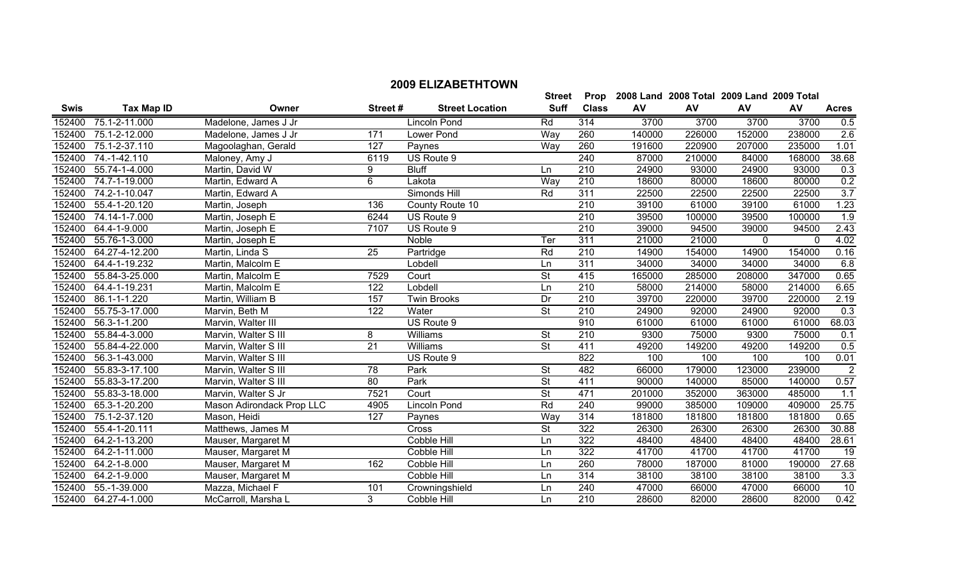|             |                   |                           |                  |                        | <b>Street</b>            | Prop             |        | 2008 Land 2008 Total 2009 Land 2009 Total |          |          |                |
|-------------|-------------------|---------------------------|------------------|------------------------|--------------------------|------------------|--------|-------------------------------------------|----------|----------|----------------|
| <b>Swis</b> | <b>Tax Map ID</b> | Owner                     | Street #         | <b>Street Location</b> | <b>Suff</b>              | <b>Class</b>     | AV     | AV                                        | AV       | AV       | <b>Acres</b>   |
| 152400      | 75.1-2-11.000     | Madelone, James J Jr      |                  | Lincoln Pond           | Rd                       | 314              | 3700   | 3700                                      | 3700     | 3700     | 0.5            |
| 152400      | 75.1-2-12.000     | Madelone, James J Jr      | 171              | Lower Pond             | Way                      | 260              | 140000 | 226000                                    | 152000   | 238000   | 2.6            |
| 152400      | 75.1-2-37.110     | Magoolaghan, Gerald       | 127              | Paynes                 | Way                      | 260              | 191600 | 220900                                    | 207000   | 235000   | 1.01           |
| 152400      | 74.-1-42.110      | Maloney, Amy J            | 6119             | US Route 9             |                          | 240              | 87000  | 210000                                    | 84000    | 168000   | 38.68          |
| 152400      | 55.74-1-4.000     | Martin, David W           | 9                | <b>Bluff</b>           | Ln                       | $\overline{210}$ | 24900  | 93000                                     | 24900    | 93000    | 0.3            |
| 152400      | 74.7-1-19.000     | Martin, Edward A          | 6                | Lakota                 | Way                      | 210              | 18600  | 80000                                     | 18600    | 80000    | 0.2            |
| 152400      | 74.2-1-10.047     | Martin, Edward A          |                  | Simonds Hill           | Rd                       | 311              | 22500  | 22500                                     | 22500    | 22500    | 3.7            |
| 152400      | 55.4-1-20.120     | Martin, Joseph            | 136              | County Route 10        |                          | 210              | 39100  | 61000                                     | 39100    | 61000    | 1.23           |
| 152400      | 74.14-1-7.000     | Martin, Joseph E          | 6244             | US Route 9             |                          | 210              | 39500  | 100000                                    | 39500    | 100000   | 1.9            |
| 152400      | 64.4-1-9.000      | Martin, Joseph E          | 7107             | US Route 9             |                          | 210              | 39000  | 94500                                     | 39000    | 94500    | 2.43           |
| 152400      | 55.76-1-3.000     | Martin, Joseph E          |                  | Noble                  | Ter                      | $\overline{311}$ | 21000  | 21000                                     | $\Omega$ | $\Omega$ | 4.02           |
| 152400      | 64.27-4-12.200    | Martin, Linda S           | 25               | Partridge              | Rd                       | $\overline{210}$ | 14900  | 154000                                    | 14900    | 154000   | 0.16           |
| 152400      | 64.4-1-19.232     | Martin, Malcolm E         |                  | Lobdell                | Ln                       | 311              | 34000  | 34000                                     | 34000    | 34000    | 6.8            |
| 152400      | 55.84-3-25.000    | Martin, Malcolm E         | 7529             | Court                  | $\overline{\mathsf{St}}$ | 415              | 165000 | 285000                                    | 208000   | 347000   | 0.65           |
| 152400      | 64.4-1-19.231     | Martin, Malcolm E         | $\overline{122}$ | Lobdell                | Ln                       | 210              | 58000  | 214000                                    | 58000    | 214000   | 6.65           |
| 152400      | 86.1-1-1.220      | Martin, William B         | 157              | <b>Twin Brooks</b>     | Dr                       | $\overline{210}$ | 39700  | 220000                                    | 39700    | 220000   | 2.19           |
| 152400      | 55.75-3-17.000    | Marvin, Beth M            | 122              | Water                  | <b>St</b>                | 210              | 24900  | 92000                                     | 24900    | 92000    | 0.3            |
| 152400      | 56.3-1-1.200      | Marvin, Walter III        |                  | US Route 9             |                          | 910              | 61000  | 61000                                     | 61000    | 61000    | 68.03          |
| 152400      | 55.84-4-3.000     | Marvin, Walter S III      | 8                | Williams               | <b>St</b>                | $\overline{210}$ | 9300   | 75000                                     | 9300     | 75000    | 0.1            |
| 152400      | 55.84-4-22.000    | Marvin, Walter S III      | 21               | Williams               | St                       | 411              | 49200  | 149200                                    | 49200    | 149200   | 0.5            |
| 152400      | 56.3-1-43.000     | Marvin, Walter S III      |                  | US Route 9             |                          | 822              | 100    | 100                                       | 100      | 100      | 0.01           |
| 152400      | 55.83-3-17.100    | Marvin, Walter S III      | 78               | Park                   | <b>St</b>                | 482              | 66000  | 179000                                    | 123000   | 239000   | $\overline{2}$ |
| 152400      | 55.83-3-17.200    | Marvin, Walter S III      | 80               | Park                   | St                       | 411              | 90000  | 140000                                    | 85000    | 140000   | 0.57           |
| 152400      | 55.83-3-18.000    | Marvin, Walter S Jr       | 7521             | Court                  | <b>St</b>                | 471              | 201000 | 352000                                    | 363000   | 485000   | 1.1            |
| 152400      | 65.3-1-20.200     | Mason Adirondack Prop LLC | 4905             | Lincoln Pond           | Rd                       | 240              | 99000  | 385000                                    | 109000   | 409000   | 25.75          |
| 152400      | 75.1-2-37.120     | Mason, Heidi              | 127              | Paynes                 | Way                      | 314              | 181800 | 181800                                    | 181800   | 181800   | 0.65           |
| 152400      | 55.4-1-20.111     | Matthews, James M         |                  | Cross                  | <b>St</b>                | 322              | 26300  | 26300                                     | 26300    | 26300    | 30.88          |
| 152400      | 64.2-1-13.200     | Mauser, Margaret M        |                  | Cobble Hill            | Ln                       | 322              | 48400  | 48400                                     | 48400    | 48400    | 28.61          |
| 152400      | 64.2-1-11.000     | Mauser, Margaret M        |                  | Cobble Hill            | Ln                       | 322              | 41700  | 41700                                     | 41700    | 41700    | 19             |
| 152400      | 64.2-1-8.000      | Mauser, Margaret M        | 162              | Cobble Hill            | Ln                       | 260              | 78000  | 187000                                    | 81000    | 190000   | 27.68          |
| 152400      | 64.2-1-9.000      | Mauser, Margaret M        |                  | Cobble Hill            | Ln                       | 314              | 38100  | 38100                                     | 38100    | 38100    | 3.3            |
| 152400      | 55.-1-39.000      | Mazza, Michael F          | 101              | Crowningshield         | Ln                       | 240              | 47000  | 66000                                     | 47000    | 66000    | 10             |
| 152400      | 64.27-4-1.000     | McCarroll, Marsha L       | 3                | Cobble Hill            | Ln                       | 210              | 28600  | 82000                                     | 28600    | 82000    | 0.42           |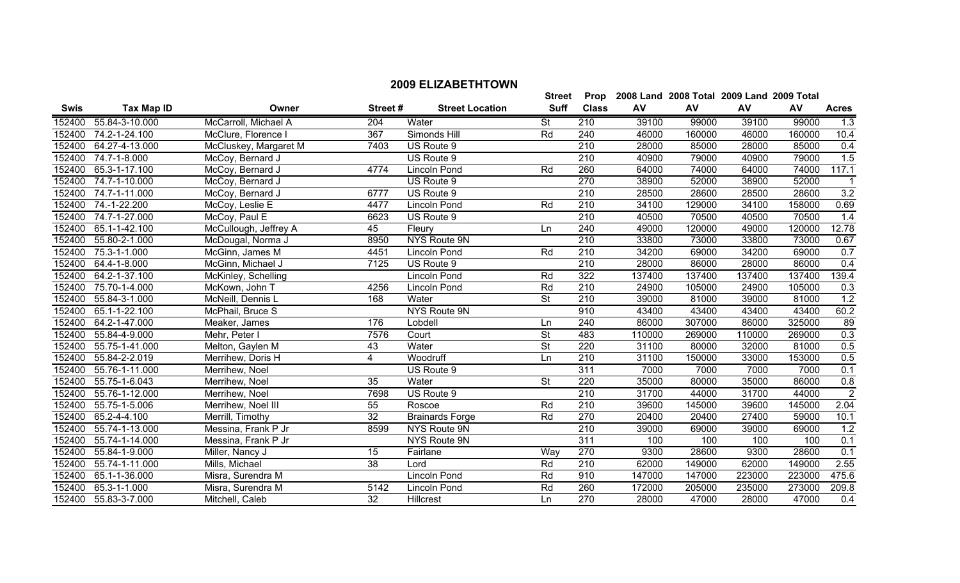|             |                            |                      |          |                        | <b>Street</b> | Prop         | <b>2008 Land</b> | 2008 Total | <b>2009 Land</b> |
|-------------|----------------------------|----------------------|----------|------------------------|---------------|--------------|------------------|------------|------------------|
| <b>Swis</b> | Tax Map ID                 | Owner                | Street # | <b>Street Location</b> | <b>Suff</b>   | <b>Class</b> | AV               | AV         | AV               |
| 52400       | <b>⊦-3-10.000</b><br>55.84 | McCarroll, Michael A | 204      | Water                  |               | 210          | 39100            | 99000      | 39100            |

**2009 Total** 

**AV Acres**

|        | 152400 55.84-3-10.000 | McCarroll, Michael A  | 204             | Water                  | <b>St</b>                | 210              | 39100  | 99000  | 39100  | 99000  | 1.3              |
|--------|-----------------------|-----------------------|-----------------|------------------------|--------------------------|------------------|--------|--------|--------|--------|------------------|
| 152400 | 74.2-1-24.100         | McClure, Florence I   | 367             | Simonds Hill           | Rd                       | 240              | 46000  | 160000 | 46000  | 160000 | 10.4             |
|        | 152400 64.27-4-13.000 | McCluskey, Margaret M | 7403            | US Route 9             |                          | 210              | 28000  | 85000  | 28000  | 85000  | 0.4              |
| 152400 | 74.7-1-8.000          | McCoy, Bernard J      |                 | US Route 9             |                          | 210              | 40900  | 79000  | 40900  | 79000  | 1.5              |
| 152400 | 65.3-1-17.100         | McCoy, Bernard J      | 4774            | <b>Lincoln Pond</b>    | Rd                       | 260              | 64000  | 74000  | 64000  | 74000  | 117.1            |
| 152400 | 74.7-1-10.000         | McCoy, Bernard J      |                 | US Route 9             |                          | 270              | 38900  | 52000  | 38900  | 52000  |                  |
| 152400 | 74.7-1-11.000         | McCoy, Bernard J      | 6777            | US Route 9             |                          | 210              | 28500  | 28600  | 28500  | 28600  | 3.2              |
| 152400 | 74.-1-22.200          | McCoy, Leslie E       | 4477            | <b>Lincoln Pond</b>    | Rd                       | $\overline{210}$ | 34100  | 129000 | 34100  | 158000 | 0.69             |
| 152400 | 74.7-1-27.000         | McCoy, Paul E         | 6623            | US Route 9             |                          | 210              | 40500  | 70500  | 40500  | 70500  | 1.4              |
|        | 152400 65.1-1-42.100  | McCullough, Jeffrey A | 45              | Fleury                 | Ln                       | 240              | 49000  | 120000 | 49000  | 120000 | 12.78            |
| 152400 | 55.80-2-1.000         | McDougal, Norma J     | 8950            | NYS Route 9N           |                          | 210              | 33800  | 73000  | 33800  | 73000  | 0.67             |
| 152400 | 75.3-1-1.000          | McGinn, James M       | 4451            | <b>Lincoln Pond</b>    | Rd                       | 210              | 34200  | 69000  | 34200  | 69000  | 0.7              |
| 152400 | 64.4-1-8.000          | McGinn, Michael J     | 7125            | US Route 9             |                          | $\overline{210}$ | 28000  | 86000  | 28000  | 86000  | 0.4              |
|        | 152400 64.2-1-37.100  | McKinley, Schelling   |                 | <b>Lincoln Pond</b>    | Rd                       | 322              | 137400 | 137400 | 137400 | 137400 | 139.4            |
| 152400 | 75.70-1-4.000         | McKown, John T        | 4256            | <b>Lincoln Pond</b>    | Rd                       | $\overline{210}$ | 24900  | 105000 | 24900  | 105000 | $\overline{0.3}$ |
| 152400 | 55.84-3-1.000         | McNeill, Dennis L     | 168             | Water                  | $\overline{\mathsf{St}}$ | $\overline{210}$ | 39000  | 81000  | 39000  | 81000  | 1.2              |
| 152400 | 65.1-1-22.100         | McPhail, Bruce S      |                 | NYS Route 9N           |                          | 910              | 43400  | 43400  | 43400  | 43400  | 60.2             |
| 152400 | 64.2-1-47.000         | Meaker, James         | 176             | Lobdell                | Ln                       | 240              | 86000  | 307000 | 86000  | 325000 | 89               |
| 152400 | 55.84-4-9.000         | Mehr, Peter I         | 7576            | Court                  | <b>St</b>                | 483              | 110000 | 269000 | 110000 | 269000 | 0.3              |
| 152400 | 55.75-1-41.000        | Melton, Gaylen M      | 43              | Water                  | $\overline{\mathsf{St}}$ | 220              | 31100  | 80000  | 32000  | 81000  | 0.5              |
| 152400 | 55.84-2-2.019         | Merrihew, Doris H     | 4               | Woodruff               | Ln                       | 210              | 31100  | 150000 | 33000  | 153000 | 0.5              |
| 152400 | 55.76-1-11.000        | Merrihew, Noel        |                 | US Route 9             |                          | 311              | 7000   | 7000   | 7000   | 7000   | 0.1              |
| 152400 | 55.75-1-6.043         | Merrihew, Noel        | 35              | Water                  | $\overline{\mathsf{St}}$ | 220              | 35000  | 80000  | 35000  | 86000  | 0.8              |
| 152400 | 55.76-1-12.000        | Merrihew, Noel        | 7698            | US Route 9             |                          | 210              | 31700  | 44000  | 31700  | 44000  | $\overline{2}$   |
| 152400 | 55.75-1-5.006         | Merrihew, Noel III    | 55              | Roscoe                 | Rd                       | 210              | 39600  | 145000 | 39600  | 145000 | 2.04             |
| 152400 | 65.2-4-4.100          | Merrill, Timothy      | 32              | <b>Brainards Forge</b> | Rd                       | 270              | 20400  | 20400  | 27400  | 59000  | 10.1             |
| 152400 | 55.74-1-13.000        | Messina, Frank P Jr   | 8599            | NYS Route 9N           |                          | 210              | 39000  | 69000  | 39000  | 69000  | 1.2              |
| 152400 | 55.74-1-14.000        | Messina, Frank P Jr   |                 | NYS Route 9N           |                          | 311              | 100    | 100    | 100    | 100    | 0.1              |
| 152400 | 55.84-1-9.000         | Miller, Nancy J       | 15              | Fairlane               | Way                      | 270              | 9300   | 28600  | 9300   | 28600  | 0.1              |
| 152400 | 55.74-1-11.000        | Mills, Michael        | $\overline{38}$ | Lord                   | Rd                       | $\overline{210}$ | 62000  | 149000 | 62000  | 149000 | 2.55             |
| 152400 | 65.1-1-36.000         | Misra, Surendra M     |                 | <b>Lincoln Pond</b>    | Rd                       | 910              | 147000 | 147000 | 223000 | 223000 | 475.6            |
| 152400 | 65.3-1-1.000          | Misra, Surendra M     | 5142            | Lincoln Pond           | Rd                       | 260              | 172000 | 205000 | 235000 | 273000 | 209.8            |
|        | 152400 55.83-3-7.000  | Mitchell, Caleb       | 32              | Hillcrest              | Ln                       | 270              | 28000  | 47000  | 28000  | 47000  | 0.4              |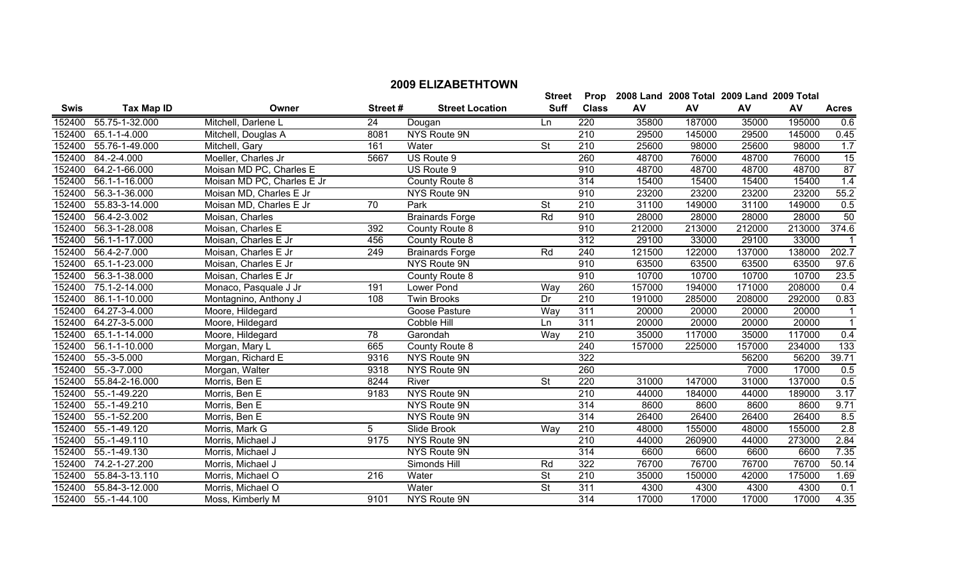|        |                     |                            |         |                        | <b>Street</b>            | Prop             |        | 2008 Land 2008 Total 2009 Land 2009 Total |        |        |                  |
|--------|---------------------|----------------------------|---------|------------------------|--------------------------|------------------|--------|-------------------------------------------|--------|--------|------------------|
| Swis   | <b>Tax Map ID</b>   | Owner                      | Street# | <b>Street Location</b> | <b>Suff</b>              | <b>Class</b>     | AV     | AV                                        | AV     | AV     | <b>Acres</b>     |
| 152400 | 55.75-1-32.000      | Mitchell, Darlene L        | 24      | Dougan                 | <b>Ln</b>                | 220              | 35800  | 187000                                    | 35000  | 195000 | 0.6              |
| 152400 | 65.1-1-4.000        | Mitchell, Douglas A        | 8081    | NYS Route 9N           |                          | 210              | 29500  | 145000                                    | 29500  | 145000 | 0.45             |
| 152400 | 55.76-1-49.000      | Mitchell, Gary             | 161     | Water                  | <b>St</b>                | 210              | 25600  | 98000                                     | 25600  | 98000  | 1.7              |
| 152400 | 84.-2-4.000         | Moeller, Charles Jr        | 5667    | US Route 9             |                          | 260              | 48700  | 76000                                     | 48700  | 76000  | 15               |
| 152400 | 64.2-1-66.000       | Moisan MD PC, Charles E    |         | US Route 9             |                          | 910              | 48700  | 48700                                     | 48700  | 48700  | 87               |
| 152400 | 56.1-1-16.000       | Moisan MD PC, Charles E Jr |         | County Route 8         |                          | $\overline{314}$ | 15400  | 15400                                     | 15400  | 15400  | 1.4              |
| 152400 | 56.3-1-36.000       | Moisan MD, Charles E Jr    |         | NYS Route 9N           |                          | 910              | 23200  | 23200                                     | 23200  | 23200  | 55.2             |
| 152400 | 55.83-3-14.000      | Moisan MD, Charles E Jr    | 70      | Park                   | <b>St</b>                | 210              | 31100  | 149000                                    | 31100  | 149000 | 0.5              |
| 152400 | 56.4-2-3.002        | Moisan, Charles            |         | <b>Brainards Forge</b> | Rd                       | 910              | 28000  | 28000                                     | 28000  | 28000  | 50               |
| 152400 | 56.3-1-28.008       | Moisan, Charles E          | 392     | County Route 8         |                          | 910              | 212000 | 213000                                    | 212000 | 213000 | 374.6            |
| 152400 | 56.1-1-17.000       | Moisan, Charles E Jr       | 456     | County Route 8         |                          | 312              | 29100  | 33000                                     | 29100  | 33000  |                  |
| 152400 | 56.4-2-7.000        | Moisan, Charles E Jr       | 249     | <b>Brainards Forge</b> | Rd                       | 240              | 121500 | 122000                                    | 137000 | 138000 | 202.7            |
| 152400 | 65.1-1-23.000       | Moisan, Charles E Jr       |         | NYS Route 9N           |                          | 910              | 63500  | 63500                                     | 63500  | 63500  | 97.6             |
| 152400 | 56.3-1-38.000       | Moisan, Charles E Jr       |         | County Route 8         |                          | 910              | 10700  | 10700                                     | 10700  | 10700  | 23.5             |
| 152400 | 75.1-2-14.000       | Monaco, Pasquale J Jr      | 191     | Lower Pond             | Way                      | 260              | 157000 | 194000                                    | 171000 | 208000 | 0.4              |
| 152400 | 86.1-1-10.000       | Montagnino, Anthony J      | 108     | <b>Twin Brooks</b>     | Dr                       | $\overline{210}$ | 191000 | 285000                                    | 208000 | 292000 | 0.83             |
| 152400 | 64.27-3-4.000       | Moore, Hildegard           |         | Goose Pasture          | Way                      | 311              | 20000  | 20000                                     | 20000  | 20000  | $\overline{1}$   |
| 152400 | 64.27-3-5.000       | Moore, Hildegard           |         | Cobble Hill            | Ln                       | 311              | 20000  | 20000                                     | 20000  | 20000  | $\overline{1}$   |
| 152400 | 65.1-1-14.000       | Moore, Hildegard           | 78      | Garondah               | Way                      | 210              | 35000  | 117000                                    | 35000  | 117000 | 0.4              |
| 152400 | 56.1-1-10.000       | Morgan, Mary L             | 665     | County Route 8         |                          | 240              | 157000 | 225000                                    | 157000 | 234000 | 133              |
| 152400 | 55.-3-5.000         | Morgan, Richard E          | 9316    | NYS Route 9N           |                          | 322              |        |                                           | 56200  | 56200  | 39.71            |
| 152400 | 55.-3-7.000         | Morgan, Walter             | 9318    | NYS Route 9N           |                          | 260              |        |                                           | 7000   | 17000  | 0.5              |
| 152400 | 55.84-2-16.000      | Morris, Ben E              | 8244    | River                  | $\overline{\mathsf{St}}$ | 220              | 31000  | 147000                                    | 31000  | 137000 | 0.5              |
| 152400 | 55.-1-49.220        | Morris, Ben E              | 9183    | NYS Route 9N           |                          | 210              | 44000  | 184000                                    | 44000  | 189000 | 3.17             |
| 152400 | 55.-1-49.210        | Morris, Ben E              |         | <b>NYS Route 9N</b>    |                          | 314              | 8600   | 8600                                      | 8600   | 8600   | 9.71             |
| 152400 | 55.-1-52.200        | Morris, Ben E              |         | NYS Route 9N           |                          | 314              | 26400  | 26400                                     | 26400  | 26400  | 8.5              |
| 152400 | 55.-1-49.120        | Morris, Mark G             | 5       | Slide Brook            | Way                      | $\overline{210}$ | 48000  | 155000                                    | 48000  | 155000 | $\overline{2.8}$ |
| 152400 | 55.-1-49.110        | Morris, Michael J          | 9175    | NYS Route 9N           |                          | $\overline{210}$ | 44000  | 260900                                    | 44000  | 273000 | 2.84             |
| 152400 | 55.-1-49.130        | Morris, Michael J          |         | NYS Route 9N           |                          | 314              | 6600   | 6600                                      | 6600   | 6600   | 7.35             |
| 152400 | 74.2-1-27.200       | Morris, Michael J          |         | Simonds Hill           | Rd                       | 322              | 76700  | 76700                                     | 76700  | 76700  | 50.14            |
| 152400 | 55.84-3-13.110      | Morris, Michael O          | 216     | Water                  | <b>St</b>                | 210              | 35000  | 150000                                    | 42000  | 175000 | 1.69             |
| 152400 | 55.84-3-12.000      | Morris, Michael O          |         | Water                  | <b>St</b>                | 311              | 4300   | 4300                                      | 4300   | 4300   | 0.1              |
|        | 152400 55.-1-44.100 | Moss, Kimberly M           | 9101    | NYS Route 9N           |                          | 314              | 17000  | 17000                                     | 17000  | 17000  | 4.35             |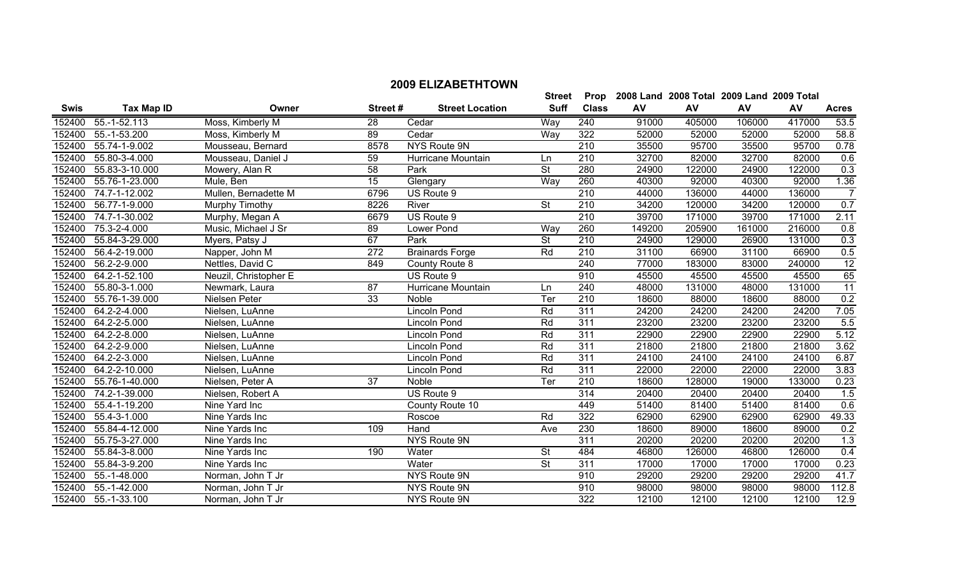| <b>Swis</b> | <b>Tax Map ID</b>   | Owner                 | Street#         | <b>Street Location</b> | <b>Suff</b>              | <b>Class</b>     | AV     | AV     | AV     | AV     | <b>Acres</b>    |
|-------------|---------------------|-----------------------|-----------------|------------------------|--------------------------|------------------|--------|--------|--------|--------|-----------------|
| 152400      | 55.-1-52.113        | Moss, Kimberly M      | 28              | Cedar                  | Way                      | 240              | 91000  | 405000 | 106000 | 417000 | 53.5            |
| 152400      | 55.-1-53.200        | Moss, Kimberly M      | 89              | Cedar                  | Way                      | 322              | 52000  | 52000  | 52000  | 52000  | 58.8            |
| 152400      | 55.74-1-9.002       | Mousseau, Bernard     | 8578            | NYS Route 9N           |                          | $\overline{210}$ | 35500  | 95700  | 35500  | 95700  | 0.78            |
| 152400      | 55.80-3-4.000       | Mousseau, Daniel J    | 59              | Hurricane Mountain     | Ln                       | 210              | 32700  | 82000  | 32700  | 82000  | 0.6             |
| 152400      | 55.83-3-10.000      | Mowery, Alan R        | $\overline{58}$ | Park                   | $\overline{\mathsf{St}}$ | 280              | 24900  | 122000 | 24900  | 122000 | 0.3             |
| 152400      | 55.76-1-23.000      | Mule, Ben             | 15              | Glengary               | <b>Way</b>               | 260              | 40300  | 92000  | 40300  | 92000  | 1.36            |
| 152400      | 74.7-1-12.002       | Mullen, Bernadette M  | 6796            | US Route 9             |                          | $\overline{210}$ | 44000  | 136000 | 44000  | 136000 | $\overline{7}$  |
| 152400      | 56.77-1-9.000       | Murphy Timothy        | 8226            | River                  | <b>St</b>                | $\overline{210}$ | 34200  | 120000 | 34200  | 120000 | 0.7             |
| 152400      | 74.7-1-30.002       | Murphy, Megan A       | 6679            | US Route 9             |                          | $\overline{210}$ | 39700  | 171000 | 39700  | 171000 | 2.11            |
| 152400      | 75.3-2-4.000        | Music, Michael J Sr   | 89              | Lower Pond             | Way                      | 260              | 149200 | 205900 | 161000 | 216000 | 0.8             |
| 152400      | 55.84-3-29.000      | Myers, Patsy J        | 67              | Park                   | $\overline{\mathsf{St}}$ | $\overline{210}$ | 24900  | 129000 | 26900  | 131000 | 0.3             |
| 152400      | 56.4-2-19.000       | Napper, John M        | 272             | <b>Brainards Forge</b> | Rd                       | 210              | 31100  | 66900  | 31100  | 66900  | 0.5             |
| 152400      | 56.2-2-9.000        | Nettles, David C      | 849             | County Route 8         |                          | 240              | 77000  | 183000 | 83000  | 240000 | $\overline{12}$ |
| 152400      | 64.2-1-52.100       | Neuzil, Christopher E |                 | US Route 9             |                          | 910              | 45500  | 45500  | 45500  | 45500  | 65              |
| 152400      | 55.80-3-1.000       | Newmark, Laura        | 87              | Hurricane Mountain     | Ln                       | 240              | 48000  | 131000 | 48000  | 131000 | $\overline{11}$ |
| 152400      | 55.76-1-39.000      | Nielsen Peter         | 33              | Noble                  | Ter                      | $\overline{210}$ | 18600  | 88000  | 18600  | 88000  | 0.2             |
| 152400      | $64.2 - 2 - 4.000$  | Nielsen, LuAnne       |                 | <b>Lincoln Pond</b>    | Rd                       | 311              | 24200  | 24200  | 24200  | 24200  | 7.05            |
| 152400      | 64.2-2-5.000        | Nielsen, LuAnne       |                 | Lincoln Pond           | Rd                       | $\overline{311}$ | 23200  | 23200  | 23200  | 23200  | 5.5             |
| 152400      | 64.2-2-8.000        | Nielsen, LuAnne       |                 | Lincoln Pond           | Rd                       | 311              | 22900  | 22900  | 22900  | 22900  | 5.12            |
| 152400      | 64.2-2-9.000        | Nielsen, LuAnne       |                 | Lincoln Pond           | Rd                       | 311              | 21800  | 21800  | 21800  | 21800  | 3.62            |
| 152400      | 64.2-2-3.000        | Nielsen, LuAnne       |                 | Lincoln Pond           | Rd                       | 311              | 24100  | 24100  | 24100  | 24100  | 6.87            |
| 152400      | 64.2-2-10.000       | Nielsen, LuAnne       |                 | <b>Lincoln Pond</b>    | Rd                       | 311              | 22000  | 22000  | 22000  | 22000  | 3.83            |
| 152400      | 55.76-1-40.000      | Nielsen, Peter A      | $\overline{37}$ | Noble                  | Ter                      | 210              | 18600  | 128000 | 19000  | 133000 | 0.23            |
| 152400      | 74.2-1-39.000       | Nielsen, Robert A     |                 | US Route 9             |                          | 314              | 20400  | 20400  | 20400  | 20400  | 1.5             |
| 152400      | 55.4-1-19.200       | Nine Yard Inc         |                 | County Route 10        |                          | 449              | 51400  | 81400  | 51400  | 81400  | 0.6             |
| 152400      | 55.4-3-1.000        | Nine Yards Inc        |                 | Roscoe                 | Rd                       | 322              | 62900  | 62900  | 62900  | 62900  | 49.33           |
| 152400      | 55.84-4-12.000      | Nine Yards Inc        | 109             | Hand                   | Ave                      | 230              | 18600  | 89000  | 18600  | 89000  | 0.2             |
| 152400      | 55.75-3-27.000      | Nine Yards Inc        |                 | NYS Route 9N           |                          | 311              | 20200  | 20200  | 20200  | 20200  | 1.3             |
| 152400      | 55.84-3-8.000       | Nine Yards Inc        | 190             | Water                  | $\overline{\mathsf{St}}$ | 484              | 46800  | 126000 | 46800  | 126000 | 0.4             |
| 152400      | 55.84-3-9.200       | Nine Yards Inc        |                 | Water                  | St                       | 311              | 17000  | 17000  | 17000  | 17000  | 0.23            |
| 152400      | 55.-1-48.000        | Norman, John T Jr     |                 | <b>NYS Route 9N</b>    |                          | 910              | 29200  | 29200  | 29200  | 29200  | 41.7            |
| 152400      | 55.-1-42.000        | Norman, John T Jr     |                 | NYS Route 9N           |                          | 910              | 98000  | 98000  | 98000  | 98000  | 112.8           |
|             | 152400 55.-1-33.100 | Norman, John T Jr     |                 | NYS Route 9N           |                          | 322              | 12100  | 12100  | 12100  | 12100  | 12.9            |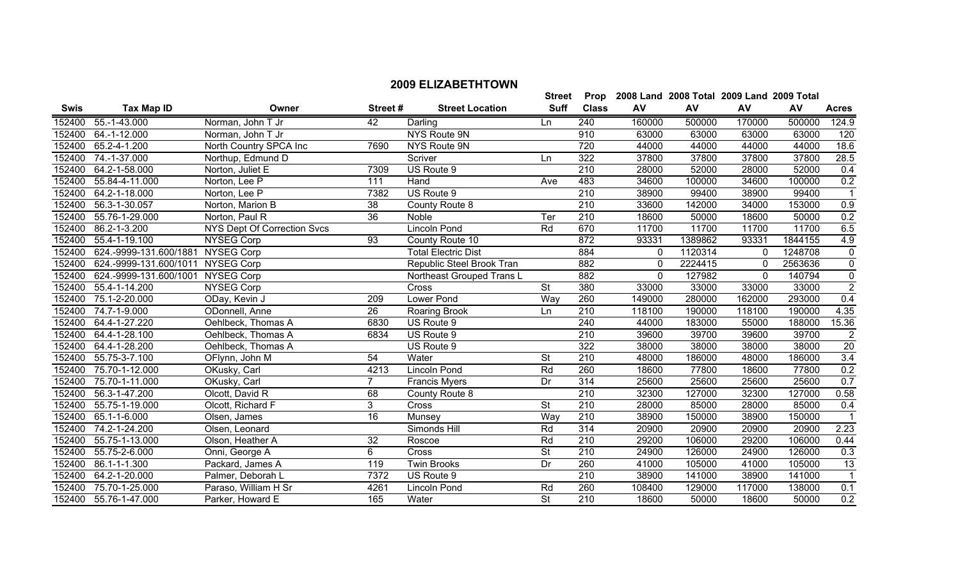|             |                                    |                             |          |                        | <b>Street</b> | Prop         |              | 2008 Land 2008 Total 2009 Land 2009 Total |              |           |              |
|-------------|------------------------------------|-----------------------------|----------|------------------------|---------------|--------------|--------------|-------------------------------------------|--------------|-----------|--------------|
| <b>Swis</b> | Tax Map ID                         | Owner                       | Street # | <b>Street Location</b> | Suff          | <b>Class</b> | AV           | AV                                        | <b>AV</b>    | <b>AV</b> | <b>Acres</b> |
| 152400      | 55.-1-43.000                       | Norman, John T Jr           | 42       | Darling                | Ln            | 240          | 160000       | 500000                                    | 170000       | 500000    | 124.9        |
| 152400      | 64.-1-12.000                       | Norman, John T Jr           |          | NYS Route 9N           |               | 910          | 63000        | 63000                                     | 63000        | 63000     | 120          |
| 152400      | 65.2-4-1.200                       | North Country SPCA Inc      | 7690     | NYS Route 9N           |               | 720          | 44000        | 44000                                     | 44000        | 44000     | 18.6         |
|             | 152400 74.-1-37.000                | Northup, Edmund D           |          | Scriver                | Ln.           | 322          | 37800        | 37800                                     | 37800        | 37800     | 28.5         |
|             | 152400 64.2-1-58.000               | Norton, Juliet E            | 7309     | US Route 9             |               | 210          | 28000        | 52000                                     | 28000        | 52000     | 0.4          |
| 152400      | 55.84-4-11.000                     | Norton, Lee P               | 111      | Hand                   | Ave           | 483          | 34600        | 100000                                    | 34600        | 100000    | 0.2          |
| 152400      | 64.2-1-18.000                      | Norton, Lee P               | 7382     | US Route 9             |               | 210          | 38900        | 99400                                     | 38900        | 99400     |              |
| 152400      | 56.3-1-30.057                      | Norton, Marion B            | 38       | County Route 8         |               | 210          | 33600        | 142000                                    | 34000        | 153000    | 0.9          |
| 152400      | 55.76-1-29.000                     | Norton, Paul R              | 36       | <b>Noble</b>           | Ter           | 210          | 18600        | 50000                                     | 18600        | 50000     | 0.2          |
| 152400      | 86.2-1-3.200                       | NYS Dept Of Correction Svcs |          | Lincoln Pond           | Rd            | 670          | 11700        | 11700                                     | 11700        | 11700     | 6.5          |
| 152400      | 55.4-1-19.100                      | NYSEG Corp                  | 93       | County Route 10        |               | 872          | 93331        | 1389862                                   | 93331        | 1844155   | 4.9          |
|             | $152400$ $524$ 0000 121 $500/1901$ | NIVEEC Carp                 |          | Total Electric Dict    |               | 001          | <sup>n</sup> | 1100211                                   | <sup>n</sup> | 1010700   | $\Omega$     |

| 152400 | 74.-1-37.000                      | Northup, Edmund D           |                  | Scriver                    | Ln                       | 322              | 37800        | 37800   | 37800    | 37800   | 28.5           |
|--------|-----------------------------------|-----------------------------|------------------|----------------------------|--------------------------|------------------|--------------|---------|----------|---------|----------------|
| 152400 | 64.2-1-58.000                     | Norton, Juliet E            | 7309             | US Route 9                 |                          | 210              | 28000        | 52000   | 28000    | 52000   | 0.4            |
| 152400 | 55.84-4-11.000                    | Norton, Lee P               | 111              | Hand                       | Ave                      | 483              | 34600        | 100000  | 34600    | 100000  | 0.2            |
| 152400 | 64.2-1-18.000                     | Norton, Lee P               | 7382             | US Route 9                 |                          | $\overline{210}$ | 38900        | 99400   | 38900    | 99400   |                |
| 152400 | 56.3-1-30.057                     | Norton, Marion B            | $\overline{38}$  | County Route 8             |                          | 210              | 33600        | 142000  | 34000    | 153000  | 0.9            |
| 152400 | 55.76-1-29.000                    | Norton, Paul R              | $\overline{36}$  | Noble                      | Ter                      | 210              | 18600        | 50000   | 18600    | 50000   | 0.2            |
| 152400 | 86.2-1-3.200                      | NYS Dept Of Correction Svcs |                  | Lincoln Pond               | Rd                       | 670              | 11700        | 11700   | 11700    | 11700   | 6.5            |
| 152400 | 55.4-1-19.100                     | NYSEG Corp                  | $\overline{93}$  | County Route 10            |                          | 872              | 93331        | 1389862 | 93331    | 1844155 | 4.9            |
| 152400 | 624.-9999-131.600/1881            | <b>NYSEG Corp</b>           |                  | <b>Total Electric Dist</b> |                          | 884              | $\mathbf{0}$ | 1120314 |          | 1248708 | 0              |
| 152400 | 624.-9999-131.600/1011 NYSEG Corp |                             |                  | Republic Steel Brook Tran  |                          | 882              | $\mathbf{0}$ | 2224415 | $\Omega$ | 2563636 | $\overline{0}$ |
| 152400 | 624.-9999-131.600/1001            | NYSEG Corp                  |                  | Northeast Grouped Trans L  |                          | 882              | $\mathbf{0}$ | 127982  | $\Omega$ | 140794  | 0              |
| 152400 | 55.4-1-14.200                     | NYSEG Corp                  |                  | Cross                      | $\overline{\mathsf{St}}$ | 380              | 33000        | 33000   | 33000    | 33000   | $\overline{2}$ |
| 152400 | 75.1-2-20.000                     | ODay, Kevin J               | $\overline{209}$ | Lower Pond                 | Way                      | 260              | 149000       | 280000  | 162000   | 293000  | 0.4            |
| 152400 | 74.7-1-9.000                      | ODonnell, Anne              | $\overline{26}$  | <b>Roaring Brook</b>       | Ln                       | $\overline{210}$ | 118100       | 190000  | 118100   | 190000  | 4.35           |
| 152400 | 64.4-1-27.220                     | Oehlbeck, Thomas A          | 6830             | US Route 9                 |                          | 240              | 44000        | 183000  | 55000    | 188000  | 15.36          |
| 152400 | 64.4-1-28.100                     | Oehlbeck, Thomas A          | 6834             | US Route 9                 |                          | 210              | 39600        | 39700   | 39600    | 39700   | $\sqrt{2}$     |
| 152400 | 64.4-1-28.200                     | Oehlbeck, Thomas A          |                  | US Route 9                 |                          | 322              | 38000        | 38000   | 38000    | 38000   | 20             |
| 152400 | 55.75-3-7.100                     | OFlynn, John M              | 54               | Water                      | <b>St</b>                | 210              | 48000        | 186000  | 48000    | 186000  | 3.4            |
| 152400 | 75.70-1-12.000                    | OKusky, Carl                | 4213             | Lincoln Pond               | Rd                       | 260              | 18600        | 77800   | 18600    | 77800   | 0.2            |
| 152400 | 75.70-1-11.000                    | OKusky, Carl                | 7                | <b>Francis Myers</b>       | Dr                       | 314              | 25600        | 25600   | 25600    | 25600   | 0.7            |
| 152400 | 56.3-1-47.200                     | Olcott, David R             | 68               | County Route 8             |                          | 210              | 32300        | 127000  | 32300    | 127000  | 0.58           |
| 152400 | 55.75-1-19.000                    | Olcott, Richard F           | 3                | Cross                      | <b>St</b>                | 210              | 28000        | 85000   | 28000    | 85000   | 0.4            |
| 152400 | 65.1-1-6.000                      | Olsen, James                | 16               | Munsey                     | Way                      | 210              | 38900        | 150000  | 38900    | 150000  |                |
| 152400 | 74.2-1-24.200                     | Olsen, Leonard              |                  | Simonds Hill               | Rd                       | 314              | 20900        | 20900   | 20900    | 20900   | 2.23           |
| 152400 | 55.75-1-13.000                    | Olson, Heather A            | 32               | Roscoe                     | Rd                       | 210              | 29200        | 106000  | 29200    | 106000  | 0.44           |
| 152400 | 55.75-2-6.000                     | Onni, George A              | 6                | Cross                      | <b>St</b>                | 210              | 24900        | 126000  | 24900    | 126000  | 0.3            |
| 152400 | 86.1-1-1.300                      | Packard, James A            | 119              | <b>Twin Brooks</b>         | Dr                       | 260              | 41000        | 105000  | 41000    | 105000  | 13             |
| 152400 | 64.2-1-20.000                     | Palmer, Deborah L           | 7372             | US Route 9                 |                          | 210              | 38900        | 141000  | 38900    | 141000  |                |
| 152400 | 75.70-1-25.000                    | Paraso, William H Sr        | 4261             | Lincoln Pond               | Rd                       | 260              | 108400       | 129000  | 117000   | 138000  | 0.1            |
| 152400 | 55.76-1-47.000                    | Parker, Howard E            | 165              | Water                      | St                       | 210              | 18600        | 50000   | 18600    | 50000   | 0.2            |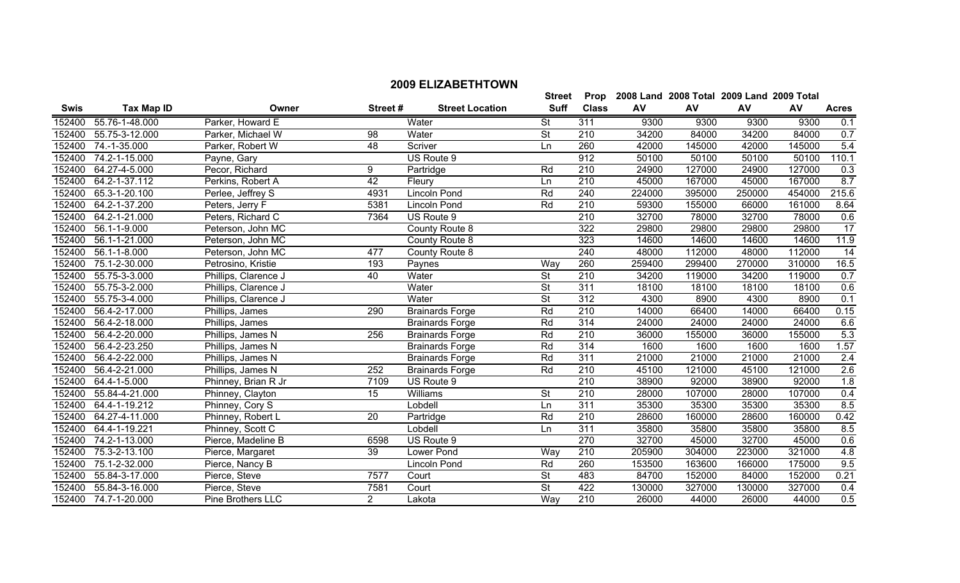| 9300<br>9300<br>9300<br>55.76-1-48.000<br>Parker, Howard E<br>Water<br><b>St</b><br>311<br>9300<br>152400<br>$\overline{\mathsf{St}}$<br>55.75-3-12.000<br>210<br>34200<br>84000<br>34200<br>84000<br>152400<br>Parker, Michael W<br>98<br>Water<br>48<br>260<br>42000<br>145000<br>152400<br>74.-1-35.000<br>Scriver<br>145000<br>42000<br>Parker, Robert W<br>Ln<br>912<br>152400<br>74.2-1-15.000<br>50100<br>50100<br>50100<br>US Route 9<br>50100<br>Payne, Gary<br>Rd<br>210<br>24900<br>152400<br>64.27-4-5.000<br>Pecor, Richard<br>9<br>127000<br>24900<br>127000<br>Partridge<br>$\overline{42}$<br>$\overline{210}$<br>64.2-1-37.112<br>45000<br>167000<br>152400<br>Fleury<br>167000<br>45000<br>Perkins, Robert A<br>Ln<br>Rd<br>240<br>224000<br>65.3-1-20.100<br>4931<br>395000<br>250000<br>454000<br>152400<br>Lincoln Pond<br>Perlee, Jeffrey S<br>152400<br>64.2-1-37.200<br>5381<br>Rd<br>210<br>59300<br>155000<br>161000<br>66000<br>Peters, Jerry F<br>Lincoln Pond<br>$\overline{210}$<br>78000<br>152400<br>64.2-1-21.000<br>Peters, Richard C<br>7364<br>32700<br>78000<br>32700<br>US Route 9<br>152400<br>56.1-1-9.000<br>322<br>29800<br>29800<br>29800<br>29800<br>Peterson, John MC<br>County Route 8<br>323<br>152400<br>56.1-1-21.000<br>14600<br>14600<br>14600<br>Peterson, John MC<br>County Route 8<br>14600<br>152400<br>56.1-1-8.000<br>477<br>240<br>48000<br>112000<br>112000<br>48000<br>Peterson, John MC<br>County Route 8<br>260<br>152400<br>75.1-2-30.000<br>193<br>259400<br>299400<br>310000<br>Petrosino, Kristie<br>Way<br>270000<br>Paynes<br>55.75-3-3.000<br>$\overline{\mathsf{St}}$<br>210<br>119000<br>152400<br>40<br>Water<br>34200<br>119000<br>34200<br>Phillips, Clarence J<br>$\overline{\mathsf{St}}$<br>311<br>152400<br>55.75-3-2.000<br>18100<br>Water<br>18100<br>18100<br>18100<br>Phillips, Clarence J<br>312<br>152400<br>55.75-3-4.000<br>Water<br>$\overline{\mathsf{St}}$<br>4300<br>8900<br>8900<br>Phillips, Clarence J<br>4300<br>152400<br>56.4-2-17.000<br>290<br>Rd<br>210<br>66400<br>14000<br>66400<br>14000<br>Phillips, James<br><b>Brainards Forge</b><br>Rd<br>152400<br>56.4-2-18.000<br>314<br>24000<br>24000<br>24000<br><b>Brainards Forge</b><br>24000<br>Phillips, James<br>56.4-2-20.000<br>Rd<br>210<br>36000<br>152400<br>256<br>155000<br>36000<br>155000<br>Phillips, James N<br><b>Brainards Forge</b><br>56.4-2-23.250<br>314<br>1600<br>152400<br>Rd<br>1600<br>1600<br>1600<br>Phillips, James N<br><b>Brainards Forge</b><br>311<br>152400<br>56.4-2-22.000<br>Rd<br>21000<br>21000<br>21000<br>21000<br>Phillips, James N<br><b>Brainards Forge</b><br>152400<br>Rd<br>210<br>45100<br>121000<br>56.4-2-21.000<br>Phillips, James N<br>252<br>121000<br>45100<br><b>Brainards Forge</b><br>152400<br>7109<br>$\overline{210}$<br>38900<br>92000<br>92000<br>64.4-1-5.000<br>Phinney, Brian R Jr<br>US Route 9<br>38900<br>15<br><b>St</b><br>152400<br>55.84-4-21.000<br>Williams<br>210<br>28000<br>107000<br>28000<br>107000<br>Phinney, Clayton<br>311<br>35300<br>152400<br>35300<br>35300<br>64.4-1-19.212<br>Lobdell<br>35300<br>Phinney, Cory S<br>Ln<br>64.27-4-11.000<br>$\overline{20}$<br>Rd<br>$\overline{210}$<br>28600<br>160000<br>152400<br>Phinney, Robert L<br>160000<br>28600<br>Partridge<br>311<br>152400<br>35800<br>64.4-1-19.221<br>35800<br>35800<br>35800<br>Phinney, Scott C<br>Lobdell<br>Ln<br>270<br>152400<br>74.2-1-13.000<br>32700<br>45000<br>Pierce, Madeline B<br>6598<br>US Route 9<br>45000<br>32700<br>152400<br>75.3-2-13.100<br>39<br>210<br>205900<br>304000<br>223000<br>321000<br>Lower Pond<br>Way<br>Pierce, Margaret<br>Rd<br>152400<br>75.1-2-32.000<br>260<br>153500<br>175000<br>Pierce, Nancy B<br>Lincoln Pond<br>163600<br>166000 | <b>Swis</b> | <b>Tax Map ID</b> | Owner | Street# | <b>Street Location</b> | <b>Suff</b> | <b>Class</b> | AV | AV | AV    | AV | <b>Acres</b>     |
|-----------------------------------------------------------------------------------------------------------------------------------------------------------------------------------------------------------------------------------------------------------------------------------------------------------------------------------------------------------------------------------------------------------------------------------------------------------------------------------------------------------------------------------------------------------------------------------------------------------------------------------------------------------------------------------------------------------------------------------------------------------------------------------------------------------------------------------------------------------------------------------------------------------------------------------------------------------------------------------------------------------------------------------------------------------------------------------------------------------------------------------------------------------------------------------------------------------------------------------------------------------------------------------------------------------------------------------------------------------------------------------------------------------------------------------------------------------------------------------------------------------------------------------------------------------------------------------------------------------------------------------------------------------------------------------------------------------------------------------------------------------------------------------------------------------------------------------------------------------------------------------------------------------------------------------------------------------------------------------------------------------------------------------------------------------------------------------------------------------------------------------------------------------------------------------------------------------------------------------------------------------------------------------------------------------------------------------------------------------------------------------------------------------------------------------------------------------------------------------------------------------------------------------------------------------------------------------------------------------------------------------------------------------------------------------------------------------------------------------------------------------------------------------------------------------------------------------------------------------------------------------------------------------------------------------------------------------------------------------------------------------------------------------------------------------------------------------------------------------------------------------------------------------------------------------------------------------------------------------------------------------------------------------------------------------------------------------------------------------------------------------------------------------------------------------------------------------------------------------------------------------------------------------------------------------------------------------------------------------------------------------------------------------------------------------------------------------------------------------------------------------------------------------------------|-------------|-------------------|-------|---------|------------------------|-------------|--------------|----|----|-------|----|------------------|
|                                                                                                                                                                                                                                                                                                                                                                                                                                                                                                                                                                                                                                                                                                                                                                                                                                                                                                                                                                                                                                                                                                                                                                                                                                                                                                                                                                                                                                                                                                                                                                                                                                                                                                                                                                                                                                                                                                                                                                                                                                                                                                                                                                                                                                                                                                                                                                                                                                                                                                                                                                                                                                                                                                                                                                                                                                                                                                                                                                                                                                                                                                                                                                                                                                                                                                                                                                                                                                                                                                                                                                                                                                                                                                                                                                                               |             |                   |       |         |                        |             |              |    |    |       |    | 0.1              |
|                                                                                                                                                                                                                                                                                                                                                                                                                                                                                                                                                                                                                                                                                                                                                                                                                                                                                                                                                                                                                                                                                                                                                                                                                                                                                                                                                                                                                                                                                                                                                                                                                                                                                                                                                                                                                                                                                                                                                                                                                                                                                                                                                                                                                                                                                                                                                                                                                                                                                                                                                                                                                                                                                                                                                                                                                                                                                                                                                                                                                                                                                                                                                                                                                                                                                                                                                                                                                                                                                                                                                                                                                                                                                                                                                                                               |             |                   |       |         |                        |             |              |    |    |       |    | 0.7              |
|                                                                                                                                                                                                                                                                                                                                                                                                                                                                                                                                                                                                                                                                                                                                                                                                                                                                                                                                                                                                                                                                                                                                                                                                                                                                                                                                                                                                                                                                                                                                                                                                                                                                                                                                                                                                                                                                                                                                                                                                                                                                                                                                                                                                                                                                                                                                                                                                                                                                                                                                                                                                                                                                                                                                                                                                                                                                                                                                                                                                                                                                                                                                                                                                                                                                                                                                                                                                                                                                                                                                                                                                                                                                                                                                                                                               |             |                   |       |         |                        |             |              |    |    |       |    | 5.4              |
|                                                                                                                                                                                                                                                                                                                                                                                                                                                                                                                                                                                                                                                                                                                                                                                                                                                                                                                                                                                                                                                                                                                                                                                                                                                                                                                                                                                                                                                                                                                                                                                                                                                                                                                                                                                                                                                                                                                                                                                                                                                                                                                                                                                                                                                                                                                                                                                                                                                                                                                                                                                                                                                                                                                                                                                                                                                                                                                                                                                                                                                                                                                                                                                                                                                                                                                                                                                                                                                                                                                                                                                                                                                                                                                                                                                               |             |                   |       |         |                        |             |              |    |    |       |    | 110.1            |
|                                                                                                                                                                                                                                                                                                                                                                                                                                                                                                                                                                                                                                                                                                                                                                                                                                                                                                                                                                                                                                                                                                                                                                                                                                                                                                                                                                                                                                                                                                                                                                                                                                                                                                                                                                                                                                                                                                                                                                                                                                                                                                                                                                                                                                                                                                                                                                                                                                                                                                                                                                                                                                                                                                                                                                                                                                                                                                                                                                                                                                                                                                                                                                                                                                                                                                                                                                                                                                                                                                                                                                                                                                                                                                                                                                                               |             |                   |       |         |                        |             |              |    |    |       |    | 0.3              |
|                                                                                                                                                                                                                                                                                                                                                                                                                                                                                                                                                                                                                                                                                                                                                                                                                                                                                                                                                                                                                                                                                                                                                                                                                                                                                                                                                                                                                                                                                                                                                                                                                                                                                                                                                                                                                                                                                                                                                                                                                                                                                                                                                                                                                                                                                                                                                                                                                                                                                                                                                                                                                                                                                                                                                                                                                                                                                                                                                                                                                                                                                                                                                                                                                                                                                                                                                                                                                                                                                                                                                                                                                                                                                                                                                                                               |             |                   |       |         |                        |             |              |    |    |       |    | 8.7              |
|                                                                                                                                                                                                                                                                                                                                                                                                                                                                                                                                                                                                                                                                                                                                                                                                                                                                                                                                                                                                                                                                                                                                                                                                                                                                                                                                                                                                                                                                                                                                                                                                                                                                                                                                                                                                                                                                                                                                                                                                                                                                                                                                                                                                                                                                                                                                                                                                                                                                                                                                                                                                                                                                                                                                                                                                                                                                                                                                                                                                                                                                                                                                                                                                                                                                                                                                                                                                                                                                                                                                                                                                                                                                                                                                                                                               |             |                   |       |         |                        |             |              |    |    |       |    | 215.6            |
|                                                                                                                                                                                                                                                                                                                                                                                                                                                                                                                                                                                                                                                                                                                                                                                                                                                                                                                                                                                                                                                                                                                                                                                                                                                                                                                                                                                                                                                                                                                                                                                                                                                                                                                                                                                                                                                                                                                                                                                                                                                                                                                                                                                                                                                                                                                                                                                                                                                                                                                                                                                                                                                                                                                                                                                                                                                                                                                                                                                                                                                                                                                                                                                                                                                                                                                                                                                                                                                                                                                                                                                                                                                                                                                                                                                               |             |                   |       |         |                        |             |              |    |    |       |    | 8.64             |
|                                                                                                                                                                                                                                                                                                                                                                                                                                                                                                                                                                                                                                                                                                                                                                                                                                                                                                                                                                                                                                                                                                                                                                                                                                                                                                                                                                                                                                                                                                                                                                                                                                                                                                                                                                                                                                                                                                                                                                                                                                                                                                                                                                                                                                                                                                                                                                                                                                                                                                                                                                                                                                                                                                                                                                                                                                                                                                                                                                                                                                                                                                                                                                                                                                                                                                                                                                                                                                                                                                                                                                                                                                                                                                                                                                                               |             |                   |       |         |                        |             |              |    |    |       |    | 0.6              |
|                                                                                                                                                                                                                                                                                                                                                                                                                                                                                                                                                                                                                                                                                                                                                                                                                                                                                                                                                                                                                                                                                                                                                                                                                                                                                                                                                                                                                                                                                                                                                                                                                                                                                                                                                                                                                                                                                                                                                                                                                                                                                                                                                                                                                                                                                                                                                                                                                                                                                                                                                                                                                                                                                                                                                                                                                                                                                                                                                                                                                                                                                                                                                                                                                                                                                                                                                                                                                                                                                                                                                                                                                                                                                                                                                                                               |             |                   |       |         |                        |             |              |    |    |       |    | 17               |
|                                                                                                                                                                                                                                                                                                                                                                                                                                                                                                                                                                                                                                                                                                                                                                                                                                                                                                                                                                                                                                                                                                                                                                                                                                                                                                                                                                                                                                                                                                                                                                                                                                                                                                                                                                                                                                                                                                                                                                                                                                                                                                                                                                                                                                                                                                                                                                                                                                                                                                                                                                                                                                                                                                                                                                                                                                                                                                                                                                                                                                                                                                                                                                                                                                                                                                                                                                                                                                                                                                                                                                                                                                                                                                                                                                                               |             |                   |       |         |                        |             |              |    |    |       |    | 11.9             |
|                                                                                                                                                                                                                                                                                                                                                                                                                                                                                                                                                                                                                                                                                                                                                                                                                                                                                                                                                                                                                                                                                                                                                                                                                                                                                                                                                                                                                                                                                                                                                                                                                                                                                                                                                                                                                                                                                                                                                                                                                                                                                                                                                                                                                                                                                                                                                                                                                                                                                                                                                                                                                                                                                                                                                                                                                                                                                                                                                                                                                                                                                                                                                                                                                                                                                                                                                                                                                                                                                                                                                                                                                                                                                                                                                                                               |             |                   |       |         |                        |             |              |    |    |       |    | 14               |
|                                                                                                                                                                                                                                                                                                                                                                                                                                                                                                                                                                                                                                                                                                                                                                                                                                                                                                                                                                                                                                                                                                                                                                                                                                                                                                                                                                                                                                                                                                                                                                                                                                                                                                                                                                                                                                                                                                                                                                                                                                                                                                                                                                                                                                                                                                                                                                                                                                                                                                                                                                                                                                                                                                                                                                                                                                                                                                                                                                                                                                                                                                                                                                                                                                                                                                                                                                                                                                                                                                                                                                                                                                                                                                                                                                                               |             |                   |       |         |                        |             |              |    |    |       |    | 16.5             |
|                                                                                                                                                                                                                                                                                                                                                                                                                                                                                                                                                                                                                                                                                                                                                                                                                                                                                                                                                                                                                                                                                                                                                                                                                                                                                                                                                                                                                                                                                                                                                                                                                                                                                                                                                                                                                                                                                                                                                                                                                                                                                                                                                                                                                                                                                                                                                                                                                                                                                                                                                                                                                                                                                                                                                                                                                                                                                                                                                                                                                                                                                                                                                                                                                                                                                                                                                                                                                                                                                                                                                                                                                                                                                                                                                                                               |             |                   |       |         |                        |             |              |    |    |       |    | 0.7              |
|                                                                                                                                                                                                                                                                                                                                                                                                                                                                                                                                                                                                                                                                                                                                                                                                                                                                                                                                                                                                                                                                                                                                                                                                                                                                                                                                                                                                                                                                                                                                                                                                                                                                                                                                                                                                                                                                                                                                                                                                                                                                                                                                                                                                                                                                                                                                                                                                                                                                                                                                                                                                                                                                                                                                                                                                                                                                                                                                                                                                                                                                                                                                                                                                                                                                                                                                                                                                                                                                                                                                                                                                                                                                                                                                                                                               |             |                   |       |         |                        |             |              |    |    |       |    | 0.6              |
|                                                                                                                                                                                                                                                                                                                                                                                                                                                                                                                                                                                                                                                                                                                                                                                                                                                                                                                                                                                                                                                                                                                                                                                                                                                                                                                                                                                                                                                                                                                                                                                                                                                                                                                                                                                                                                                                                                                                                                                                                                                                                                                                                                                                                                                                                                                                                                                                                                                                                                                                                                                                                                                                                                                                                                                                                                                                                                                                                                                                                                                                                                                                                                                                                                                                                                                                                                                                                                                                                                                                                                                                                                                                                                                                                                                               |             |                   |       |         |                        |             |              |    |    |       |    | 0.1              |
|                                                                                                                                                                                                                                                                                                                                                                                                                                                                                                                                                                                                                                                                                                                                                                                                                                                                                                                                                                                                                                                                                                                                                                                                                                                                                                                                                                                                                                                                                                                                                                                                                                                                                                                                                                                                                                                                                                                                                                                                                                                                                                                                                                                                                                                                                                                                                                                                                                                                                                                                                                                                                                                                                                                                                                                                                                                                                                                                                                                                                                                                                                                                                                                                                                                                                                                                                                                                                                                                                                                                                                                                                                                                                                                                                                                               |             |                   |       |         |                        |             |              |    |    |       |    | 0.15             |
|                                                                                                                                                                                                                                                                                                                                                                                                                                                                                                                                                                                                                                                                                                                                                                                                                                                                                                                                                                                                                                                                                                                                                                                                                                                                                                                                                                                                                                                                                                                                                                                                                                                                                                                                                                                                                                                                                                                                                                                                                                                                                                                                                                                                                                                                                                                                                                                                                                                                                                                                                                                                                                                                                                                                                                                                                                                                                                                                                                                                                                                                                                                                                                                                                                                                                                                                                                                                                                                                                                                                                                                                                                                                                                                                                                                               |             |                   |       |         |                        |             |              |    |    |       |    | 6.6              |
|                                                                                                                                                                                                                                                                                                                                                                                                                                                                                                                                                                                                                                                                                                                                                                                                                                                                                                                                                                                                                                                                                                                                                                                                                                                                                                                                                                                                                                                                                                                                                                                                                                                                                                                                                                                                                                                                                                                                                                                                                                                                                                                                                                                                                                                                                                                                                                                                                                                                                                                                                                                                                                                                                                                                                                                                                                                                                                                                                                                                                                                                                                                                                                                                                                                                                                                                                                                                                                                                                                                                                                                                                                                                                                                                                                                               |             |                   |       |         |                        |             |              |    |    |       |    | 5.3              |
|                                                                                                                                                                                                                                                                                                                                                                                                                                                                                                                                                                                                                                                                                                                                                                                                                                                                                                                                                                                                                                                                                                                                                                                                                                                                                                                                                                                                                                                                                                                                                                                                                                                                                                                                                                                                                                                                                                                                                                                                                                                                                                                                                                                                                                                                                                                                                                                                                                                                                                                                                                                                                                                                                                                                                                                                                                                                                                                                                                                                                                                                                                                                                                                                                                                                                                                                                                                                                                                                                                                                                                                                                                                                                                                                                                                               |             |                   |       |         |                        |             |              |    |    |       |    | 1.57             |
|                                                                                                                                                                                                                                                                                                                                                                                                                                                                                                                                                                                                                                                                                                                                                                                                                                                                                                                                                                                                                                                                                                                                                                                                                                                                                                                                                                                                                                                                                                                                                                                                                                                                                                                                                                                                                                                                                                                                                                                                                                                                                                                                                                                                                                                                                                                                                                                                                                                                                                                                                                                                                                                                                                                                                                                                                                                                                                                                                                                                                                                                                                                                                                                                                                                                                                                                                                                                                                                                                                                                                                                                                                                                                                                                                                                               |             |                   |       |         |                        |             |              |    |    |       |    | 2.4              |
|                                                                                                                                                                                                                                                                                                                                                                                                                                                                                                                                                                                                                                                                                                                                                                                                                                                                                                                                                                                                                                                                                                                                                                                                                                                                                                                                                                                                                                                                                                                                                                                                                                                                                                                                                                                                                                                                                                                                                                                                                                                                                                                                                                                                                                                                                                                                                                                                                                                                                                                                                                                                                                                                                                                                                                                                                                                                                                                                                                                                                                                                                                                                                                                                                                                                                                                                                                                                                                                                                                                                                                                                                                                                                                                                                                                               |             |                   |       |         |                        |             |              |    |    |       |    | 2.6              |
|                                                                                                                                                                                                                                                                                                                                                                                                                                                                                                                                                                                                                                                                                                                                                                                                                                                                                                                                                                                                                                                                                                                                                                                                                                                                                                                                                                                                                                                                                                                                                                                                                                                                                                                                                                                                                                                                                                                                                                                                                                                                                                                                                                                                                                                                                                                                                                                                                                                                                                                                                                                                                                                                                                                                                                                                                                                                                                                                                                                                                                                                                                                                                                                                                                                                                                                                                                                                                                                                                                                                                                                                                                                                                                                                                                                               |             |                   |       |         |                        |             |              |    |    |       |    | $\overline{1.8}$ |
|                                                                                                                                                                                                                                                                                                                                                                                                                                                                                                                                                                                                                                                                                                                                                                                                                                                                                                                                                                                                                                                                                                                                                                                                                                                                                                                                                                                                                                                                                                                                                                                                                                                                                                                                                                                                                                                                                                                                                                                                                                                                                                                                                                                                                                                                                                                                                                                                                                                                                                                                                                                                                                                                                                                                                                                                                                                                                                                                                                                                                                                                                                                                                                                                                                                                                                                                                                                                                                                                                                                                                                                                                                                                                                                                                                                               |             |                   |       |         |                        |             |              |    |    |       |    | 0.4              |
|                                                                                                                                                                                                                                                                                                                                                                                                                                                                                                                                                                                                                                                                                                                                                                                                                                                                                                                                                                                                                                                                                                                                                                                                                                                                                                                                                                                                                                                                                                                                                                                                                                                                                                                                                                                                                                                                                                                                                                                                                                                                                                                                                                                                                                                                                                                                                                                                                                                                                                                                                                                                                                                                                                                                                                                                                                                                                                                                                                                                                                                                                                                                                                                                                                                                                                                                                                                                                                                                                                                                                                                                                                                                                                                                                                                               |             |                   |       |         |                        |             |              |    |    |       |    | 8.5              |
|                                                                                                                                                                                                                                                                                                                                                                                                                                                                                                                                                                                                                                                                                                                                                                                                                                                                                                                                                                                                                                                                                                                                                                                                                                                                                                                                                                                                                                                                                                                                                                                                                                                                                                                                                                                                                                                                                                                                                                                                                                                                                                                                                                                                                                                                                                                                                                                                                                                                                                                                                                                                                                                                                                                                                                                                                                                                                                                                                                                                                                                                                                                                                                                                                                                                                                                                                                                                                                                                                                                                                                                                                                                                                                                                                                                               |             |                   |       |         |                        |             |              |    |    |       |    | 0.42             |
|                                                                                                                                                                                                                                                                                                                                                                                                                                                                                                                                                                                                                                                                                                                                                                                                                                                                                                                                                                                                                                                                                                                                                                                                                                                                                                                                                                                                                                                                                                                                                                                                                                                                                                                                                                                                                                                                                                                                                                                                                                                                                                                                                                                                                                                                                                                                                                                                                                                                                                                                                                                                                                                                                                                                                                                                                                                                                                                                                                                                                                                                                                                                                                                                                                                                                                                                                                                                                                                                                                                                                                                                                                                                                                                                                                                               |             |                   |       |         |                        |             |              |    |    |       |    | 8.5              |
|                                                                                                                                                                                                                                                                                                                                                                                                                                                                                                                                                                                                                                                                                                                                                                                                                                                                                                                                                                                                                                                                                                                                                                                                                                                                                                                                                                                                                                                                                                                                                                                                                                                                                                                                                                                                                                                                                                                                                                                                                                                                                                                                                                                                                                                                                                                                                                                                                                                                                                                                                                                                                                                                                                                                                                                                                                                                                                                                                                                                                                                                                                                                                                                                                                                                                                                                                                                                                                                                                                                                                                                                                                                                                                                                                                                               |             |                   |       |         |                        |             |              |    |    |       |    | 0.6              |
|                                                                                                                                                                                                                                                                                                                                                                                                                                                                                                                                                                                                                                                                                                                                                                                                                                                                                                                                                                                                                                                                                                                                                                                                                                                                                                                                                                                                                                                                                                                                                                                                                                                                                                                                                                                                                                                                                                                                                                                                                                                                                                                                                                                                                                                                                                                                                                                                                                                                                                                                                                                                                                                                                                                                                                                                                                                                                                                                                                                                                                                                                                                                                                                                                                                                                                                                                                                                                                                                                                                                                                                                                                                                                                                                                                                               |             |                   |       |         |                        |             |              |    |    |       |    | 4.8              |
|                                                                                                                                                                                                                                                                                                                                                                                                                                                                                                                                                                                                                                                                                                                                                                                                                                                                                                                                                                                                                                                                                                                                                                                                                                                                                                                                                                                                                                                                                                                                                                                                                                                                                                                                                                                                                                                                                                                                                                                                                                                                                                                                                                                                                                                                                                                                                                                                                                                                                                                                                                                                                                                                                                                                                                                                                                                                                                                                                                                                                                                                                                                                                                                                                                                                                                                                                                                                                                                                                                                                                                                                                                                                                                                                                                                               |             |                   |       |         |                        |             |              |    |    |       |    | 9.5              |
| 55.84-3-17.000<br>7577<br>St<br>483<br>84700<br>152400<br>Pierce, Steve<br>Court<br>152000<br>152000                                                                                                                                                                                                                                                                                                                                                                                                                                                                                                                                                                                                                                                                                                                                                                                                                                                                                                                                                                                                                                                                                                                                                                                                                                                                                                                                                                                                                                                                                                                                                                                                                                                                                                                                                                                                                                                                                                                                                                                                                                                                                                                                                                                                                                                                                                                                                                                                                                                                                                                                                                                                                                                                                                                                                                                                                                                                                                                                                                                                                                                                                                                                                                                                                                                                                                                                                                                                                                                                                                                                                                                                                                                                                          |             |                   |       |         |                        |             |              |    |    | 84000 |    | 0.21             |
| St<br>422<br>55.84-3-16.000<br>7581<br>Court<br>130000<br>327000<br>327000<br>152400<br>Pierce, Steve<br>130000                                                                                                                                                                                                                                                                                                                                                                                                                                                                                                                                                                                                                                                                                                                                                                                                                                                                                                                                                                                                                                                                                                                                                                                                                                                                                                                                                                                                                                                                                                                                                                                                                                                                                                                                                                                                                                                                                                                                                                                                                                                                                                                                                                                                                                                                                                                                                                                                                                                                                                                                                                                                                                                                                                                                                                                                                                                                                                                                                                                                                                                                                                                                                                                                                                                                                                                                                                                                                                                                                                                                                                                                                                                                               |             |                   |       |         |                        |             |              |    |    |       |    | 0.4              |
| 2<br>Way<br>$\overline{210}$<br>152400 74.7-1-20.000<br>26000<br>44000<br>26000<br>44000<br>Pine Brothers LLC<br>Lakota                                                                                                                                                                                                                                                                                                                                                                                                                                                                                                                                                                                                                                                                                                                                                                                                                                                                                                                                                                                                                                                                                                                                                                                                                                                                                                                                                                                                                                                                                                                                                                                                                                                                                                                                                                                                                                                                                                                                                                                                                                                                                                                                                                                                                                                                                                                                                                                                                                                                                                                                                                                                                                                                                                                                                                                                                                                                                                                                                                                                                                                                                                                                                                                                                                                                                                                                                                                                                                                                                                                                                                                                                                                                       |             |                   |       |         |                        |             |              |    |    |       |    | 0.5              |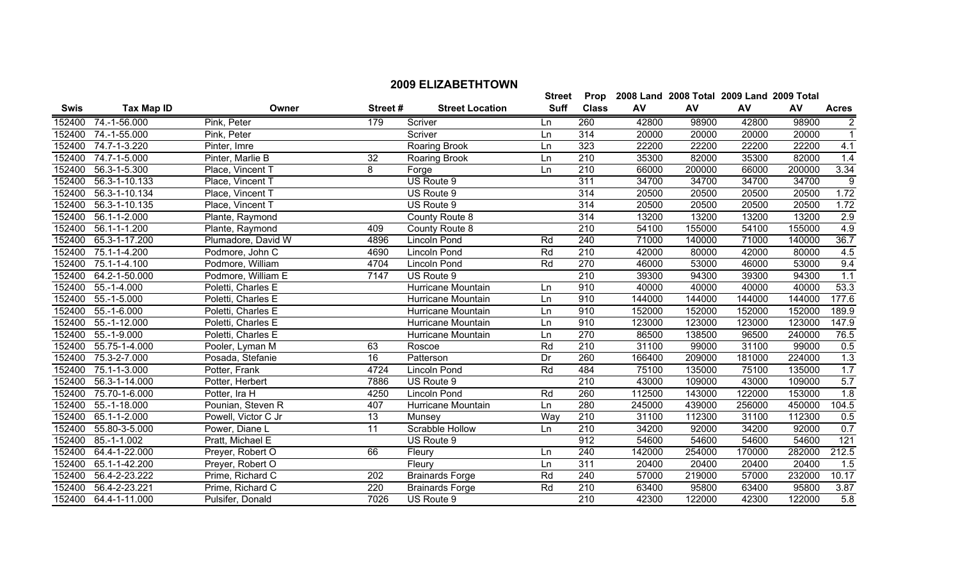|             |                   |                     |         |                        | <b>Street</b> | Prop             |        | 2008 Land 2008 Total 2009 Land 2009 Total |        |        |                |
|-------------|-------------------|---------------------|---------|------------------------|---------------|------------------|--------|-------------------------------------------|--------|--------|----------------|
| <b>Swis</b> | <b>Tax Map ID</b> | Owner               | Street# | <b>Street Location</b> | <b>Suff</b>   | <b>Class</b>     | AV     | AV                                        | AV     | AV     | <b>Acres</b>   |
| 152400      | 74.-1-56.000      | Pink, Peter         | 179     | Scriver                | Ln            | 260              | 42800  | 98900                                     | 42800  | 98900  | $\overline{2}$ |
| 152400      | 74.-1-55.000      | Pink, Peter         |         | Scriver                | Ln            | 314              | 20000  | 20000                                     | 20000  | 20000  | $\mathbf{1}$   |
| 152400      | 74.7-1-3.220      | Pinter, Imre        |         | Roaring Brook          | Ln            | 323              | 22200  | 22200                                     | 22200  | 22200  | 4.1            |
| 152400      | 74.7-1-5.000      | Pinter, Marlie B    | 32      | Roaring Brook          | Ln            | 210              | 35300  | 82000                                     | 35300  | 82000  | 1.4            |
| 152400      | 56.3-1-5.300      | Place, Vincent T    | 8       | Forge                  | Ln            | $\overline{210}$ | 66000  | 200000                                    | 66000  | 200000 | 3.34           |
| 152400      | 56.3-1-10.133     | Place, Vincent T    |         | US Route 9             |               | 311              | 34700  | 34700                                     | 34700  | 34700  | 9              |
| 152400      | 56.3-1-10.134     | Place, Vincent T    |         | US Route 9             |               | 314              | 20500  | 20500                                     | 20500  | 20500  | 1.72           |
| 152400      | 56.3-1-10.135     | Place, Vincent T    |         | US Route 9             |               | 314              | 20500  | 20500                                     | 20500  | 20500  | 1.72           |
| 152400      | 56.1-1-2.000      | Plante, Raymond     |         | County Route 8         |               | 314              | 13200  | 13200                                     | 13200  | 13200  | 2.9            |
| 152400      | 56.1-1-1.200      | Plante, Raymond     | 409     | County Route 8         |               | 210              | 54100  | 155000                                    | 54100  | 155000 | 4.9            |
| 152400      | 65.3-1-17.200     | Plumadore, David W  | 4896    | Lincoln Pond           | Rd            | 240              | 71000  | 140000                                    | 71000  | 140000 | 36.7           |
| 152400      | 75.1-1-4.200      | Podmore, John C     | 4690    | Lincoln Pond           | Rd            | 210              | 42000  | 80000                                     | 42000  | 80000  | 4.5            |
| 152400      | 75.1-1-4.100      | Podmore, William    | 4704    | Lincoln Pond           | Rd            | 270              | 46000  | 53000                                     | 46000  | 53000  | 9.4            |
| 152400      | 64.2-1-50.000     | Podmore, William E  | 7147    | US Route 9             |               | 210              | 39300  | 94300                                     | 39300  | 94300  | 1.1            |
| 152400      | $55.-1-4.000$     | Poletti, Charles E  |         | Hurricane Mountain     | Ln            | 910              | 40000  | 40000                                     | 40000  | 40000  | 53.3           |
| 152400      | $55.-1-5.000$     | Poletti, Charles E  |         | Hurricane Mountain     | Ln            | 910              | 144000 | 144000                                    | 144000 | 144000 | 177.6          |
| 152400      | $55.-1-6.000$     | Poletti, Charles E  |         | Hurricane Mountain     | Ln            | 910              | 152000 | 152000                                    | 152000 | 152000 | 189.9          |
| 152400      | 55.-1-12.000      | Poletti, Charles E  |         | Hurricane Mountain     | Ln            | 910              | 123000 | 123000                                    | 123000 | 123000 | 147.9          |
| 152400      | 55.-1-9.000       | Poletti, Charles E  |         | Hurricane Mountain     | Ln            | 270              | 86500  | 138500                                    | 96500  | 240000 | 76.5           |
| 152400      | 55.75-1-4.000     | Pooler, Lyman M     | 63      | Roscoe                 | Rd            | 210              | 31100  | 99000                                     | 31100  | 99000  | 0.5            |
| 152400      | 75.3-2-7.000      | Posada, Stefanie    | 16      | Patterson              | Dr            | 260              | 166400 | 209000                                    | 181000 | 224000 | 1.3            |
| 152400      | 75.1-1-3.000      | Potter, Frank       | 4724    | Lincoln Pond           | Rd            | 484              | 75100  | 135000                                    | 75100  | 135000 | 1.7            |
| 152400      | 56.3-1-14.000     | Potter, Herbert     | 7886    | US Route 9             |               | 210              | 43000  | 109000                                    | 43000  | 109000 | 5.7            |
| 152400      | 75.70-1-6.000     | Potter, Ira H       | 4250    | <b>Lincoln Pond</b>    | Rd            | 260              | 112500 | 143000                                    | 122000 | 153000 | 1.8            |
| 152400      | 55.-1-18.000      | Pounian, Steven R   | 407     | Hurricane Mountain     | Ln            | 280              | 245000 | 439000                                    | 256000 | 450000 | 104.5          |
| 152400      | 65.1-1-2.000      | Powell, Victor C Jr | 13      | Munsey                 | Way           | 210              | 31100  | 112300                                    | 31100  | 112300 | 0.5            |
| 152400      | 55.80-3-5.000     | Power, Diane L      | 11      | Scrabble Hollow        | Ln            | 210              | 34200  | 92000                                     | 34200  | 92000  | 0.7            |
| 152400      | 85.-1-1.002       | Pratt, Michael E    |         | US Route 9             |               | 912              | 54600  | 54600                                     | 54600  | 54600  | 121            |
| 152400      | 64.4-1-22.000     | Preyer, Robert O    | 66      | Fleury                 | Ln            | 240              | 142000 | 254000                                    | 170000 | 282000 | 212.5          |
| 152400      | 65.1-1-42.200     | Preyer, Robert O    |         | Fleury                 | Ln            | 311              | 20400  | 20400                                     | 20400  | 20400  | 1.5            |
| 152400      | 56.4-2-23.222     | Prime, Richard C    | 202     | <b>Brainards Forge</b> | Rd            | 240              | 57000  | 219000                                    | 57000  | 232000 | 10.17          |
| 152400      | 56.4-2-23.221     | Prime, Richard C    | 220     | <b>Brainards Forge</b> | Rd            | 210              | 63400  | 95800                                     | 63400  | 95800  | 3.87           |
| 152400      | 64.4-1-11.000     | Pulsifer, Donald    | 7026    | US Route 9             |               | 210              | 42300  | 122000                                    | 42300  | 122000 | 5.8            |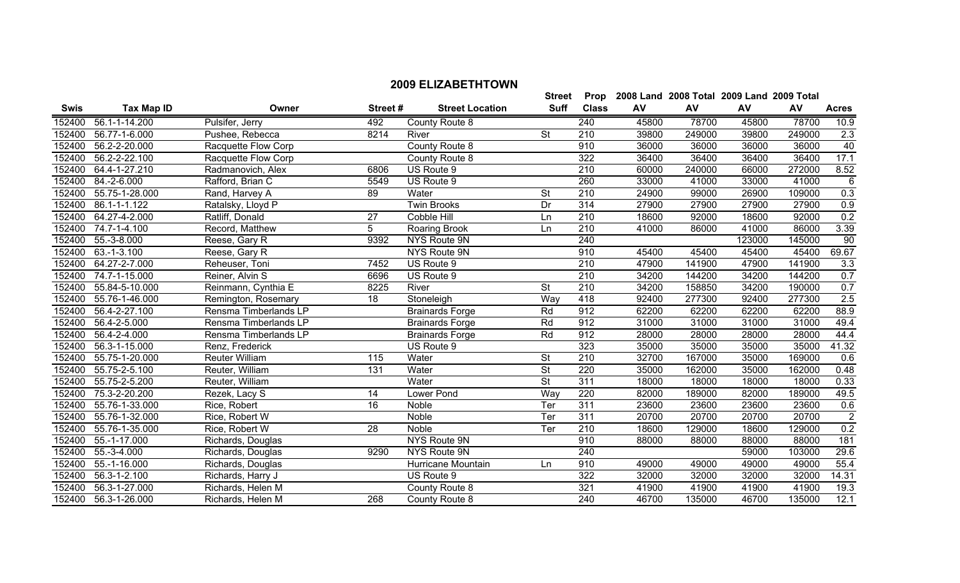|             |                             |                       |                 |                        | <b>Street</b>            | Prop             |       | 2008 Land 2008 Total 2009 Land 2009 Total |        |        |                |
|-------------|-----------------------------|-----------------------|-----------------|------------------------|--------------------------|------------------|-------|-------------------------------------------|--------|--------|----------------|
| <b>Swis</b> | <b>Tax Map ID</b>           | Owner                 | Street#         | <b>Street Location</b> | <b>Suff</b>              | <b>Class</b>     | AV    | AV                                        | AV     | AV     | <b>Acres</b>   |
| 152400      | 56.1-1-14.200               | Pulsifer, Jerry       | 492             | County Route 8         |                          | 240              | 45800 | 78700                                     | 45800  | 78700  | 10.9           |
| 152400      | 56.77-1-6.000               | Pushee, Rebecca       | 8214            | River                  | <b>St</b>                | $\overline{210}$ | 39800 | 249000                                    | 39800  | 249000 | 2.3            |
| 152400      | 56.2-2-20.000               | Racquette Flow Corp   |                 | County Route 8         |                          | 910              | 36000 | 36000                                     | 36000  | 36000  | 40             |
| 152400      | 56.2-2-22.100               | Racquette Flow Corp   |                 | County Route 8         |                          | 322              | 36400 | 36400                                     | 36400  | 36400  | 17.1           |
| 152400      | 64.4-1-27.210               | Radmanovich, Alex     | 6806            | US Route 9             |                          | 210              | 60000 | 240000                                    | 66000  | 272000 | 8.52           |
| 152400      | 84.-2-6.000                 | Rafford, Brian C      | 5549            | US Route 9             |                          | 260              | 33000 | 41000                                     | 33000  | 41000  | $\overline{6}$ |
| 152400      | 55.75-1-28.000              | Rand, Harvey A        | 89              | Water                  | $\overline{\mathsf{St}}$ | $\overline{210}$ | 24900 | 99000                                     | 26900  | 109000 | 0.3            |
| 152400      | 86.1-1-1.122                | Ratalsky, Lloyd P     |                 | <b>Twin Brooks</b>     | Dr                       | 314              | 27900 | 27900                                     | 27900  | 27900  | 0.9            |
| 152400      | 64.27-4-2.000               | Ratliff, Donald       | $\overline{27}$ | Cobble Hill            | Ln                       | $\overline{210}$ | 18600 | 92000                                     | 18600  | 92000  | 0.2            |
| 152400      | 74.7-1-4.100                | Record, Matthew       | 5               | Roaring Brook          | Ln                       | 210              | 41000 | 86000                                     | 41000  | 86000  | 3.39           |
| 152400      | 55.-3-8.000                 | Reese, Gary R         | 9392            | NYS Route 9N           |                          | 240              |       |                                           | 123000 | 145000 | 90             |
| 152400      | 63.-1-3.100                 | Reese, Gary R         |                 | NYS Route 9N           |                          | 910              | 45400 | 45400                                     | 45400  | 45400  | 69.67          |
| 152400      | 64.27-2-7.000               | Reheuser, Toni        | 7452            | US Route 9             |                          | 210              | 47900 | 141900                                    | 47900  | 141900 | 3.3            |
| 152400      | 74.7-1-15.000               | Reiner, Alvin S       | 6696            | US Route 9             |                          | $\overline{210}$ | 34200 | 144200                                    | 34200  | 144200 | 0.7            |
| 152400      | 55.84-5-10.000              | Reinmann, Cynthia E   | 8225            | River                  | $\overline{\mathsf{St}}$ | $\overline{210}$ | 34200 | 158850                                    | 34200  | 190000 | 0.7            |
| 152400      | 55.76-1-46.000              | Remington, Rosemary   | $\overline{18}$ | Stoneleigh             | Way                      | 418              | 92400 | 277300                                    | 92400  | 277300 | 2.5            |
| 152400      | 56.4-2-27.100               | Rensma Timberlands LP |                 | <b>Brainards Forge</b> | Rd                       | 912              | 62200 | 62200                                     | 62200  | 62200  | 88.9           |
| 152400      | 56.4-2-5.000                | Rensma Timberlands LP |                 | <b>Brainards Forge</b> | Rd                       | 912              | 31000 | 31000                                     | 31000  | 31000  | 49.4           |
| 152400      | 56.4-2-4.000                | Rensma Timberlands LP |                 | <b>Brainards Forge</b> | Rd                       | 912              | 28000 | 28000                                     | 28000  | 28000  | 44.4           |
| 152400      | 56.3-1-15.000               | Renz, Frederick       |                 | US Route 9             |                          | 323              | 35000 | 35000                                     | 35000  | 35000  | 41.32          |
| 152400      | 55.75-1-20.000              | <b>Reuter William</b> | 115             | Water                  | <b>St</b>                | 210              | 32700 | 167000                                    | 35000  | 169000 | 0.6            |
| 152400      | 55.75-2-5.100               | Reuter, William       | 131             | Water                  | $\overline{\mathsf{St}}$ | 220              | 35000 | 162000                                    | 35000  | 162000 | 0.48           |
| 152400      | 55.75-2-5.200               | Reuter, William       |                 | Water                  | $\overline{\mathsf{St}}$ | 311              | 18000 | 18000                                     | 18000  | 18000  | 0.33           |
| 152400      | 75.3-2-20.200               | Rezek, Lacy S         | 14              | Lower Pond             | Way                      | 220              | 82000 | 189000                                    | 82000  | 189000 | 49.5           |
| 152400      | 55.76-1-33.000              | Rice, Robert          | 16              | Noble                  | Ter                      | 311              | 23600 | 23600                                     | 23600  | 23600  | 0.6            |
| 152400      | 55.76-1-32.000              | Rice, Robert W        |                 | Noble                  | Ter                      | 311              | 20700 | 20700                                     | 20700  | 20700  | $\overline{2}$ |
| 152400      | 55.76-1-35.000              | Rice, Robert W        | 28              | Noble                  | Ter                      | 210              | 18600 | 129000                                    | 18600  | 129000 | 0.2            |
| 152400      | 55.-1-17.000                | Richards, Douglas     |                 | NYS Route 9N           |                          | 910              | 88000 | 88000                                     | 88000  | 88000  | 181            |
| 152400      | 55.-3-4.000                 | Richards, Douglas     | 9290            | NYS Route 9N           |                          | 240              |       |                                           | 59000  | 103000 | 29.6           |
| 152400      | 55.-1-16.000                | Richards, Douglas     |                 | Hurricane Mountain     | Ln                       | 910              | 49000 | 49000                                     | 49000  | 49000  | 55.4           |
| 152400      | 56.3-1-2.100                | Richards, Harry J     |                 | US Route 9             |                          | 322              | 32000 | 32000                                     | 32000  | 32000  | 14.31          |
| 152400      | 56.3-1-27.000               | Richards, Helen M     |                 | County Route 8         |                          | 321              | 41900 | 41900                                     | 41900  | 41900  | 19.3           |
| 152400      | $\overline{56.3}$ -1-26.000 | Richards, Helen M     | 268             | County Route 8         |                          | $\overline{240}$ | 46700 | 135000                                    | 46700  | 135000 | 12.1           |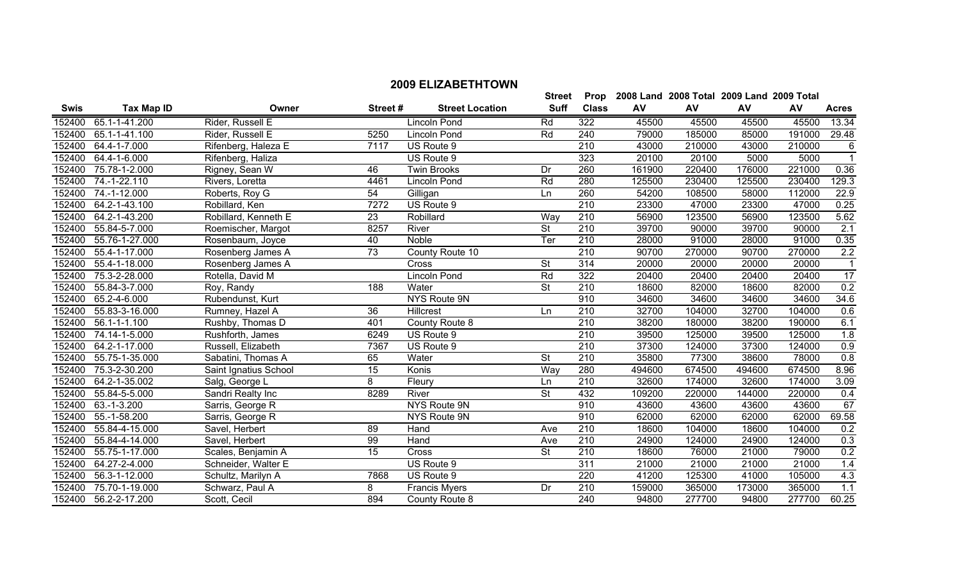|             |                              |                       |                 |                        | <b>Street</b>            | Prop         |        | 2008 Land 2008 Total 2009 Land 2009 Total |           |        |                 |
|-------------|------------------------------|-----------------------|-----------------|------------------------|--------------------------|--------------|--------|-------------------------------------------|-----------|--------|-----------------|
| <b>Swis</b> | <b>Tax Map ID</b>            | Owner                 | Street #        | <b>Street Location</b> | <b>Suff</b>              | <b>Class</b> | AV     | AV                                        | <b>AV</b> | AV     | <b>Acres</b>    |
|             | 152400 65.1-1-41.200         | Rider, Russell E      |                 | Lincoln Pond           | Rd                       | 322          | 45500  | 45500                                     | 45500     | 45500  | 13.34           |
| 152400      | 65.1-1-41.100                | Rider, Russell E      | 5250            | Lincoln Pond           | Rd                       | 240          | 79000  | 185000                                    | 85000     | 191000 | 29.48           |
| 152400      | 64.4-1-7.000                 | Rifenberg, Haleza E   | 7117            | US Route 9             |                          | 210          | 43000  | 210000                                    | 43000     | 210000 | 6               |
| 152400      | 64.4-1-6.000                 | Rifenberg, Haliza     |                 | US Route 9             |                          | 323          | 20100  | 20100                                     | 5000      | 5000   |                 |
| 152400      | 75.78-1-2.000                | Rigney, Sean W        | 46              | <b>Twin Brooks</b>     | Dr                       | 260          | 161900 | 220400                                    | 176000    | 221000 | 0.36            |
| 152400      | 74.-1-22.110                 | Rivers, Loretta       | 4461            | Lincoln Pond           | Rd                       | 280          | 125500 | 230400                                    | 125500    | 230400 | 129.3           |
| 152400      | 74.-1-12.000                 | Roberts, Roy G        | 54              | Gilligan               | Ln.                      | 260          | 54200  | 108500                                    | 58000     | 112000 | 22.9            |
| 152400      | 64.2-1-43.100                | Robillard, Ken        | 7272            | US Route 9             |                          | 210          | 23300  | 47000                                     | 23300     | 47000  | 0.25            |
| 152400      | 64.2-1-43.200                | Robillard, Kenneth E  | 23              | Robillard              | Way                      | 210          | 56900  | 123500                                    | 56900     | 123500 | 5.62            |
| 152400      | 55.84-5-7.000                | Roemischer, Margot    | 8257            | River                  | St                       | 210          | 39700  | 90000                                     | 39700     | 90000  | 2.1             |
| 152400      | 55.76-1-27.000               | Rosenbaum, Joyce      | 40              | Noble                  | Ter                      | 210          | 28000  | 91000                                     | 28000     | 91000  | 0.35            |
| 152400      | 55.4-1-17.000                | Rosenberg James A     | $\overline{73}$ | County Route 10        |                          | 210          | 90700  | 270000                                    | 90700     | 270000 | 2.2             |
| 152400      | 55.4-1-18.000                | Rosenberg James A     |                 | <b>Cross</b>           | $\overline{\mathsf{St}}$ | 314          | 20000  | 20000                                     | 20000     | 20000  | $\overline{1}$  |
| 152400      | 75.3-2-28.000                | Rotella, David M      |                 | Lincoln Pond           | Rd                       | 322          | 20400  | 20400                                     | 20400     | 20400  | $\overline{17}$ |
| 152400      | $\overline{55.84-3} - 7.000$ | Roy, Randy            | 188             | Water                  | $\overline{\mathsf{St}}$ | 210          | 18600  | 82000                                     | 18600     | 82000  | 0.2             |
| 152400      | 65.2-4-6.000                 | Rubendunst, Kurt      |                 | NYS Route 9N           |                          | 910          | 34600  | 34600                                     | 34600     | 34600  | 34.6            |
| 152400      | 55.83-3-16.000               | Rumney, Hazel A       | 36              | Hillcrest              | Ln                       | 210          | 32700  | 104000                                    | 32700     | 104000 | 0.6             |
| 152400      | 56.1-1-1.100                 | Rushby, Thomas D      | 401             | County Route 8         |                          | 210          | 38200  | 180000                                    | 38200     | 190000 | 6.1             |
| 152400      | 74.14-1-5.000                | Rushforth, James      | 6249            | US Route 9             |                          | 210          | 39500  | 125000                                    | 39500     | 125000 | 1.8             |
| 152400      | 64.2-1-17.000                | Russell, Elizabeth    | 7367            | US Route 9             |                          | 210          | 37300  | 124000                                    | 37300     | 124000 | 0.9             |
| 152400      | 55.75-1-35.000               | Sabatini, Thomas A    | 65              | Water                  | <b>St</b>                | 210          | 35800  | 77300                                     | 38600     | 78000  | 0.8             |
| 152400      | 75.3-2-30.200                | Saint Ignatius School | 15              | Konis                  | Way                      | 280          | 494600 | 674500                                    | 494600    | 674500 | 8.96            |
| 152400      | 64.2-1-35.002                | Salg, George L        | 8               | Fleury                 | Ln                       | 210          | 32600  | 174000                                    | 32600     | 174000 | 3.09            |
| 152400      | 55.84-5-5.000                | Sandri Realty Inc     | 8289            | River                  | $\overline{\mathsf{St}}$ | 432          | 109200 | 220000                                    | 144000    | 220000 | 0.4             |
| 152400      | 63.-1-3.200                  | Sarris, George R      |                 | NYS Route 9N           |                          | 910          | 43600  | 43600                                     | 43600     | 43600  | 67              |
|             | 152400 55.-1-58.200          | Sarris, George R      |                 | NYS Route 9N           |                          | 910          | 62000  | 62000                                     | 62000     | 62000  | 69.58           |

 55.84-4-15.000 Savel, Herbert 89 Hand Ave 210 18600 104000 18600 104000 0.2 55.84-4-14.000 Savel, Herbert 99 Hand Ave 210 24900 124000 24900 124000 0.3 55.75-1-17.000 Scales, Benjamin A 15 Cross St 210 18600 76000 21000 79000 0.2 64.27-2-4.000 Schneider, Walter E US Route 9 311 21000 21000 21000 21000 1.4 56.3-1-12.000 Schultz, Marilyn A 7868 US Route 9 220 41200 125300 41000 105000 4.3 75.70-1-19.000 Schwarz, Paul A 8 Francis Myers Dr 210 159000 365000 173000 365000 1.1 56.2-2-17.200 Scott, Cecil 894 County Route 8 240 94800 277700 94800 277700 60.25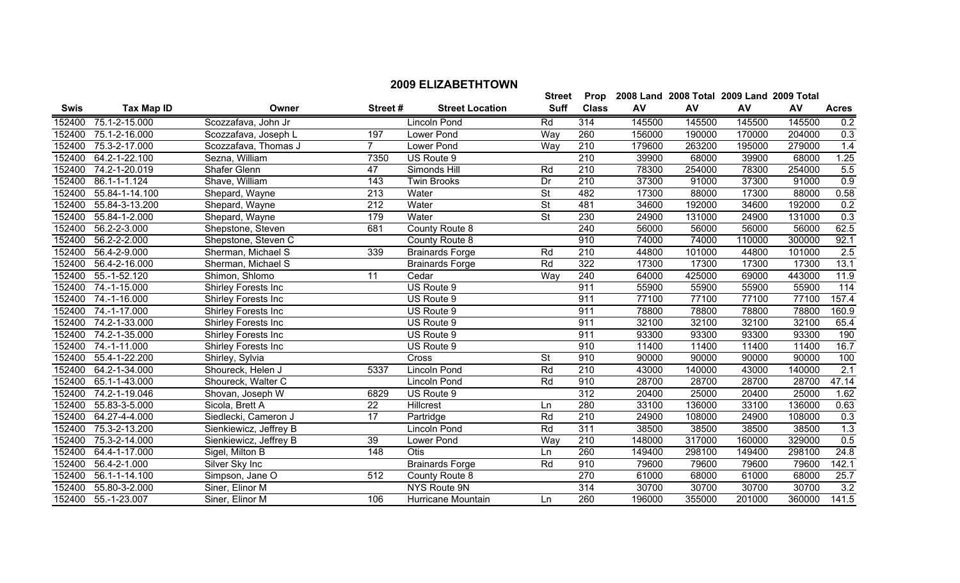|             |                                |                            |                 |                        | <b>Street</b>            | Prop             |        | 2008 Land 2008 Total 2009 Land 2009 Total |        |        |              |
|-------------|--------------------------------|----------------------------|-----------------|------------------------|--------------------------|------------------|--------|-------------------------------------------|--------|--------|--------------|
| <b>Swis</b> | <b>Tax Map ID</b>              | Owner                      | Street#         | <b>Street Location</b> | <b>Suff</b>              | <b>Class</b>     | AV     | AV                                        | AV     | AV     | <b>Acres</b> |
| 152400      | 75.1-2-15.000                  | Scozzafava, John Jr        |                 | <b>Lincoln Pond</b>    | Rd                       | 314              | 145500 | 145500                                    | 145500 | 145500 | 0.2          |
| 152400      | 75.1-2-16.000                  | Scozzafava, Joseph L       | 197             | Lower Pond             | Way                      | 260              | 156000 | 190000                                    | 170000 | 204000 | 0.3          |
| 152400      | 75.3-2-17.000                  | Scozzafava, Thomas J       | $\overline{7}$  | Lower Pond             | Way                      | 210              | 179600 | 263200                                    | 195000 | 279000 | 1.4          |
| 152400      | 64.2-1-22.100                  | Sezna, William             | 7350            | US Route 9             |                          | 210              | 39900  | 68000                                     | 39900  | 68000  | 1.25         |
| 152400      | 74.2-1-20.019                  | Shafer Glenn               | 47              | Simonds Hill           | Rd                       | 210              | 78300  | 254000                                    | 78300  | 254000 | 5.5          |
| 152400      | 86.1-1-1.124                   | Shave, William             | 143             | <b>Twin Brooks</b>     | Dr                       | 210              | 37300  | 91000                                     | 37300  | 91000  | 0.9          |
| 152400      | 55.84-1-14.100                 | Shepard, Wayne             | 213             | Water                  | <b>St</b>                | 482              | 17300  | 88000                                     | 17300  | 88000  | 0.58         |
| 152400      | 55.84-3-13.200                 | Shepard, Wayne             | 212             | Water                  | <b>St</b>                | 481              | 34600  | 192000                                    | 34600  | 192000 | 0.2          |
|             | 152400 55.84-1-2.000           | Shepard, Wayne             | 179             | Water                  | $\overline{\mathsf{St}}$ | 230              | 24900  | 131000                                    | 24900  | 131000 | 0.3          |
| 152400      | 56.2-2-3.000                   | Shepstone, Steven          | 681             | County Route 8         |                          | $\overline{240}$ | 56000  | 56000                                     | 56000  | 56000  | 62.5         |
| 152400      | $\overline{56.2}$ -2-2.000     | Shepstone, Steven C        |                 | County Route 8         |                          | 910              | 74000  | 74000                                     | 110000 | 300000 | 92.1         |
| 152400      | 56.4-2-9.000                   | Sherman, Michael S         | 339             | <b>Brainards Forge</b> | Rd                       | 210              | 44800  | 101000                                    | 44800  | 101000 | 2.5          |
|             | 152400 56.4-2-16.000           | Sherman, Michael S         |                 | <b>Brainards Forge</b> | Rd                       | 322              | 17300  | 17300                                     | 17300  | 17300  | 13.1         |
| 152400      | 55.-1-52.120                   | Shimon, Shlomo             | $\overline{11}$ | Cedar                  | <b>Way</b>               | 240              | 64000  | 425000                                    | 69000  | 443000 | 11.9         |
|             | 152400 74.-1-15.000            | Shirley Forests Inc        |                 | US Route 9             |                          | 911              | 55900  | 55900                                     | 55900  | 55900  | 114          |
|             | 152400 74.-1-16.000            | <b>Shirley Forests Inc</b> |                 | US Route 9             |                          | 911              | 77100  | 77100                                     | 77100  | 77100  | 157.4        |
| 152400      | 74.-1-17.000                   | Shirley Forests Inc        |                 | US Route 9             |                          | 911              | 78800  | 78800                                     | 78800  | 78800  | 160.9        |
| 152400      | 74.2-1-33.000                  | <b>Shirley Forests Inc</b> |                 | US Route 9             |                          | 911              | 32100  | 32100                                     | 32100  | 32100  | 65.4         |
| 152400      | 74.2-1-35.000                  | Shirley Forests Inc        |                 | US Route 9             |                          | 911              | 93300  | 93300                                     | 93300  | 93300  | 190          |
|             | 152400 74.-1-11.000            | <b>Shirley Forests Inc</b> |                 | US Route 9             |                          | 910              | 11400  | 11400                                     | 11400  | 11400  | 16.7         |
| 152400      | 55.4-1-22.200                  | Shirley, Sylvia            |                 | Cross                  | <b>St</b>                | 910              | 90000  | 90000                                     | 90000  | 90000  | 100          |
|             | 152400 64.2-1-34.000           | Shoureck, Helen J          | 5337            | Lincoln Pond           | Rd                       | 210              | 43000  | 140000                                    | 43000  | 140000 | 2.1          |
| 152400      | 65.1-1-43.000                  | Shoureck, Walter C         |                 | <b>Lincoln Pond</b>    | Rd                       | 910              | 28700  | 28700                                     | 28700  | 28700  | 47.14        |
| 152400      | 74.2-1-19.046                  | Shovan, Joseph W           | 6829            | US Route 9             |                          | 312              | 20400  | 25000                                     | 20400  | 25000  | 1.62         |
| 152400      | 55.83-3-5.000                  | Sicola, Brett A            | 22              | Hillcrest              | Ln                       | 280              | 33100  | 136000                                    | 33100  | 136000 | 0.63         |
| 152400      | $\overline{64.27} - 4 - 4.000$ | Siedlecki, Cameron J       | 17              | Partridge              | Rd                       | 210              | 24900  | 108000                                    | 24900  | 108000 | 0.3          |
| 152400      | 75.3-2-13.200                  | Sienkiewicz, Jeffrey B     |                 | Lincoln Pond           | Rd                       | 311              | 38500  | 38500                                     | 38500  | 38500  | 1.3          |
| 152400      | 75.3-2-14.000                  | Sienkiewicz, Jeffrey B     | 39              | Lower Pond             | Way                      | 210              | 148000 | 317000                                    | 160000 | 329000 | 0.5          |
| 152400      | 64.4-1-17.000                  | Sigel, Milton B            | 148             | Otis                   | Ln                       | 260              | 149400 | 298100                                    | 149400 | 298100 | 24.8         |
| 152400      | 56.4-2-1.000                   | Silver Sky Inc             |                 | <b>Brainards Forge</b> | Rd                       | 910              | 79600  | 79600                                     | 79600  | 79600  | 142.1        |
|             | 152400 56.1-1-14.100           | Simpson, Jane O            | 512             | County Route 8         |                          | 270              | 61000  | 68000                                     | 61000  | 68000  | 25.7         |

 55.80-3-2.000 Siner, Elinor M NYS Route 9N 314 30700 30700 30700 30700 3.2 55.-1-23.007 Siner, Elinor M 106 Hurricane Mountain Ln 260 196000 355000 201000 360000 141.5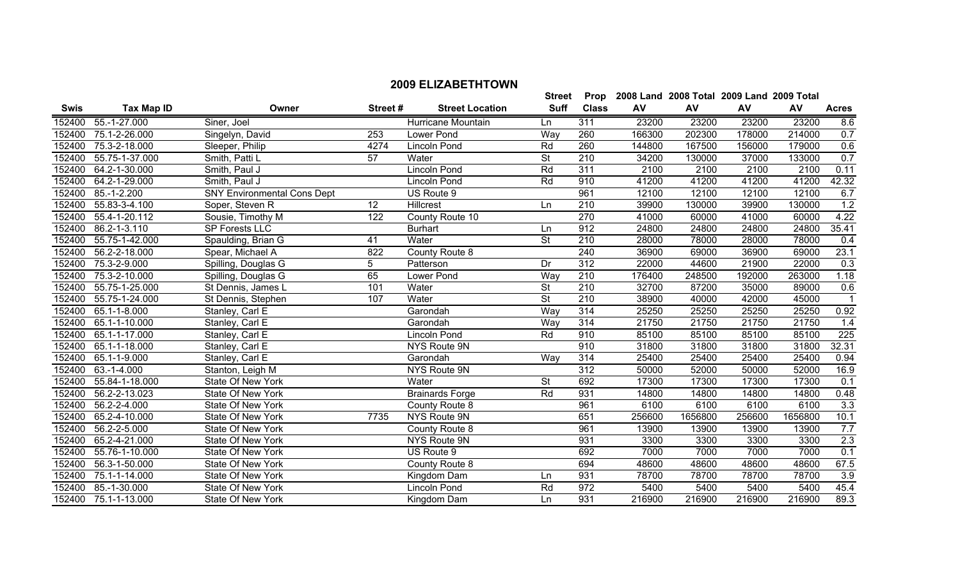|             |                      |                                    |         |                        | <b>Street</b>            |                  | Prop 2008 Land 2008 Total 2009 Land 2009 Total |         |        |         |                  |
|-------------|----------------------|------------------------------------|---------|------------------------|--------------------------|------------------|------------------------------------------------|---------|--------|---------|------------------|
| <b>Swis</b> | <b>Tax Map ID</b>    | Owner                              | Street# | <b>Street Location</b> | <b>Suff</b>              | <b>Class</b>     | AV                                             | AV      | AV     | AV      | <b>Acres</b>     |
|             | 152400 55.-1-27.000  | Siner, Joel                        |         | Hurricane Mountain     | Ln                       | 311              | 23200                                          | 23200   | 23200  | 23200   | 8.6              |
| 152400      | 75.1-2-26.000        | Singelyn, David                    | 253     | Lower Pond             | Way                      | 260              | 166300                                         | 202300  | 178000 | 214000  | 0.7              |
| 152400      | 75.3-2-18.000        | Sleeper, Philip                    | 4274    | <b>Lincoln Pond</b>    | Rd                       | 260              | 144800                                         | 167500  | 156000 | 179000  | 0.6              |
| 152400      | 55.75-1-37.000       | Smith, Patti L                     | 57      | Water                  | $\overline{\mathsf{St}}$ | 210              | 34200                                          | 130000  | 37000  | 133000  | 0.7              |
| 152400      | 64.2-1-30.000        | Smith, Paul J                      |         | <b>Lincoln Pond</b>    | Rd                       | 311              | 2100                                           | 2100    | 2100   | 2100    | 0.11             |
| 152400      | 64.2-1-29.000        | Smith, Paul J                      |         | <b>Lincoln Pond</b>    | Rd                       | 910              | 41200                                          | 41200   | 41200  | 41200   | 42.32            |
|             | 152400 85.-1-2.200   | <b>SNY Environmental Cons Dept</b> |         | US Route 9             |                          | 961              | 12100                                          | 12100   | 12100  | 12100   | 6.7              |
| 152400      | 55.83-3-4.100        | Soper, Steven R                    | 12      | Hillcrest              | Ln                       | 210              | 39900                                          | 130000  | 39900  | 130000  | 1.2              |
| 152400      | 55.4-1-20.112        | Sousie, Timothy M                  | 122     | County Route 10        |                          | $\overline{270}$ | 41000                                          | 60000   | 41000  | 60000   | 4.22             |
| 152400      | 86.2-1-3.110         | SP Forests LLC                     |         | <b>Burhart</b>         | Ln                       | 912              | 24800                                          | 24800   | 24800  | 24800   | 35.41            |
| 152400      | 55.75-1-42.000       | Spaulding, Brian G                 | 41      | Water                  | <b>St</b>                | 210              | 28000                                          | 78000   | 28000  | 78000   | 0.4              |
|             | 152400 56.2-2-18.000 | Spear, Michael A                   | 822     | County Route 8         |                          | 240              | 36900                                          | 69000   | 36900  | 69000   | 23.1             |
| 152400      | 75.3-2-9.000         | Spilling, Douglas G                | 5       | Patterson              | Dr                       | 312              | 22000                                          | 44600   | 21900  | 22000   | $\overline{0.3}$ |
| 152400      | 75.3-2-10.000        | Spilling, Douglas G                | 65      | Lower Pond             | Way                      | 210              | 176400                                         | 248500  | 192000 | 263000  | 1.18             |
| 152400      | 55.75-1-25.000       | St Dennis, James L                 | 101     | Water                  | $\overline{\mathsf{St}}$ | $\overline{210}$ | 32700                                          | 87200   | 35000  | 89000   | 0.6              |
| 152400      | 55.75-1-24.000       | St Dennis, Stephen                 | 107     | Water                  | $\overline{\mathsf{St}}$ | 210              | 38900                                          | 40000   | 42000  | 45000   |                  |
| 152400      | 65.1-1-8.000         | Stanley, Carl E                    |         | Garondah               | Way                      | 314              | 25250                                          | 25250   | 25250  | 25250   | 0.92             |
| 152400      | 65.1-1-10.000        | Stanley, Carl E                    |         | Garondah               | Way                      | 314              | 21750                                          | 21750   | 21750  | 21750   | 1.4              |
| 152400      | 65.1-1-17.000        | Stanley, Carl E                    |         | <b>Lincoln Pond</b>    | Rd                       | 910              | 85100                                          | 85100   | 85100  | 85100   | 225              |
| 152400      | 65.1-1-18.000        | Stanley, Carl E                    |         | NYS Route 9N           |                          | 910              | 31800                                          | 31800   | 31800  | 31800   | 32.31            |
| 152400      | 65.1-1-9.000         | Stanley, Carl E                    |         | Garondah               | Way                      | 314              | 25400                                          | 25400   | 25400  | 25400   | 0.94             |
| 152400      | 63.-1-4.000          | Stanton, Leigh M                   |         | NYS Route 9N           |                          | 312              | 50000                                          | 52000   | 50000  | 52000   | 16.9             |
| 152400      | 55.84-1-18.000       | State Of New York                  |         | Water                  | <b>St</b>                | 692              | 17300                                          | 17300   | 17300  | 17300   | 0.1              |
| 152400      | 56.2-2-13.023        | State Of New York                  |         | <b>Brainards Forge</b> | Rd                       | 931              | 14800                                          | 14800   | 14800  | 14800   | 0.48             |
| 152400      | 56.2-2-4.000         | <b>State Of New York</b>           |         | County Route 8         |                          | 961              | 6100                                           | 6100    | 6100   | 6100    | 3.3              |
| 152400      | 65.2-4-10.000        | State Of New York                  | 7735    | NYS Route 9N           |                          | 651              | 256600                                         | 1656800 | 256600 | 1656800 | 10.1             |
| 152400      | 56.2-2-5.000         | State Of New York                  |         | County Route 8         |                          | 961              | 13900                                          | 13900   | 13900  | 13900   | 7.7              |
| 152400      | 65.2-4-21.000        | State Of New York                  |         | NYS Route 9N           |                          | 931              | 3300                                           | 3300    | 3300   | 3300    | 2.3              |
| 152400      | 55.76-1-10.000       | State Of New York                  |         | US Route 9             |                          | 692              | 7000                                           | 7000    | 7000   | 7000    | 0.1              |
| 152400      | 56.3-1-50.000        | State Of New York                  |         | County Route 8         |                          | 694              | 48600                                          | 48600   | 48600  | 48600   | 67.5             |
| 152400      | 75.1-1-14.000        | State Of New York                  |         | Kingdom Dam            | Ln                       | 931              | 78700                                          | 78700   | 78700  | 78700   | 3.9              |
|             | 152400 85.-1-30.000  | State Of New York                  |         | <b>Lincoln Pond</b>    | Rd                       | $\overline{972}$ | 5400                                           | 5400    | 5400   | 5400    | 45.4             |

75.1-1-13.000 State Of New York Kingdom Dam Ln 931 216900 216900 216900 216900 89.3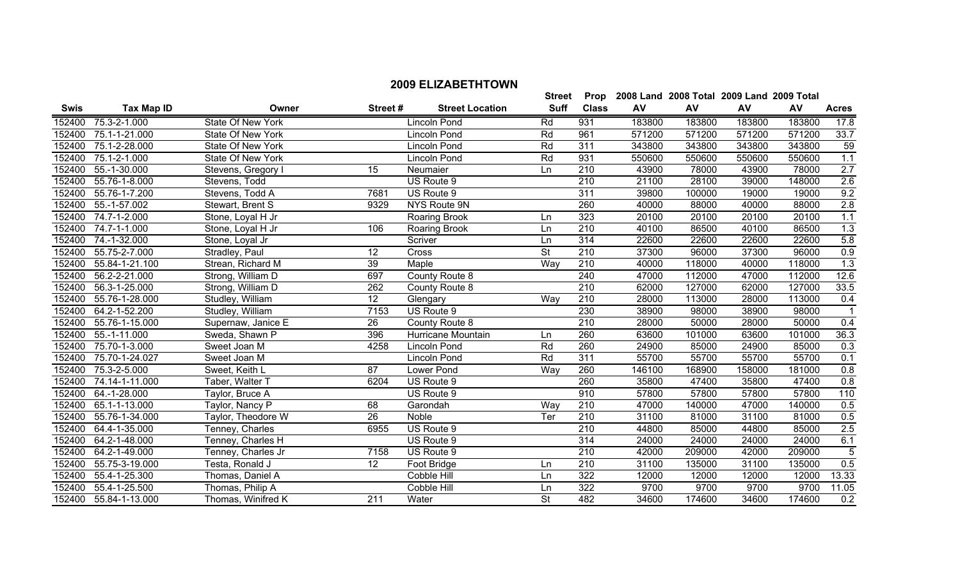|             |                       |                    |                 |                        |             | י שטוי           | <b>ZUUU LAHU ZUUU TULAT ZUUJ LAHU ZUUJ TULAT</b> |        |        |        |                  |
|-------------|-----------------------|--------------------|-----------------|------------------------|-------------|------------------|--------------------------------------------------|--------|--------|--------|------------------|
| <b>Swis</b> | <b>Tax Map ID</b>     | Owner              | Street#         | <b>Street Location</b> | <b>Suff</b> | <b>Class</b>     | AV                                               | AV     | AV     | AV     | <b>Acres</b>     |
| 152400      | 75.3-2-1.000          | State Of New York  |                 | <b>Lincoln Pond</b>    | Rd          | 931              | 183800                                           | 183800 | 183800 | 183800 | 17.8             |
| 152400      | 75.1-1-21.000         | State Of New York  |                 | Lincoln Pond           | Rd          | 961              | 571200                                           | 571200 | 571200 | 571200 | 33.7             |
| 152400      | 75.1-2-28.000         | State Of New York  |                 | Lincoln Pond           | Rd          | 311              | 343800                                           | 343800 | 343800 | 343800 | 59               |
| 152400      | 75.1-2-1.000          | State Of New York  |                 | Lincoln Pond           | Rd          | 931              | 550600                                           | 550600 | 550600 | 550600 | 1.1              |
| 152400      | 55.-1-30.000          | Stevens, Gregory I | 15              | Neumaier               | Ln          | 210              | 43900                                            | 78000  | 43900  | 78000  | 2.7              |
| 152400      | 55.76-1-8.000         | Stevens, Todd      |                 | US Route 9             |             | 210              | 21100                                            | 28100  | 39000  | 148000 | 2.6              |
| 152400      | 55.76-1-7.200         | Stevens, Todd A    | 7681            | US Route 9             |             | 311              | 39800                                            | 100000 | 19000  | 19000  | 9.2              |
| 152400      | 55.-1-57.002          | Stewart, Brent S   | 9329            | NYS Route 9N           |             | 260              | 40000                                            | 88000  | 40000  | 88000  | $\overline{2.8}$ |
| 152400      | 74.7-1-2.000          | Stone, Loyal H Jr  |                 | <b>Roaring Brook</b>   | Ln          | 323              | 20100                                            | 20100  | 20100  | 20100  | 1.1              |
| 152400      | 74.7-1-1.000          | Stone, Loyal H Jr  | 106             | Roaring Brook          | Ln          | 210              | 40100                                            | 86500  | 40100  | 86500  | $\overline{1.3}$ |
| 152400      | 74.-1-32.000          | Stone, Loyal Jr    |                 | Scriver                | Ln          | 314              | 22600                                            | 22600  | 22600  | 22600  | 5.8              |
| 152400      | 55.75-2-7.000         | Stradley, Paul     | 12              | Cross                  | <b>St</b>   | 210              | 37300                                            | 96000  | 37300  | 96000  | 0.9              |
| 152400      | 55.84-1-21.100        | Strean, Richard M  | 39              | Maple                  | Way         | $\overline{210}$ | 40000                                            | 118000 | 40000  | 118000 | 1.3              |
| 152400      | 56.2-2-21.000         | Strong, William D  | 697             | County Route 8         |             | $\overline{240}$ | 47000                                            | 112000 | 47000  | 112000 | 12.6             |
| 152400      | 56.3-1-25.000         | Strong, William D  | 262             | County Route 8         |             | 210              | 62000                                            | 127000 | 62000  | 127000 | 33.5             |
| 152400      | 55.76-1-28.000        | Studley, William   | 12              | Glengary               | Way         | $\overline{210}$ | 28000                                            | 113000 | 28000  | 113000 | 0.4              |
| 152400      | 64.2-1-52.200         | Studley, William   | 7153            | US Route 9             |             | 230              | 38900                                            | 98000  | 38900  | 98000  |                  |
| 152400      | 55.76-1-15.000        | Supernaw, Janice E | 26              | County Route 8         |             | 210              | 28000                                            | 50000  | 28000  | 50000  | 0.4              |
| 152400      | 55.-1-11.000          | Sweda, Shawn P     | 396             | Hurricane Mountain     | Ln          | 260              | 63600                                            | 101000 | 63600  | 101000 | 36.3             |
| 152400      | 75.70-1-3.000         | Sweet Joan M       | 4258            | Lincoln Pond           | Rd          | 260              | 24900                                            | 85000  | 24900  | 85000  | 0.3              |
| 152400      | 75.70-1-24.027        | Sweet Joan M       |                 | Lincoln Pond           | Rd          | 311              | 55700                                            | 55700  | 55700  | 55700  | 0.1              |
| 152400      | 75.3-2-5.000          | Sweet, Keith L     | $\overline{87}$ | Lower Pond             | Way         | 260              | 146100                                           | 168900 | 158000 | 181000 | 0.8              |
| 152400      | 74.14-1-11.000        | Taber, Walter T    | 6204            | US Route 9             |             | 260              | 35800                                            | 47400  | 35800  | 47400  | 0.8              |
| 152400      | 64.-1-28.000          | Taylor, Bruce A    |                 | US Route 9             |             | 910              | 57800                                            | 57800  | 57800  | 57800  | 110              |
| 152400      | 65.1-1-13.000         | Taylor, Nancy P    | 68              | Garondah               | Way         | 210              | 47000                                            | 140000 | 47000  | 140000 | 0.5              |
| 152400      | 55.76-1-34.000        | Taylor, Theodore W | 26              | Noble                  | Ter         | 210              | 31100                                            | 81000  | 31100  | 81000  | 0.5              |
| 152400      | 64.4-1-35.000         | Tenney, Charles    | 6955            | US Route 9             |             | 210              | 44800                                            | 85000  | 44800  | 85000  | $\overline{2.5}$ |
| 152400      | 64.2-1-48.000         | Tenney, Charles H  |                 | US Route 9             |             | 314              | 24000                                            | 24000  | 24000  | 24000  | 6.1              |
| 152400      | 64.2-1-49.000         | Tenney, Charles Jr | 7158            | US Route 9             |             | 210              | 42000                                            | 209000 | 42000  | 209000 | 5                |
| 152400      | 55.75-3-19.000        | Testa, Ronald J    | $\overline{12}$ | Foot Bridge            | Ln          | 210              | 31100                                            | 135000 | 31100  | 135000 | 0.5              |
| 152400      | 55.4-1-25.300         | Thomas, Daniel A   |                 | Cobble Hill            | Ln          | 322              | 12000                                            | 12000  | 12000  | 12000  | 13.33            |
| 152400      | 55.4-1-25.500         | Thomas, Philip A   |                 | Cobble Hill            | Ln          | 322              | 9700                                             | 9700   | 9700   | 9700   | 11.05            |
|             | 152400 55.84-1-13.000 | Thomas, Winifred K | 211             | Water                  | St          | 482              | 34600                                            | 174600 | 34600  | 174600 | 0.2              |
|             |                       |                    |                 |                        |             |                  |                                                  |        |        |        |                  |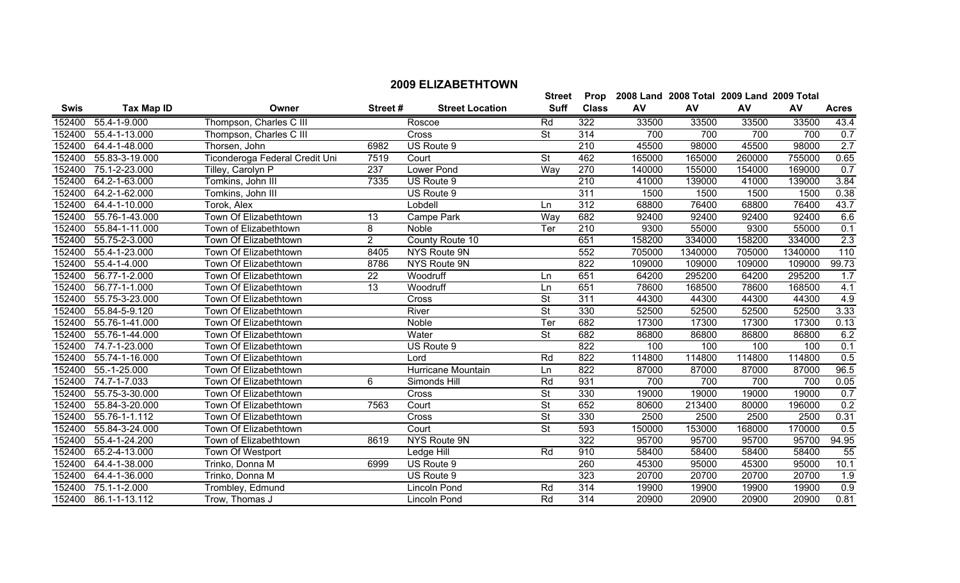|             |                             |                                |                 |                        | <b>Street</b>            | Prop             |        | 2008 Land 2008 Total 2009 Land 2009 Total |        |         |              |
|-------------|-----------------------------|--------------------------------|-----------------|------------------------|--------------------------|------------------|--------|-------------------------------------------|--------|---------|--------------|
| <b>Swis</b> | <b>Tax Map ID</b>           | Owner                          | Street#         | <b>Street Location</b> | <b>Suff</b>              | <b>Class</b>     | AV     | AV                                        | AV     | AV      | <b>Acres</b> |
| 152400      | 55.4-1-9.000                | Thompson, Charles C III        |                 | Roscoe                 | Rd                       | 322              | 33500  | 33500                                     | 33500  | 33500   | 43.4         |
| 152400      | 55.4-1-13.000               | Thompson, Charles C III        |                 | Cross                  | St                       | 314              | 700    | 700                                       | 700    | 700     | 0.7          |
| 152400      | 64.4-1-48.000               | Thorsen, John                  | 6982            | US Route 9             |                          | $\overline{210}$ | 45500  | 98000                                     | 45500  | 98000   | 2.7          |
| 152400      | 55.83-3-19.000              | Ticonderoga Federal Credit Uni | 7519            | Court                  | <b>St</b>                | 462              | 165000 | 165000                                    | 260000 | 755000  | 0.65         |
| 152400      | 75.1-2-23.000               | Tilley, Carolyn P              | 237             | <b>Lower Pond</b>      | Way                      | 270              | 140000 | 155000                                    | 154000 | 169000  | 0.7          |
| 152400      | 64.2-1-63.000               | Tomkins, John III              | 7335            | US Route 9             |                          | $\overline{210}$ | 41000  | 139000                                    | 41000  | 139000  | 3.84         |
| 152400      | 64.2-1-62.000               | Tomkins, John III              |                 | US Route 9             |                          | 311              | 1500   | 1500                                      | 1500   | 1500    | 0.38         |
| 152400      | 64.4-1-10.000               | Torok, Alex                    |                 | Lobdell                | Ln                       | 312              | 68800  | 76400                                     | 68800  | 76400   | 43.7         |
| 152400      | 55.76-1-43.000              | Town Of Elizabethtown          | 13              | Campe Park             | Way                      | 682              | 92400  | 92400                                     | 92400  | 92400   | 6.6          |
| 152400      | 55.84-1-11.000              | Town of Elizabethtown          | 8               | Noble                  | Ter                      | 210              | 9300   | 55000                                     | 9300   | 55000   | 0.1          |
| 152400      | 55.75-2-3.000               | Town Of Elizabethtown          | $\overline{2}$  | County Route 10        |                          | 651              | 158200 | 334000                                    | 158200 | 334000  | 2.3          |
| 152400      | 55.4-1-23.000               | Town Of Elizabethtown          | 8405            | NYS Route 9N           |                          | 552              | 705000 | 1340000                                   | 705000 | 1340000 | 110          |
| 152400      | 55.4-1-4.000                | Town Of Elizabethtown          | 8786            | <b>NYS Route 9N</b>    |                          | 822              | 109000 | 109000                                    | 109000 | 109000  | 99.73        |
| 152400      | 56.77-1-2.000               | Town Of Elizabethtown          | $\overline{22}$ | Woodruff               | Ln                       | 651              | 64200  | 295200                                    | 64200  | 295200  | 1.7          |
| 152400      | 56.77-1-1.000               | Town Of Elizabethtown          | $\overline{13}$ | Woodruff               | Ln                       | 651              | 78600  | 168500                                    | 78600  | 168500  | 4.1          |
| 152400      | 55.75-3-23.000              | Town Of Elizabethtown          |                 | Cross                  | St                       | $\overline{311}$ | 44300  | 44300                                     | 44300  | 44300   | 4.9          |
| 152400      | 55.84-5-9.120               | Town Of Elizabethtown          |                 | River                  | $\overline{\mathsf{St}}$ | 330              | 52500  | 52500                                     | 52500  | 52500   | 3.33         |
| 152400      | 55.76-1-41.000              | Town Of Elizabethtown          |                 | Noble                  | Ter                      | 682              | 17300  | 17300                                     | 17300  | 17300   | 0.13         |
| 152400      | 55.76-1-44.000              | Town Of Elizabethtown          |                 | Water                  | St                       | 682              | 86800  | 86800                                     | 86800  | 86800   | 6.2          |
| 152400      | 74.7-1-23.000               | Town Of Elizabethtown          |                 | US Route 9             |                          | 822              | 100    | 100                                       | 100    | 100     | 0.1          |
| 152400      | 55.74-1-16.000              | Town Of Elizabethtown          |                 | Lord                   | Rd                       | 822              | 114800 | 114800                                    | 114800 | 114800  | 0.5          |
| 152400      | 55.-1-25.000                | Town Of Elizabethtown          |                 | Hurricane Mountain     | Ln                       | 822              | 87000  | 87000                                     | 87000  | 87000   | 96.5         |
| 152400      | $\overline{74.7}$ -1-7.033  | Town Of Elizabethtown          | 6               | Simonds Hill           | Rd                       | 931              | 700    | 700                                       | 700    | 700     | 0.05         |
| 152400      | 55.75-3-30.000              | Town Of Elizabethtown          |                 | Cross                  | St                       | 330              | 19000  | 19000                                     | 19000  | 19000   | 0.7          |
| 152400      | 55.84-3-20.000              | Town Of Elizabethtown          | 7563            | Court                  | St                       | 652              | 80600  | 213400                                    | 80000  | 196000  | 0.2          |
| 152400      | 55.76-1-1.112               | Town Of Elizabethtown          |                 | Cross                  | St                       | 330              | 2500   | 2500                                      | 2500   | 2500    | 0.31         |
| 152400      | 55.84-3-24.000              | Town Of Elizabethtown          |                 | Court                  | <b>St</b>                | 593              | 150000 | 153000                                    | 168000 | 170000  | 0.5          |
| 152400      | 55.4-1-24.200               | Town of Elizabethtown          | 8619            | NYS Route 9N           |                          | 322              | 95700  | 95700                                     | 95700  | 95700   | 94.95        |
| 152400      | 65.2-4-13.000               | Town Of Westport               |                 | Ledge Hill             | Rd                       | 910              | 58400  | 58400                                     | 58400  | 58400   | 55           |
| 152400      | 64.4-1-38.000               | Trinko, Donna M                | 6999            | US Route 9             |                          | 260              | 45300  | 95000                                     | 45300  | 95000   | 10.1         |
| 152400      | $\overline{64.4}$ -1-36.000 | Trinko, Donna M                |                 | US Route 9             |                          | 323              | 20700  | 20700                                     | 20700  | 20700   | 1.9          |
| 152400      | 75.1-1-2.000                | Trombley, Edmund               |                 | Lincoln Pond           | $\overline{Rd}$          | 314              | 19900  | 19900                                     | 19900  | 19900   | 0.9          |
| 152400      | 86.1-1-13.112               | Trow, Thomas J                 |                 | Lincoln Pond           | Rd                       | 314              | 20900  | 20900                                     | 20900  | 20900   | 0.81         |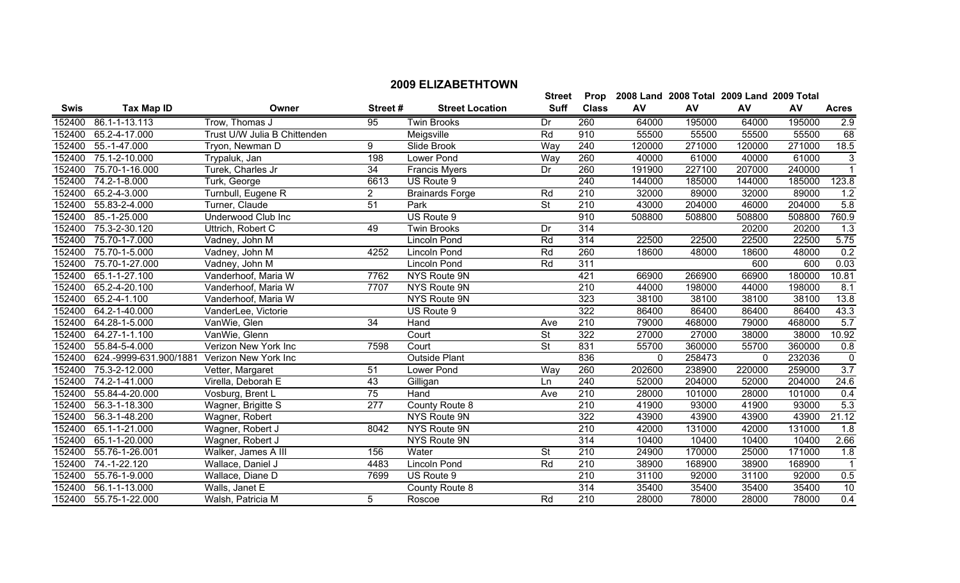|             |                             |                              |                  |                        | <b>Street</b>            | Prop             |        | 2008 Land 2008 Total 2009 Land 2009 Total |              |        |                  |
|-------------|-----------------------------|------------------------------|------------------|------------------------|--------------------------|------------------|--------|-------------------------------------------|--------------|--------|------------------|
| <b>Swis</b> | <b>Tax Map ID</b>           | Owner                        | Street#          | <b>Street Location</b> | <b>Suff</b>              | <b>Class</b>     | AV     | AV                                        | AV           | AV     | <b>Acres</b>     |
| 152400      | 86.1-1-13.113               | Trow, Thomas J               | 95               | <b>Twin Brooks</b>     | Dr                       | 260              | 64000  | 195000                                    | 64000        | 195000 | 2.9              |
| 152400      | 65.2-4-17.000               | Trust U/W Julia B Chittenden |                  | Meigsville             | Rd                       | 910              | 55500  | 55500                                     | 55500        | 55500  | 68               |
| 152400      | 55.-1-47.000                | Tryon, Newman D              | 9                | Slide Brook            | Way                      | 240              | 120000 | 271000                                    | 120000       | 271000 | 18.5             |
| 152400      | 75.1-2-10.000               | Trypaluk, Jan                | 198              | Lower Pond             | Way                      | 260              | 40000  | 61000                                     | 40000        | 61000  | 3                |
| 152400      | 75.70-1-16.000              | Turek, Charles Jr            | $\overline{34}$  | <b>Francis Myers</b>   | Dr                       | 260              | 191900 | 227100                                    | 207000       | 240000 | $\overline{1}$   |
| 152400      | 74.2-1-8.000                | Turk, George                 | 6613             | US Route 9             |                          | 240              | 144000 | 185000                                    | 144000       | 185000 | 123.8            |
| 152400      | 65.2-4-3.000                | Turnbull, Eugene R           | $\overline{2}$   | <b>Brainards Forge</b> | Rd                       | 210              | 32000  | 89000                                     | 32000        | 89000  | 1.2              |
| 152400      | 55.83-2-4.000               | Turner, Claude               | $\overline{51}$  | Park                   | $\overline{\mathsf{St}}$ | 210              | 43000  | 204000                                    | 46000        | 204000 | 5.8              |
| 152400      | 85.-1-25.000                | Underwood Club Inc           |                  | US Route 9             |                          | 910              | 508800 | 508800                                    | 508800       | 508800 | 760.9            |
| 152400      | 75.3-2-30.120               | Uttrich, Robert C            | 49               | <b>Twin Brooks</b>     | Dr                       | 314              |        |                                           | 20200        | 20200  | 1.3              |
| 152400      | 75.70-1-7.000               | Vadney, John M               |                  | Lincoln Pond           | Rd                       | 314              | 22500  | 22500                                     | 22500        | 22500  | 5.75             |
| 152400      | 75.70-1-5.000               | Vadney, John M               | 4252             | <b>Lincoln Pond</b>    | Rd                       | 260              | 18600  | 48000                                     | 18600        | 48000  | 0.2              |
| 152400      | 75.70-1-27.000              | Vadney, John M               |                  | <b>Lincoln Pond</b>    | Rd                       | 311              |        |                                           | 600          | 600    | 0.03             |
| 152400      | 65.1-1-27.100               | Vanderhoof, Maria W          | 7762             | NYS Route 9N           |                          | 421              | 66900  | 266900                                    | 66900        | 180000 | 10.81            |
| 152400      | 65.2-4-20.100               | Vanderhoof, Maria W          | 7707             | NYS Route 9N           |                          | $\overline{210}$ | 44000  | 198000                                    | 44000        | 198000 | 8.1              |
| 152400      | 65.2-4-1.100                | Vanderhoof, Maria W          |                  | NYS Route 9N           |                          | 323              | 38100  | 38100                                     | 38100        | 38100  | 13.8             |
| 152400      | 64.2-1-40.000               | VanderLee, Victorie          |                  | US Route 9             |                          | 322              | 86400  | 86400                                     | 86400        | 86400  | 43.3             |
| 152400      | 64.28-1-5.000               | VanWie, Glen                 | 34               | Hand                   | Ave                      | 210              | 79000  | 468000                                    | 79000        | 468000 | 5.7              |
| 152400      | $\overline{64.27}$ -1-1.100 | VanWie, Glenn                |                  | Court                  | $\overline{\mathsf{St}}$ | 322              | 27000  | 27000                                     | 38000        | 38000  | 10.92            |
| 152400      | 55.84-5-4.000               | Verizon New York Inc         | 7598             | Court                  | St                       | 831              | 55700  | 360000                                    | 55700        | 360000 | 0.8              |
| 152400      | 624.-9999-631.900/1881      | Verizon New York Inc         |                  | <b>Outside Plant</b>   |                          | 836              | 0      | 258473                                    | $\mathbf{0}$ | 232036 | $\overline{0}$   |
| 152400      | 75.3-2-12.000               | Vetter, Margaret             | 51               | Lower Pond             | Way                      | 260              | 202600 | 238900                                    | 220000       | 259000 | $\overline{3.7}$ |
| 152400      | 74.2-1-41.000               | Virella, Deborah E           | 43               | Gilligan               | Ln                       | 240              | 52000  | 204000                                    | 52000        | 204000 | 24.6             |
| 152400      | 55.84-4-20.000              | Vosburg, Brent L             | 75               | Hand                   | Ave                      | $\overline{210}$ | 28000  | 101000                                    | 28000        | 101000 | 0.4              |
| 152400      | 56.3-1-18.300               | Wagner, Brigitte S           | $\overline{277}$ | County Route 8         |                          | $\overline{210}$ | 41900  | 93000                                     | 41900        | 93000  | 5.3              |
| 152400      | 56.3-1-48.200               | Wagner, Robert               |                  | NYS Route 9N           |                          | 322              | 43900  | 43900                                     | 43900        | 43900  | 21.12            |
| 152400      | 65.1-1-21.000               | Wagner, Robert J             | 8042             | NYS Route 9N           |                          | $\overline{210}$ | 42000  | 131000                                    | 42000        | 131000 | 1.8              |
| 152400      | 65.1-1-20.000               | Wagner, Robert J             |                  | NYS Route 9N           |                          | 314              | 10400  | 10400                                     | 10400        | 10400  | 2.66             |
| 152400      | 55.76-1-26.001              | Walker, James A III          | 156              | Water                  | <b>St</b>                | 210              | 24900  | 170000                                    | 25000        | 171000 | 1.8              |
| 152400      | 74.-1-22.120                | Wallace, Daniel J            | 4483             | Lincoln Pond           | Rd                       | 210              | 38900  | 168900                                    | 38900        | 168900 |                  |
| 152400      | 55.76-1-9.000               | Wallace, Diane D             | 7699             | US Route 9             |                          | 210              | 31100  | 92000                                     | 31100        | 92000  | 0.5              |
| 152400      | 56.1-1-13.000               | Walls, Janet E               |                  | County Route 8         |                          | 314              | 35400  | 35400                                     | 35400        | 35400  | 10               |
| 152400      | 55.75-1-22.000              | Walsh, Patricia M            | 5                | Roscoe                 | Rd                       | 210              | 28000  | 78000                                     | 28000        | 78000  | 0.4              |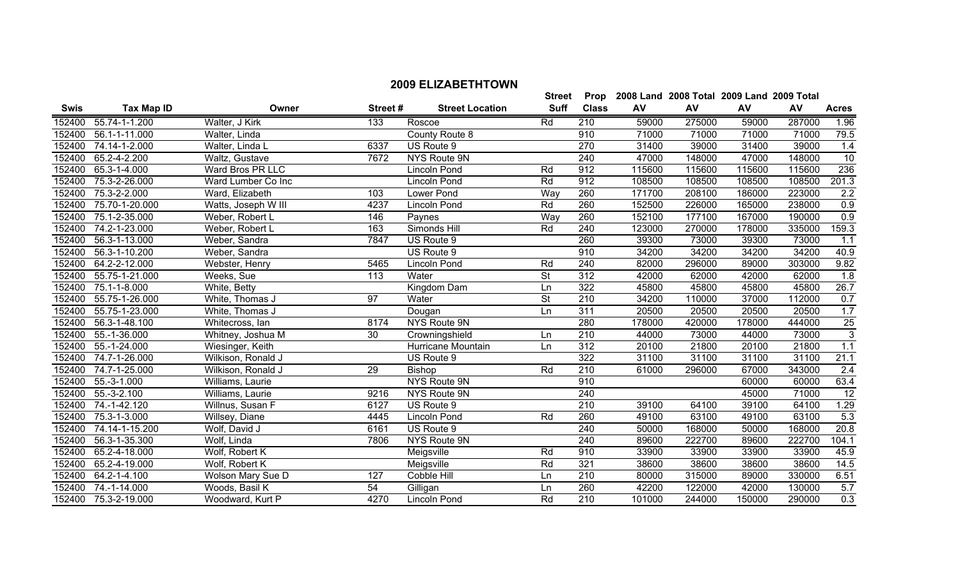**Street** 

|             |                       |                     |         |                        | Street                   | Prop             |        | 2008 Land 2008 Total 2009 Land 2009 Total |        |        |                  |
|-------------|-----------------------|---------------------|---------|------------------------|--------------------------|------------------|--------|-------------------------------------------|--------|--------|------------------|
| <b>Swis</b> | <b>Tax Map ID</b>     | Owner               | Street# | <b>Street Location</b> | <b>Suff</b>              | <b>Class</b>     | AV     | AV                                        | AV     | AV     | <b>Acres</b>     |
|             | 152400 55.74-1-1.200  | Walter, J Kirk      | 133     | Roscoe                 | Rd                       | 210              | 59000  | 275000                                    | 59000  | 287000 | 1.96             |
| 152400      | 56.1-1-11.000         | Walter, Linda       |         | County Route 8         |                          | 910              | 71000  | 71000                                     | 71000  | 71000  | 79.5             |
| 152400      | 74.14-1-2.000         | Walter, Linda L     | 6337    | US Route 9             |                          | 270              | 31400  | 39000                                     | 31400  | 39000  | 1.4              |
| 152400      | 65.2-4-2.200          | Waltz, Gustave      | 7672    | NYS Route 9N           |                          | 240              | 47000  | 148000                                    | 47000  | 148000 | 10               |
| 152400      | 65.3-1-4.000          | Ward Bros PR LLC    |         | Lincoln Pond           | Rd                       | 912              | 115600 | 115600                                    | 115600 | 115600 | 236              |
| 152400      | 75.3-2-26.000         | Ward Lumber Co Inc  |         | <b>Lincoln Pond</b>    | Rd                       | 912              | 108500 | 108500                                    | 108500 | 108500 | 201.3            |
| 152400      | 75.3-2-2.000          | Ward, Elizabeth     | 103     | Lower Pond             | Way                      | 260              | 171700 | 208100                                    | 186000 | 223000 | 2.2              |
| 152400      | 75.70-1-20.000        | Watts, Joseph W III | 4237    | Lincoln Pond           | Rd                       | 260              | 152500 | 226000                                    | 165000 | 238000 | 0.9              |
| 152400      | 75.1-2-35.000         | Weber, Robert L     | 146     | Paynes                 | Way                      | 260              | 152100 | 177100                                    | 167000 | 190000 | 0.9              |
| 152400      | 74.2-1-23.000         | Weber, Robert L     | 163     | Simonds Hill           | Rd                       | 240              | 123000 | 270000                                    | 178000 | 335000 | 159.3            |
| 152400      | 56.3-1-13.000         | Weber, Sandra       | 7847    | US Route 9             |                          | 260              | 39300  | 73000                                     | 39300  | 73000  | 1.1              |
| 152400      | 56.3-1-10.200         | Weber, Sandra       |         | US Route 9             |                          | 910              | 34200  | 34200                                     | 34200  | 34200  | 40.9             |
|             | 152400 64.2-2-12.000  | Webster, Henry      | 5465    | Lincoln Pond           | Rd                       | 240              | 82000  | 296000                                    | 89000  | 303000 | 9.82             |
| 152400      | 55.75-1-21.000        | Weeks, Sue          | 113     | Water                  | $\overline{\mathsf{St}}$ | $\overline{312}$ | 42000  | 62000                                     | 42000  | 62000  | $\overline{1.8}$ |
| 152400      | 75.1-1-8.000          | White, Betty        |         | Kingdom Dam            | Ln                       | 322              | 45800  | 45800                                     | 45800  | 45800  | 26.7             |
|             | 152400 55.75-1-26.000 | White, Thomas J     | 97      | Water                  | $\overline{\mathsf{St}}$ | 210              | 34200  | 110000                                    | 37000  | 112000 | 0.7              |
| 152400      | 55.75-1-23.000        | White, Thomas J     |         | Dougan                 | Ln                       | 311              | 20500  | 20500                                     | 20500  | 20500  | 1.7              |
| 152400      | 56.3-1-48.100         | Whitecross, lan     | 8174    | NYS Route 9N           |                          | 280              | 178000 | 420000                                    | 178000 | 444000 | 25               |
|             | 152400 55.-1-36.000   | Whitney, Joshua M   | 30      | Crowningshield         | Ln                       | 210              | 44000  | 73000                                     | 44000  | 73000  | $\overline{3}$   |
| 152400      | 55.-1-24.000          | Wiesinger, Keith    |         | Hurricane Mountain     | Ln                       | 312              | 20100  | 21800                                     | 20100  | 21800  | 1.1              |
| 152400      | 74.7-1-26.000         | Wilkison, Ronald J  |         | US Route 9             |                          | 322              | 31100  | 31100                                     | 31100  | 31100  | 21.1             |
| 152400      | 74.7-1-25.000         | Wilkison, Ronald J  | 29      | Bishop                 | Rd                       | 210              | 61000  | 296000                                    | 67000  | 343000 | 2.4              |
|             | 152400 55.-3-1.000    | Williams, Laurie    |         | NYS Route 9N           |                          | 910              |        |                                           | 60000  | 60000  | 63.4             |
| 152400      | 55.-3-2.100           | Williams, Laurie    | 9216    | NYS Route 9N           |                          | 240              |        |                                           | 45000  | 71000  | 12               |
| 152400      | 74.-1-42.120          | Willnus, Susan F    | 6127    | US Route 9             |                          | 210              | 39100  | 64100                                     | 39100  | 64100  | 1.29             |
| 152400      | 75.3-1-3.000          | Willsey, Diane      | 4445    | Lincoln Pond           | Rd                       | 260              | 49100  | 63100                                     | 49100  | 63100  | 5.3              |
| 152400      | 74.14-1-15.200        | Wolf, David J       | 6161    | US Route 9             |                          | 240              | 50000  | 168000                                    | 50000  | 168000 | 20.8             |
| 152400      | 56.3-1-35.300         | Wolf, Linda         | 7806    | NYS Route 9N           |                          | 240              | 89600  | 222700                                    | 89600  | 222700 | 104.1            |
| 152400      | 65.2-4-18.000         | Wolf, Robert K      |         | Meigsville             | Rd                       | 910              | 33900  | 33900                                     | 33900  | 33900  | 45.9             |
|             | 152400 65.2-4-19.000  | Wolf, Robert K      |         | Meigsville             | Rd                       | 321              | 38600  | 38600                                     | 38600  | 38600  | 14.5             |

 64.2-1-4.100 Wolson Mary Sue D 127 Cobble Hill Ln 210 80000 315000 89000 330000 6.51 152400 74.-1-14.000 Woods, Basil K 54 Gilligan Ln 260 42200 122000 42000 130000 5.7 75.3-2-19.000 Woodward, Kurt P 4270 Lincoln Pond Rd 210 101000 244000 150000 290000 0.3